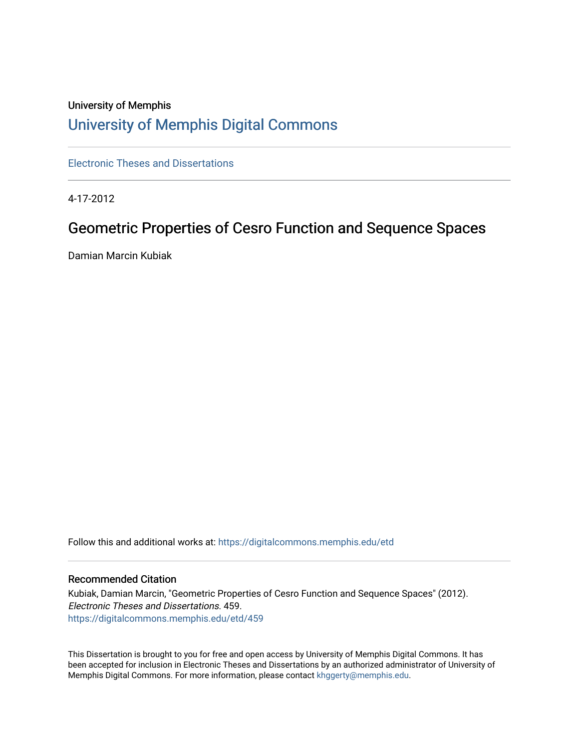## University of Memphis [University of Memphis Digital Commons](https://digitalcommons.memphis.edu/)

[Electronic Theses and Dissertations](https://digitalcommons.memphis.edu/etd)

4-17-2012

# Geometric Properties of Cesro Function and Sequence Spaces

Damian Marcin Kubiak

Follow this and additional works at: [https://digitalcommons.memphis.edu/etd](https://digitalcommons.memphis.edu/etd?utm_source=digitalcommons.memphis.edu%2Fetd%2F459&utm_medium=PDF&utm_campaign=PDFCoverPages) 

#### Recommended Citation

Kubiak, Damian Marcin, "Geometric Properties of Cesro Function and Sequence Spaces" (2012). Electronic Theses and Dissertations. 459. [https://digitalcommons.memphis.edu/etd/459](https://digitalcommons.memphis.edu/etd/459?utm_source=digitalcommons.memphis.edu%2Fetd%2F459&utm_medium=PDF&utm_campaign=PDFCoverPages) 

This Dissertation is brought to you for free and open access by University of Memphis Digital Commons. It has been accepted for inclusion in Electronic Theses and Dissertations by an authorized administrator of University of Memphis Digital Commons. For more information, please contact [khggerty@memphis.edu.](mailto:khggerty@memphis.edu)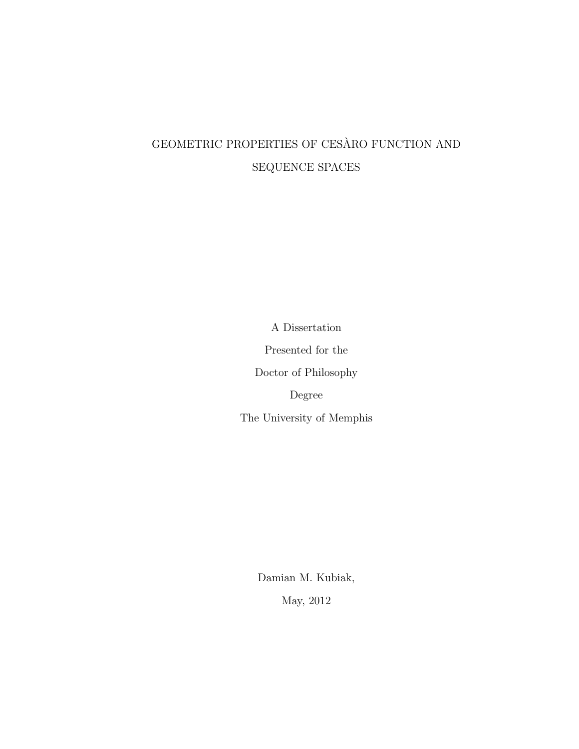# <span id="page-1-0"></span>GEOMETRIC PROPERTIES OF CESÀRO FUNCTION AND SEQUENCE SPACES

A Dissertation

Presented for the

Doctor of Philosophy

Degree

The University of Memphis

Damian M. Kubiak, May, 2012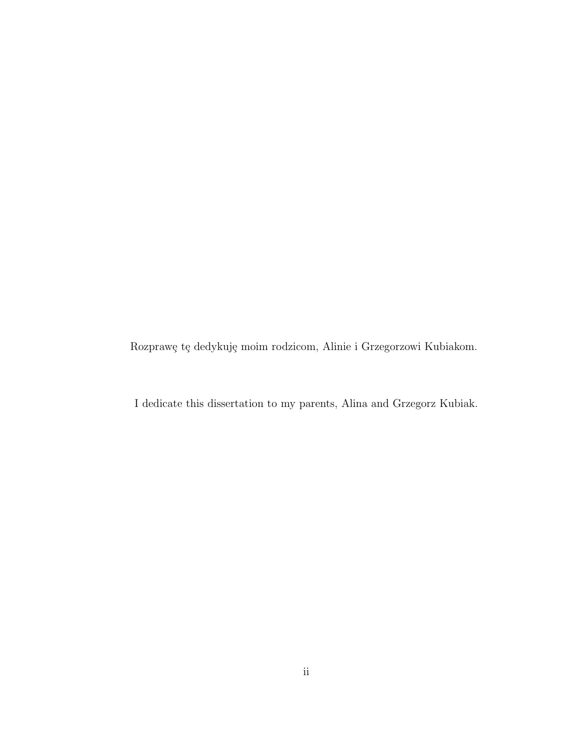Rozprawę tę dedykuję moim rodzicom, Alinie i Grzegorzowi Kubiakom.

I dedicate this dissertation to my parents, Alina and Grzegorz Kubiak.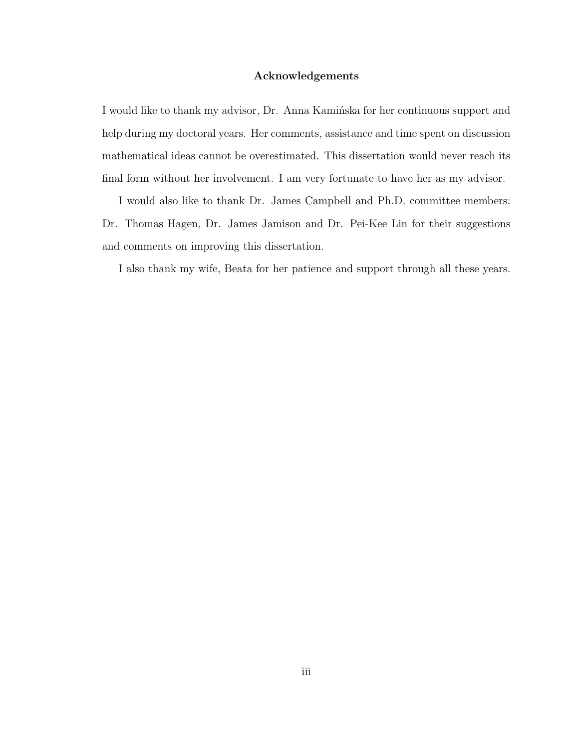#### **Acknowledgements**

I would like to thank my advisor, Dr. Anna Kamińska for her continuous support and help during my doctoral years. Her comments, assistance and time spent on discussion mathematical ideas cannot be overestimated. This dissertation would never reach its final form without her involvement. I am very fortunate to have her as my advisor.

I would also like to thank Dr. James Campbell and Ph.D. committee members: Dr. Thomas Hagen, Dr. James Jamison and Dr. Pei-Kee Lin for their suggestions and comments on improving this dissertation.

I also thank my wife, Beata for her patience and support through all these years.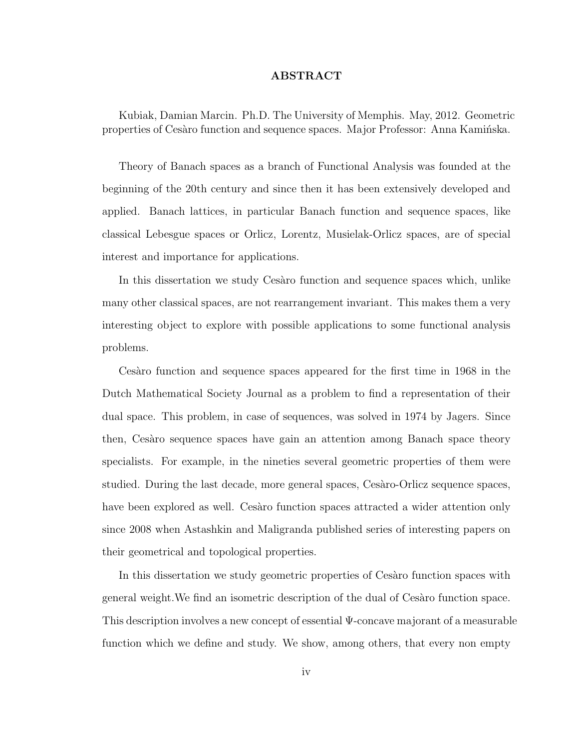#### **ABSTRACT**

Kubiak, Damian Marcin. Ph.D. The University of Memphis. May, 2012. Geometric properties of Ces`aro function and sequence spaces. Major Professor: Anna Kamińska.

Theory of Banach spaces as a branch of Functional Analysis was founded at the beginning of the 20th century and since then it has been extensively developed and applied. Banach lattices, in particular Banach function and sequence spaces, like classical Lebesgue spaces or Orlicz, Lorentz, Musielak-Orlicz spaces, are of special interest and importance for applications.

In this dissertation we study Cesaro function and sequence spaces which, unlike many other classical spaces, are not rearrangement invariant. This makes them a very interesting object to explore with possible applications to some functional analysis problems.

Cesaro function and sequence spaces appeared for the first time in 1968 in the Dutch Mathematical Society Journal as a problem to find a representation of their dual space. This problem, in case of sequences, was solved in 1974 by Jagers. Since then, Cesaro sequence spaces have gain an attention among Banach space theory specialists. For example, in the nineties several geometric properties of them were studied. During the last decade, more general spaces, Cesàro-Orlicz sequence spaces, have been explored as well. Cesaro function spaces attracted a wider attention only since 2008 when Astashkin and Maligranda published series of interesting papers on their geometrical and topological properties.

In this dissertation we study geometric properties of Cesaro function spaces with general weight. We find an isometric description of the dual of Cesaro function space. This description involves a new concept of essential Ψ-concave majorant of a measurable function which we define and study. We show, among others, that every non empty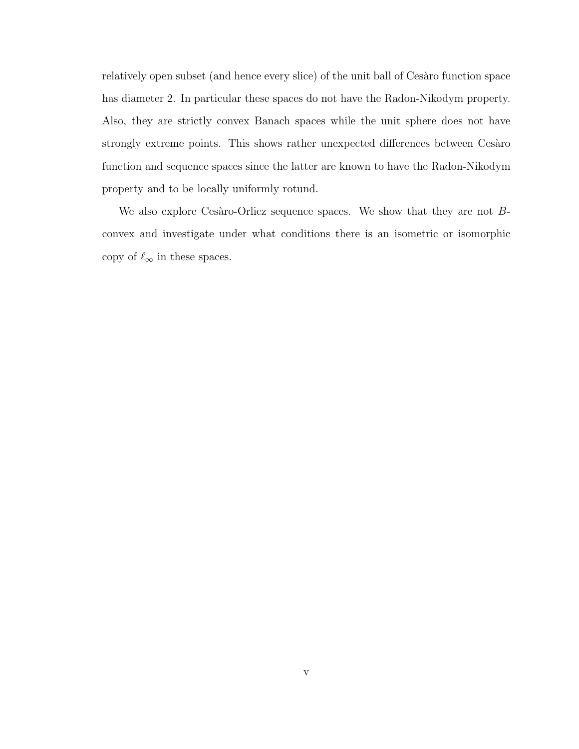relatively open subset (and hence every slice) of the unit ball of Cesaro function space has diameter 2. In particular these spaces do not have the Radon-Nikodym property. Also, they are strictly convex Banach spaces while the unit sphere does not have strongly extreme points. This shows rather unexpected differences between Cesaro function and sequence spaces since the latter are known to have the Radon-Nikodym property and to be locally uniformly rotund.

We also explore Cesaro-Orlicz sequence spaces. We show that they are not  $B$ convex and investigate under what conditions there is an isometric or isomorphic copy of  $\ell_{\infty}$  in these spaces.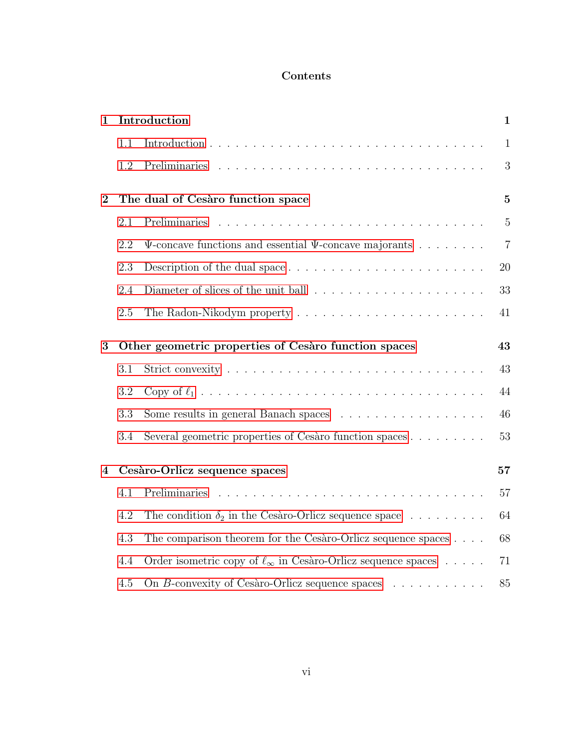### **Contents**

| $\mathbf{1}$ | Introduction                                         |                                                                          | $\mathbf{1}$   |
|--------------|------------------------------------------------------|--------------------------------------------------------------------------|----------------|
|              | 1.1                                                  |                                                                          | $\mathbf{1}$   |
|              | 1.2                                                  |                                                                          | 3              |
| $\bf{2}$     | The dual of Cesàro function space                    |                                                                          | $\overline{5}$ |
|              | 2.1                                                  | Preliminaries                                                            | $\overline{5}$ |
|              | 2.2                                                  | $\Psi$ -concave functions and essential $\Psi$ -concave majorants        | $\overline{7}$ |
|              | 2.3                                                  |                                                                          | 20             |
|              | 2.4                                                  |                                                                          | 33             |
|              | 2.5                                                  |                                                                          | 41             |
| 3            | Other geometric properties of Cesàro function spaces |                                                                          | 43             |
|              | 3.1                                                  |                                                                          | 43             |
|              | 3.2                                                  |                                                                          | 44             |
|              | 3.3                                                  | Some results in general Banach spaces                                    | 46             |
|              | 3.4                                                  | Several geometric properties of Cesàro function spaces                   | 53             |
| 4            | Cesàro-Orlicz sequence spaces                        |                                                                          | 57             |
|              | 4.1                                                  |                                                                          | 57             |
|              | 4.2                                                  | The condition $\delta_2$ in the Cesàro-Orlicz sequence space             | 64             |
|              | 4.3                                                  | The comparison theorem for the Cesàro-Orlicz sequence spaces             | 68             |
|              | 4.4                                                  | Order isometric copy of $\ell_{\infty}$ in Cesàro-Orlicz sequence spaces | 71             |
|              | 4.5                                                  | On B-convexity of Cesàro-Orlicz sequence spaces $\ldots \ldots \ldots$   | 85             |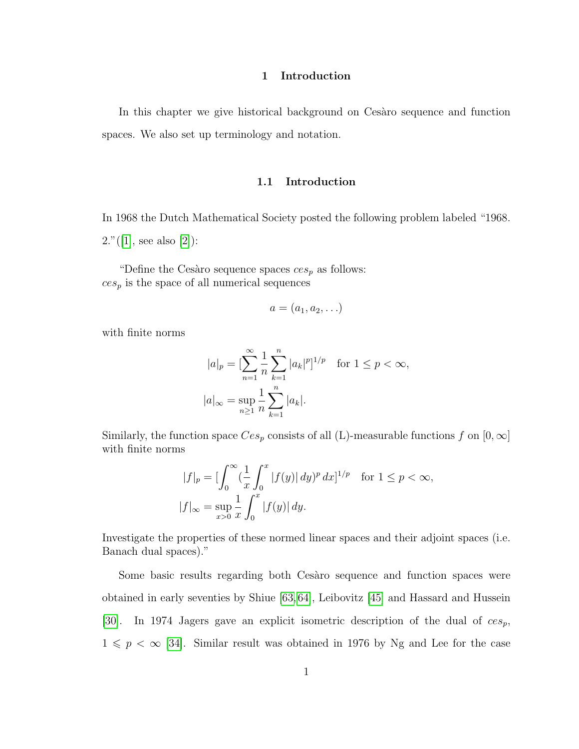#### **1 Introduction**

<span id="page-7-0"></span>In this chapter we give historical background on Cesaro sequence and function spaces. We also set up terminology and notation.

#### **1.1 Introduction**

<span id="page-7-1"></span>In 1968 the Dutch Mathematical Society posted the following problem labeled "1968.  $2."([1], \text{ see also } [2]):$  $2."([1], \text{ see also } [2]):$  $2."([1], \text{ see also } [2]):$  $2."([1], \text{ see also } [2]):$  $2."([1], \text{ see also } [2]):$ 

"Define the Cesàro sequence spaces  $ces_p$  as follows:  $ces_p$  is the space of all numerical sequences

$$
a=(a_1,a_2,\ldots)
$$

with finite norms

$$
|a|_p = \left[\sum_{n=1}^{\infty} \frac{1}{n} \sum_{k=1}^n |a_k|^p\right]^{1/p} \text{ for } 1 \le p < \infty,
$$
  

$$
|a|_{\infty} = \sup_{n \ge 1} \frac{1}{n} \sum_{k=1}^n |a_k|.
$$

Similarly, the function space  $Ces_p$  consists of all (L)-measurable functions f on  $[0, \infty]$ with finite norms

$$
|f|_p = \left[\int_0^\infty \left(\frac{1}{x} \int_0^x |f(y)| \, dy\right)^p \, dx\right]^{1/p} \quad \text{for } 1 \le p < \infty,
$$
\n
$$
|f|_\infty = \sup_{x > 0} \frac{1}{x} \int_0^x |f(y)| \, dy.
$$

Investigate the properties of these normed linear spaces and their adjoint spaces (i.e. Banach dual spaces)."

Some basic results regarding both Cesaro sequence and function spaces were obtained in early seventies by Shiue [\[63,](#page-99-0) [64\]](#page-99-1), Leibovitz [\[45\]](#page-97-0) and Hassard and Hussein [\[30\]](#page-96-0). In 1974 Jagers gave an explicit isometric description of the dual of  $ces_p$ ,  $1 \leqslant p < \infty$  [\[34\]](#page-96-1). Similar result was obtained in 1976 by Ng and Lee for the case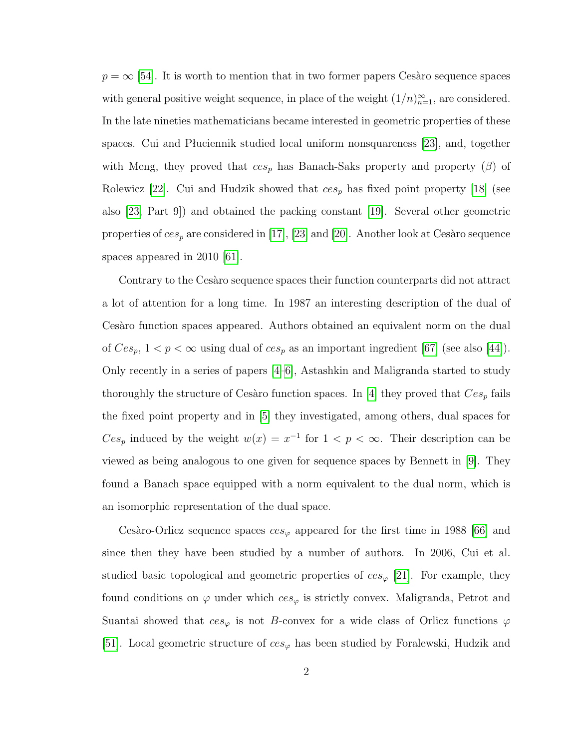$p = \infty$  [\[54\]](#page-98-0). It is worth to mention that in two former papers Cesaro sequence spaces with general positive weight sequence, in place of the weight  $(1/n)_{n=1}^{\infty}$ , are considered. In the late nineties mathematicians became interested in geometric properties of these spaces. Cui and Płuciennik studied local uniform nonsquareness [\[23\]](#page-95-0), and, together with Meng, they proved that  $ces_p$  has Banach-Saks property and property ( $\beta$ ) of Rolewicz [\[22\]](#page-95-1). Cui and Hudzik showed that  $ces_p$  has fixed point property [\[18\]](#page-95-2) (see also [\[23,](#page-95-0) Part 9]) and obtained the packing constant [\[19\]](#page-95-3). Several other geometric properties of  $ces_p$  are considered in [\[17\]](#page-95-4), [\[23\]](#page-95-0) and [\[20\]](#page-95-5). Another look at Cesaro sequence spaces appeared in 2010 [\[61\]](#page-98-1).

Contrary to the Cesaro sequence spaces their function counterparts did not attract a lot of attention for a long time. In 1987 an interesting description of the dual of Cesaro function spaces appeared. Authors obtained an equivalent norm on the dual of  $Ces_p$ ,  $1 < p < \infty$  using dual of  $ces_p$  as an important ingredient [\[67\]](#page-99-2) (see also [\[44\]](#page-97-1)). Only recently in a series of papers [\[4–](#page-94-2)[6\]](#page-94-3), Astashkin and Maligranda started to study thoroughly the structure of Cesàro function spaces. In [\[4\]](#page-94-2) they proved that  $Ces_p$  fails the fixed point property and in [\[5\]](#page-94-4) they investigated, among others, dual spaces for  $Ces_p$  induced by the weight  $w(x) = x^{-1}$  for  $1 < p < \infty$ . Their description can be viewed as being analogous to one given for sequence spaces by Bennett in [\[9\]](#page-94-5). They found a Banach space equipped with a norm equivalent to the dual norm, which is an isomorphic representation of the dual space.

Cesàro-Orlicz sequence spaces  $ces_{\varphi}$  appeared for the first time in 1988 [\[66\]](#page-99-3) and since then they have been studied by a number of authors. In 2006, Cui et al. studied basic topological and geometric properties of  $ces_{\varphi}$  [\[21\]](#page-95-6). For example, they found conditions on  $\varphi$  under which  $ces_{\varphi}$  is strictly convex. Maligranda, Petrot and Suantai showed that  $ces_{\varphi}$  is not B-convex for a wide class of Orlicz functions  $\varphi$ [\[51\]](#page-98-2). Local geometric structure of  $ces_{\varphi}$  has been studied by Foralewski, Hudzik and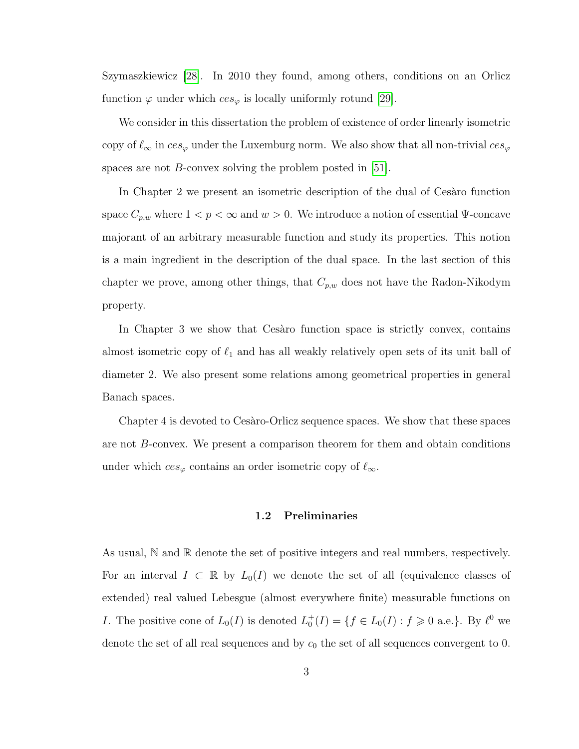Szymaszkiewicz [\[28\]](#page-96-2). In 2010 they found, among others, conditions on an Orlicz function  $\varphi$  under which  $ces_{\varphi}$  is locally uniformly rotund [\[29\]](#page-96-3).

We consider in this dissertation the problem of existence of order linearly isometric copy of  $\ell_{\infty}$  in  $ces_{\varphi}$  under the Luxemburg norm. We also show that all non-trivial  $ces_{\varphi}$ spaces are not *B*-convex solving the problem posted in [\[51\]](#page-98-2).

In Chapter 2 we present an isometric description of the dual of Cesaro function space  $C_{p,w}$  where  $1 < p < \infty$  and  $w > 0$ . We introduce a notion of essential  $\Psi$ -concave majorant of an arbitrary measurable function and study its properties. This notion is a main ingredient in the description of the dual space. In the last section of this chapter we prove, among other things, that  $C_{p,w}$  does not have the Radon-Nikodym property.

In Chapter 3 we show that Cesaro function space is strictly convex, contains almost isometric copy of  $\ell_1$  and has all weakly relatively open sets of its unit ball of diameter 2. We also present some relations among geometrical properties in general Banach spaces.

Chapter 4 is devoted to Cesaro-Orlicz sequence spaces. We show that these spaces are not B-convex. We present a comparison theorem for them and obtain conditions under which  $ces_{\varphi}$  contains an order isometric copy of  $\ell_{\infty}$ .

#### **1.2 Preliminaries**

<span id="page-9-0"></span>As usual,  $\mathbb N$  and  $\mathbb R$  denote the set of positive integers and real numbers, respectively. For an interval  $I \subset \mathbb{R}$  by  $L_0(I)$  we denote the set of all (equivalence classes of extended) real valued Lebesgue (almost everywhere finite) measurable functions on *I*. The positive cone of  $L_0(I)$  is denoted  $L_0^+(I) = \{f \in L_0(I) : f \geq 0 \text{ a.e.}\}\)$ . By  $\ell^0$  we denote the set of all real sequences and by  $c_0$  the set of all sequences convergent to 0.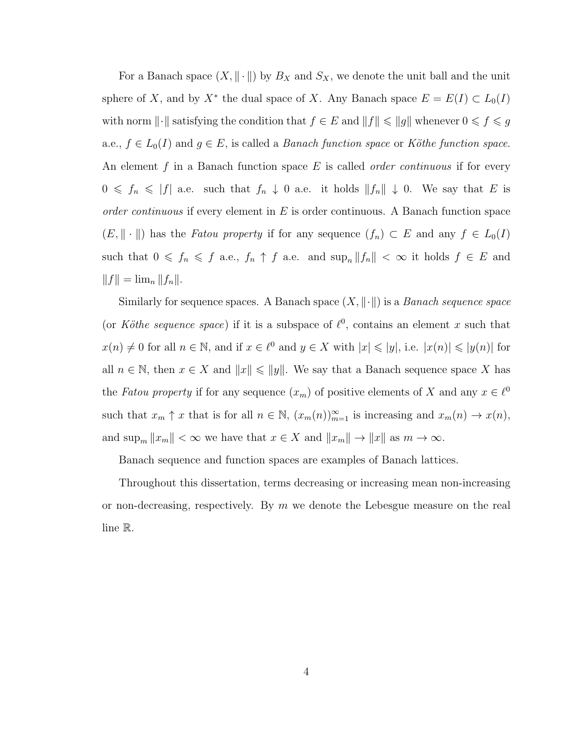For a Banach space  $(X, \|\cdot\|)$  by  $B_X$  and  $S_X$ , we denote the unit ball and the unit sphere of X, and by  $X^*$  the dual space of X. Any Banach space  $E = E(I) \subset L_0(I)$ with norm  $\lVert \cdot \rVert$  satisfying the condition that  $f \in E$  and  $\lVert f \rVert \leqslant \lVert g \rVert$  whenever  $0 \leqslant f \leqslant g$ a.e.,  $f \in L_0(I)$  and  $g \in E$ , is called a *Banach function space* or *Köthe function space*. An element f in a Banach function space E is called *order continuous* if for every  $0 \leq f_n \leq |f|$  a.e. such that  $f_n \downarrow 0$  a.e. it holds  $||f_n|| \downarrow 0$ . We say that E is *order continuous* if every element in E is order continuous. A Banach function space  $(E, \|\cdot\|)$  has the *Fatou property* if for any sequence  $(f_n) \subset E$  and any  $f \in L_0(I)$ such that  $0 \leq f_n \leq f$  a.e.,  $f_n \uparrow f$  a.e. and  $\sup_n ||f_n|| < \infty$  it holds  $f \in E$  and  $||f|| = \lim_{n} ||f_n||.$ 

Similarly for sequence spaces. A Banach space  $(X, \|\cdot\|)$  is a *Banach sequence space* (or *Köthe sequence space*) if it is a subspace of  $\ell^0$ , contains an element x such that  $x(n) \neq 0$  for all  $n \in \mathbb{N}$ , and if  $x \in \ell^0$  and  $y \in X$  with  $|x| \leq |y|$ , i.e.  $|x(n)| \leq |y(n)|$  for all  $n \in \mathbb{N}$ , then  $x \in X$  and  $||x|| \le ||y||$ . We say that a Banach sequence space X has the *Fatou property* if for any sequence  $(x_m)$  of positive elements of X and any  $x \in \ell^0$ such that  $x_m \uparrow x$  that is for all  $n \in \mathbb{N}$ ,  $(x_m(n))_{m=1}^{\infty}$  is increasing and  $x_m(n) \to x(n)$ , and  $\sup_m ||x_m|| < \infty$  we have that  $x \in X$  and  $||x_m|| \to ||x||$  as  $m \to \infty$ .

Banach sequence and function spaces are examples of Banach lattices.

Throughout this dissertation, terms decreasing or increasing mean non-increasing or non-decreasing, respectively. By  $m$  we denote the Lebesgue measure on the real line R.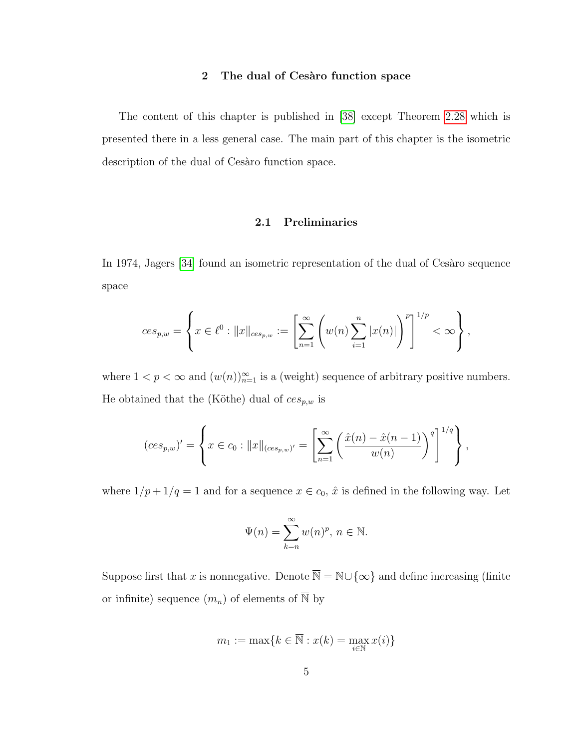#### 2 The dual of Cesaro function space

<span id="page-11-0"></span>The content of this chapter is published in [\[38\]](#page-96-4) except Theorem [2.28](#page-39-1) which is presented there in a less general case. The main part of this chapter is the isometric description of the dual of Cesaro function space.

#### **2.1 Preliminaries**

<span id="page-11-1"></span>In 1974, Jagers [\[34\]](#page-96-1) found an isometric representation of the dual of Cesaro sequence space

$$
ces_{p,w} = \left\{ x \in \ell^0 : ||x||_{ces_{p,w}} := \left[ \sum_{n=1}^{\infty} \left( w(n) \sum_{i=1}^n |x(n)| \right)^p \right]^{1/p} < \infty \right\},\right\}
$$

where  $1 < p < \infty$  and  $(w(n))_{n=1}^{\infty}$  is a (weight) sequence of arbitrary positive numbers. He obtained that the (Köthe) dual of  $ces_{p,w}$  is

$$
(ces_{p,w})' = \left\{ x \in c_0 : ||x||_{(ces_{p,w})'} = \left[ \sum_{n=1}^{\infty} \left( \frac{\hat{x}(n) - \hat{x}(n-1)}{w(n)} \right)^{q} \right]^{1/q} \right\},\,
$$

where  $1/p + 1/q = 1$  and for a sequence  $x \in c_0$ ,  $\hat{x}$  is defined in the following way. Let

$$
\Psi(n) = \sum_{k=n}^{\infty} w(n)^p, n \in \mathbb{N}.
$$

Suppose first that x is nonnegative. Denote  $\overline{\mathbb{N}} = \mathbb{N} \cup \{\infty\}$  and define increasing (finite or infinite) sequence  $(m_n)$  of elements of  $\overline{\mathbb{N}}$  by

$$
m_1:=\max\{k\in\overline{\mathbb{N}}:x(k)=\max_{i\in\mathbb{N}}x(i)\}
$$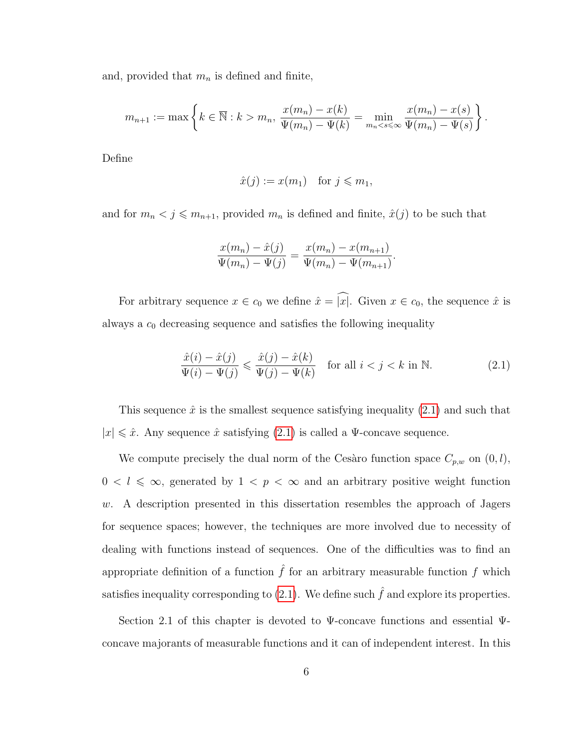and, provided that  $m_n$  is defined and finite,

$$
m_{n+1} := \max \left\{ k \in \overline{\mathbb{N}} : k > m_n, \ \frac{x(m_n) - x(k)}{\Psi(m_n) - \Psi(k)} = \min_{m_n < s \leq \infty} \frac{x(m_n) - x(s)}{\Psi(m_n) - \Psi(s)} \right\}.
$$

Define

$$
\hat{x}(j) := x(m_1) \quad \text{for } j \leq m_1,
$$

and for  $m_n < j \leq m_{n+1}$ , provided  $m_n$  is defined and finite,  $\hat{x}(j)$  to be such that

$$
\frac{x(m_n) - \hat{x}(j)}{\Psi(m_n) - \Psi(j)} = \frac{x(m_n) - x(m_{n+1})}{\Psi(m_n) - \Psi(m_{n+1})}.
$$

For arbitrary sequence  $x \in c_0$  we define  $\hat{x} = \hat{x}$ . Given  $x \in c_0$ , the sequence  $\hat{x}$  is always a  $c_0$  decreasing sequence and satisfies the following inequality

<span id="page-12-0"></span>
$$
\frac{\hat{x}(i) - \hat{x}(j)}{\Psi(i) - \Psi(j)} \leq \frac{\hat{x}(j) - \hat{x}(k)}{\Psi(j) - \Psi(k)} \quad \text{for all } i < j < k \text{ in } \mathbb{N}.\tag{2.1}
$$

This sequence  $\hat{x}$  is the smallest sequence satisfying inequality  $(2.1)$  and such that  $|x| \leq \hat{x}$ . Any sequence  $\hat{x}$  satisfying  $(2.1)$  is called a  $\Psi$ -concave sequence.

We compute precisely the dual norm of the Cesàro function space  $C_{p,w}$  on  $(0, l)$ ,  $0 < l \leq \infty$ , generated by  $1 < p < \infty$  and an arbitrary positive weight function w. A description presented in this dissertation resembles the approach of Jagers for sequence spaces; however, the techniques are more involved due to necessity of dealing with functions instead of sequences. One of the difficulties was to find an appropriate definition of a function  $\hat{f}$  for an arbitrary measurable function f which satisfies inequality corresponding to  $(2.1)$ . We define such  $\hat{f}$  and explore its properties.

Section 2.1 of this chapter is devoted to Ψ-concave functions and essential Ψconcave majorants of measurable functions and it can of independent interest. In this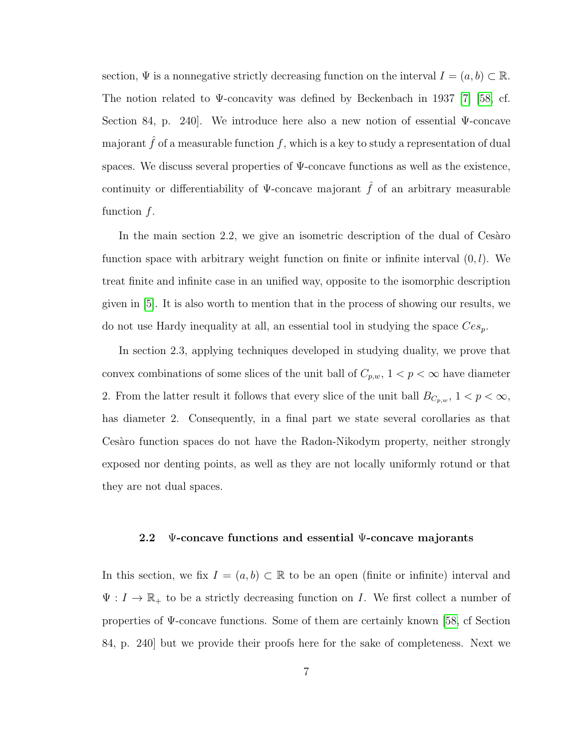section,  $\Psi$  is a nonnegative strictly decreasing function on the interval  $I = (a, b) \subset \mathbb{R}$ . The notion related to Ψ-concavity was defined by Beckenbach in 1937 [\[7\]](#page-94-6) [\[58,](#page-98-3) cf. Section 84, p. 240]. We introduce here also a new notion of essential Ψ-concave majorant  $\hat{f}$  of a measurable function  $f$ , which is a key to study a representation of dual spaces. We discuss several properties of  $\Psi$ -concave functions as well as the existence, continuity or differentiability of  $\Psi$ -concave majorant  $\hat{f}$  of an arbitrary measurable function  $f$ .

In the main section  $2.2$ , we give an isometric description of the dual of Cesàro function space with arbitrary weight function on finite or infinite interval  $(0, l)$ . We treat finite and infinite case in an unified way, opposite to the isomorphic description given in [\[5\]](#page-94-4). It is also worth to mention that in the process of showing our results, we do not use Hardy inequality at all, an essential tool in studying the space  $Ces_p$ .

In section 2.3, applying techniques developed in studying duality, we prove that convex combinations of some slices of the unit ball of  $C_{p,w}$ ,  $1 < p < \infty$  have diameter 2. From the latter result it follows that every slice of the unit ball  $B_{C_p,w}$ ,  $1 < p < \infty$ , has diameter 2. Consequently, in a final part we state several corollaries as that Cesaro function spaces do not have the Radon-Nikodym property, neither strongly exposed nor denting points, as well as they are not locally uniformly rotund or that they are not dual spaces.

#### <span id="page-13-0"></span>**2.2** Ψ**-concave functions and essential** Ψ**-concave majorants**

In this section, we fix  $I = (a, b) \subset \mathbb{R}$  to be an open (finite or infinite) interval and  $\Psi: I \to \mathbb{R}_+$  to be a strictly decreasing function on I. We first collect a number of properties of Ψ-concave functions. Some of them are certainly known [\[58,](#page-98-3) cf Section 84, p. 240] but we provide their proofs here for the sake of completeness. Next we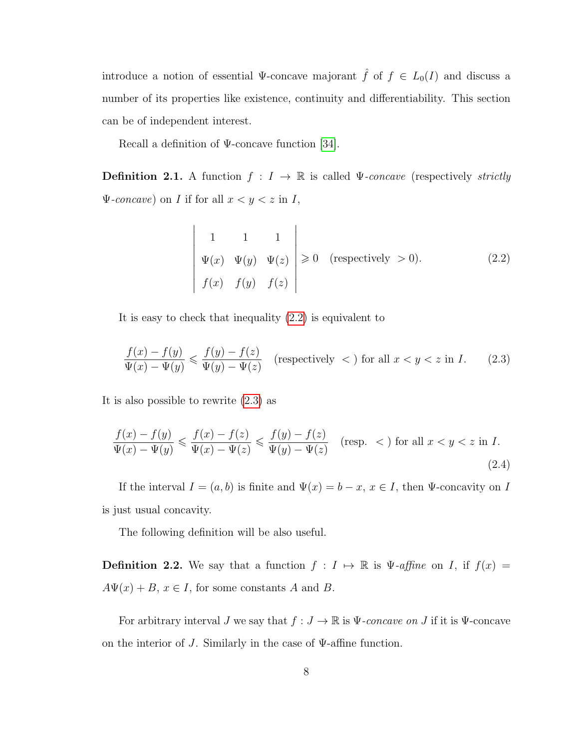introduce a notion of essential  $\Psi$ -concave majorant  $\hat{f}$  of  $f \in L_0(I)$  and discuss a number of its properties like existence, continuity and differentiability. This section can be of independent interest.

Recall a definition of  $\Psi$ -concave function [\[34\]](#page-96-1).

**Definition 2.1.** A function  $f: I \to \mathbb{R}$  is called  $\Psi$ -concave (respectively *strictly*  $\Psi$ -concave) on *I* if for all  $x < y < z$  in *I*,

$$
\begin{vmatrix}\n1 & 1 & 1 \\
\Psi(x) & \Psi(y) & \Psi(z) \\
f(x) & f(y) & f(z)\n\end{vmatrix} \ge 0 \quad \text{(respectively } > 0).
$$
\n(2.2)

It is easy to check that inequality [\(2.2\)](#page-14-0) is equivalent to

<span id="page-14-1"></span>
$$
\frac{f(x) - f(y)}{\Psi(x) - \Psi(y)} \leq \frac{f(y) - f(z)}{\Psi(y) - \Psi(z)}
$$
 (respectively  $<$ ) for all  $x < y < z$  in  $I$ . (2.3)

It is also possible to rewrite [\(2.3\)](#page-14-1) as

<span id="page-14-0"></span> $\overline{\phantom{a}}$  $\mid$  $\overline{\phantom{a}}$  $\overline{\phantom{a}}$ I I I  $\mid$  $\mid$  $\vert$ 

<span id="page-14-2"></span>
$$
\frac{f(x) - f(y)}{\Psi(x) - \Psi(y)} \le \frac{f(x) - f(z)}{\Psi(x) - \Psi(z)} \le \frac{f(y) - f(z)}{\Psi(y) - \Psi(z)} \quad (\text{resp. } <) \text{ for all } x < y < z \text{ in } I. \tag{2.4}
$$

If the interval  $I = (a, b)$  is finite and  $\Psi(x) = b - x, x \in I$ , then  $\Psi$ -concavity on I is just usual concavity.

The following definition will be also useful.

**Definition 2.2.** We say that a function  $f : I \mapsto \mathbb{R}$  is  $\Psi$ -affine on I, if  $f(x) =$  $A\Psi(x) + B$ ,  $x \in I$ , for some constants A and B.

For arbitrary interval J we say that  $f: J \to \mathbb{R}$  is  $\Psi$ -concave on J if it is  $\Psi$ -concave on the interior of J. Similarly in the case of  $\Psi$ -affine function.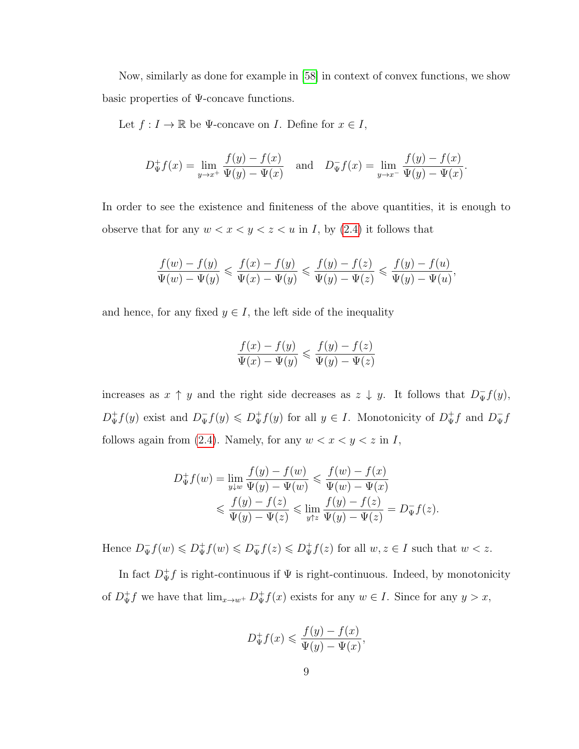Now, similarly as done for example in [\[58\]](#page-98-3) in context of convex functions, we show basic properties of Ψ-concave functions.

Let  $f: I \to \mathbb{R}$  be  $\Psi$ -concave on I. Define for  $x \in I$ ,

$$
D^+_{\Psi} f(x) = \lim_{y \to x^+} \frac{f(y) - f(x)}{\Psi(y) - \Psi(x)} \quad \text{and} \quad D^-_{\Psi} f(x) = \lim_{y \to x^-} \frac{f(y) - f(x)}{\Psi(y) - \Psi(x)}.
$$

In order to see the existence and finiteness of the above quantities, it is enough to observe that for any  $w < x < y < z < u$  in *I*, by [\(2.4\)](#page-14-2) it follows that

$$
\frac{f(w)-f(y)}{\Psi(w)-\Psi(y)} \leqslant \frac{f(x)-f(y)}{\Psi(x)-\Psi(y)} \leqslant \frac{f(y)-f(z)}{\Psi(y)-\Psi(z)} \leqslant \frac{f(y)-f(u)}{\Psi(y)-\Psi(u)},
$$

and hence, for any fixed  $y \in I$ , the left side of the inequality

$$
\frac{f(x) - f(y)}{\Psi(x) - \Psi(y)} \leqslant \frac{f(y) - f(z)}{\Psi(y) - \Psi(z)}
$$

increases as  $x \uparrow y$  and the right side decreases as  $z \downarrow y$ . It follows that  $D_{\Psi}^- f(y)$ ,  $D^+_{\Psi}f(y)$  exist and  $D^-_{\Psi}f(y) \leq D^+_{\Psi}f(y)$  for all  $y \in I$ . Monotonicity of  $D^+_{\Psi}f$  and  $D^-_{\Psi}f$ follows again from [\(2.4\)](#page-14-2). Namely, for any  $w < x < y < z$  in I,

$$
D^+_{\Psi} f(w) = \lim_{y \downarrow w} \frac{f(y) - f(w)}{\Psi(y) - \Psi(w)} \leq \frac{f(w) - f(x)}{\Psi(w) - \Psi(x)}
$$
  

$$
\leq \frac{f(y) - f(z)}{\Psi(y) - \Psi(z)} \leq \lim_{y \uparrow z} \frac{f(y) - f(z)}{\Psi(y) - \Psi(z)} = D^-_{\Psi} f(z).
$$

Hence  $D_{\Psi}^- f(w) \leq D_{\Psi}^+ f(w) \leq D_{\Psi}^- f(z) \leq D_{\Psi}^+ f(z)$  for all  $w, z \in I$  such that  $w < z$ .

In fact  $D^+_\Psi f$  is right-continuous if  $\Psi$  is right-continuous. Indeed, by monotonicity of  $D^{\dagger}_{\Psi}f$  we have that  $\lim_{x\to w^+} D^{\dagger}_{\Psi}f(x)$  exists for any  $w\in I$ . Since for any  $y>x$ ,

$$
D^+_\Psi f(x) \leqslant \frac{f(y) - f(x)}{\Psi(y) - \Psi(x)},
$$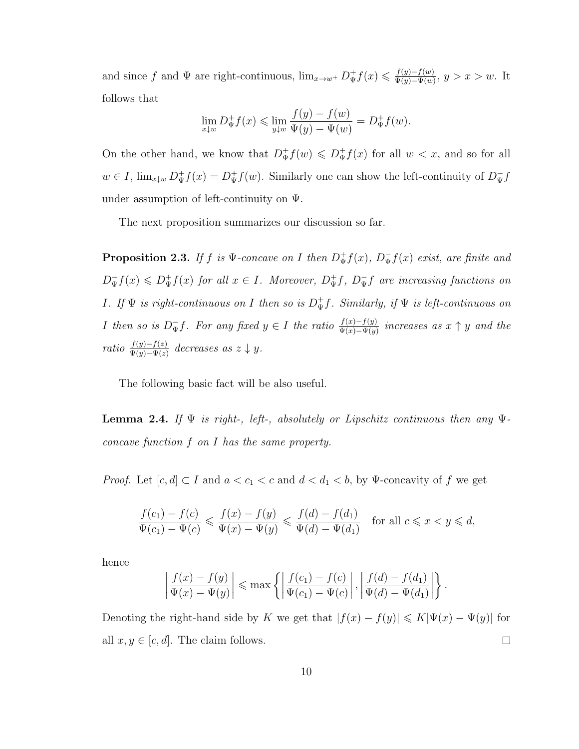and since f and  $\Psi$  are right-continuous,  $\lim_{x\to w^+} D^+_\Psi f(x) \leq \frac{f(y)-f(w)}{\Psi(y)-\Psi(w)}$  $\frac{f(y)-f(w)}{\Psi(y)-\Psi(w)}, y > x > w.$  It follows that  $f(x) = f(x)$ 

$$
\lim_{x \downarrow w} D^+_{\Psi} f(x) \le \lim_{y \downarrow w} \frac{f(y) - f(w)}{\Psi(y) - \Psi(w)} = D^+_{\Psi} f(w).
$$

On the other hand, we know that  $D^+_{\Psi}f(w) \leq D^+_{\Psi}f(x)$  for all  $w < x$ , and so for all  $w \in I$ ,  $\lim_{x \downarrow w} D^+_{\Psi} f(x) = D^+_{\Psi} f(w)$ . Similarly one can show the left-continuity of  $D^-_{\Psi} f$ under assumption of left-continuity on  $\Psi$ .

The next proposition summarizes our discussion so far.

<span id="page-16-1"></span>**Proposition 2.3.** If f is  $\Psi$ -concave on I then  $D^+_{\Psi}f(x)$ ,  $D^-_{\Psi}f(x)$  exist, are finite and  $D_{\Psi}^- f(x) \leq D_{\Psi}^+ f(x)$  for all  $x \in I$ . Moreover,  $D_{\Psi}^+ f$ ,  $D_{\Psi}^- f$  are increasing functions on *I*. If  $\Psi$  *is right-continuous on I* then so *is*  $D^+_{\Psi}f$ *. Similarly, if*  $\Psi$  *is left-continuous on I* then so is  $D_{\Psi}^-f$ . For any fixed  $y \in I$  the ratio  $\frac{f(x)-f(y)}{\Psi(x)-\Psi(y)}$  increases as  $x \uparrow y$  and the *ratio*  $\frac{f(y)-f(z)}{\Psi(y)-\Psi(z)}$  *decreases as*  $z \downarrow y$ *.* 

The following basic fact will be also useful.

<span id="page-16-0"></span>**Lemma 2.4.** *If*  $\Psi$  *is right-, left-, absolutely or Lipschitz continuous then any*  $\Psi$ *concave function* f *on* I *has the same property.*

*Proof.* Let  $[c, d] \subset I$  and  $a < c_1 < c$  and  $d < d_1 < b$ , by Ψ-concavity of f we get

$$
\frac{f(c_1) - f(c)}{\Psi(c_1) - \Psi(c)} \leq \frac{f(x) - f(y)}{\Psi(x) - \Psi(y)} \leq \frac{f(d) - f(d_1)}{\Psi(d) - \Psi(d_1)} \quad \text{for all } c \leq x < y \leq d,
$$

hence

$$
\left|\frac{f(x)-f(y)}{\Psi(x)-\Psi(y)}\right| \le \max\left\{\left|\frac{f(c_1)-f(c)}{\Psi(c_1)-\Psi(c)}\right|, \left|\frac{f(d)-f(d_1)}{\Psi(d)-\Psi(d_1)}\right|\right\}.
$$

Denoting the right-hand side by K we get that  $|f(x) - f(y)| \leq K |\Psi(x) - \Psi(y)|$  for all  $x, y \in [c, d]$ . The claim follows.  $\Box$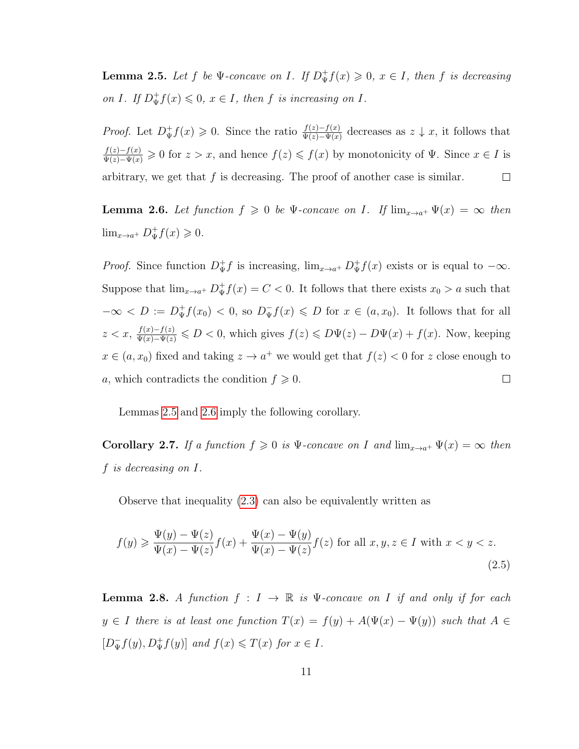<span id="page-17-0"></span>**Lemma 2.5.** Let f be  $\Psi$ -concave on I. If  $D^+_{\Psi}f(x) \geq 0$ ,  $x \in I$ , then f is decreasing *on* I*.* If  $D^{\dagger}_{\Psi} f(x) \leq 0$ ,  $x \in I$ , then f *is increasing on* I*.* 

*Proof.* Let  $D^+_\Psi f(x) \geq 0$ . Since the ratio  $\frac{f(z)-f(x)}{\Psi(z)-\Psi(x)}$  decreases as  $z \downarrow x$ , it follows that  $\frac{f(z)-f(x)}{\Psi(z)-\Psi(x)} \geq 0$  for  $z > x$ , and hence  $f(z) \leq f(x)$  by monotonicity of  $\Psi$ . Since  $x \in I$  is arbitrary, we get that  $f$  is decreasing. The proof of another case is similar.  $\Box$ 

<span id="page-17-1"></span>**Lemma 2.6.** Let function  $f \ge 0$  be  $\Psi$ -concave on I. If  $\lim_{x\to a^+} \Psi(x) = \infty$  then  $\lim_{x \to a^+} D^+_{\Psi} f(x) \geqslant 0.$ 

*Proof.* Since function  $D^+_{\Psi}f$  is increasing,  $\lim_{x\to a^+} D^+_{\Psi}f(x)$  exists or is equal to  $-\infty$ . Suppose that  $\lim_{x\to a^+} D^+_{\Psi} f(x) = C < 0$ . It follows that there exists  $x_0 > a$  such that  $-\infty < D := D^+_{\Psi}f(x_0) < 0$ , so  $D^-_{\Psi}f(x) \le D$  for  $x \in (a, x_0)$ . It follows that for all  $z < x$ ,  $\frac{f(x)-f(z)}{\Psi(x)-\Psi(z)} \leqslant D < 0$ , which gives  $f(z) \leqslant D\Psi(z) - D\Psi(x) + f(x)$ . Now, keeping  $x \in (a, x_0)$  fixed and taking  $z \to a^+$  we would get that  $f(z) < 0$  for z close enough to a, which contradicts the condition  $f \geqslant 0$ .  $\Box$ 

Lemmas [2.5](#page-17-0) and [2.6](#page-17-1) imply the following corollary.

<span id="page-17-3"></span>**Corollary 2.7.** *If a function*  $f \ge 0$  *is*  $\Psi$ -concave on I and  $\lim_{x \to a^+} \Psi(x) = \infty$  then f *is decreasing on* I*.*

Observe that inequality [\(2.3\)](#page-14-1) can also be equivalently written as

<span id="page-17-2"></span>
$$
f(y) \geq \frac{\Psi(y) - \Psi(z)}{\Psi(x) - \Psi(z)} f(x) + \frac{\Psi(x) - \Psi(y)}{\Psi(x) - \Psi(z)} f(z) \text{ for all } x, y, z \in I \text{ with } x < y < z. \tag{2.5}
$$

<span id="page-17-4"></span>**Lemma 2.8.** *A function*  $f: I \to \mathbb{R}$  *is*  $\Psi$ -concave on *I if and only if for each*  $y \in I$  there is at least one function  $T(x) = f(y) + A(\Psi(x) - \Psi(y))$  such that  $A \in$  $[D_{\Psi}^- f(y), D_{\Psi}^+ f(y)]$  *and*  $f(x) \leq T(x)$  *for*  $x \in I$ *.*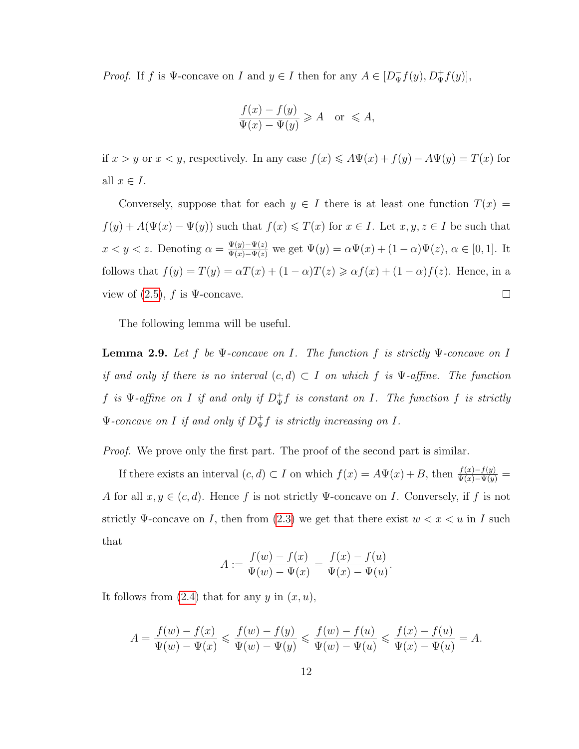*Proof.* If f is  $\Psi$ -concave on I and  $y \in I$  then for any  $A \in [D_{\Psi}^- f(y), D_{\Psi}^+ f(y)]$ ,

$$
\frac{f(x) - f(y)}{\Psi(x) - \Psi(y)} \ge A \quad \text{or} \le A,
$$

if  $x > y$  or  $x < y$ , respectively. In any case  $f(x) \leq A\Psi(x) + f(y) - A\Psi(y) = T(x)$  for all  $x \in I$ .

Conversely, suppose that for each  $y \in I$  there is at least one function  $T(x) =$  $f(y) + A(\Psi(x) - \Psi(y))$  such that  $f(x) \leq T(x)$  for  $x \in I$ . Let  $x, y, z \in I$  be such that  $x < y < z$ . Denoting  $\alpha = \frac{\Psi(y) - \Psi(z)}{\Psi(x) - \Psi(z)}$  we get  $\Psi(y) = \alpha \Psi(x) + (1 - \alpha) \Psi(z)$ ,  $\alpha \in [0, 1]$ . It follows that  $f(y) = T(y) = \alpha T(x) + (1 - \alpha)T(z) \geq \alpha f(x) + (1 - \alpha)f(z)$ . Hence, in a  $\Box$ view of  $(2.5)$ , f is  $\Psi$ -concave.

The following lemma will be useful.

<span id="page-18-0"></span>**Lemma 2.9.** *Let* f *be* Ψ*-concave on* I*. The function* f *is strictly* Ψ*-concave on* I *if and only if there is no interval*  $(c, d) \subset I$  *on which* f *is* Ψ-*affine. The function*  $f$  *is*  $\Psi$ -affine on  $I$  *if and only if*  $D^+_{\Psi}f$  *is constant on*  $I$ *. The function*  $f$  *is strictly*  $\Psi$ -concave on  $I$  *if and only if*  $D^+_{\Psi}f$  *is strictly increasing on*  $I$ *.* 

*Proof.* We prove only the first part. The proof of the second part is similar.

If there exists an interval  $(c, d) \subset I$  on which  $f(x) = A\Psi(x) + B$ , then  $\frac{f(x) - f(y)}{\Psi(x) - \Psi(y)} =$ A for all  $x, y \in (c, d)$ . Hence f is not strictly  $\Psi$ -concave on I. Conversely, if f is not strictly  $\Psi$ -concave on I, then from [\(2.3\)](#page-14-1) we get that there exist  $w < x < u$  in I such that

$$
A := \frac{f(w) - f(x)}{\Psi(w) - \Psi(x)} = \frac{f(x) - f(u)}{\Psi(x) - \Psi(u)}.
$$

It follows from  $(2.4)$  that for any y in  $(x, u)$ ,

$$
A = \frac{f(w) - f(x)}{\Psi(w) - \Psi(x)} \leqslant \frac{f(w) - f(y)}{\Psi(w) - \Psi(y)} \leqslant \frac{f(w) - f(u)}{\Psi(w) - \Psi(u)} \leqslant \frac{f(x) - f(u)}{\Psi(x) - \Psi(u)} = A.
$$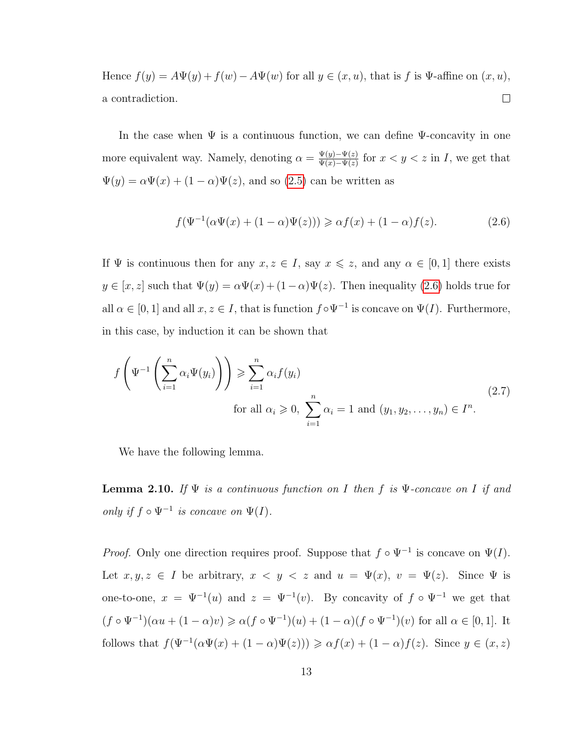Hence  $f(y) = A\Psi(y) + f(w) - A\Psi(w)$  for all  $y \in (x, u)$ , that is f is  $\Psi$ -affine on  $(x, u)$ , a contradiction.  $\Box$ 

In the case when  $\Psi$  is a continuous function, we can define  $\Psi$ -concavity in one more equivalent way. Namely, denoting  $\alpha = \frac{\Psi(y) - \Psi(z)}{\Psi(x) - \Psi(z)}$  $\frac{\Psi(y)-\Psi(z)}{\Psi(x)-\Psi(z)}$  for  $x < y < z$  in I, we get that  $\Psi(y) = \alpha \Psi(x) + (1 - \alpha) \Psi(z)$ , and so [\(2.5\)](#page-17-2) can be written as

<span id="page-19-0"></span>
$$
f(\Psi^{-1}(\alpha\Psi(x) + (1 - \alpha)\Psi(z))) \geq \alpha f(x) + (1 - \alpha)f(z). \tag{2.6}
$$

If  $\Psi$  is continuous then for any  $x, z \in I$ , say  $x \leq z$ , and any  $\alpha \in [0,1]$  there exists  $y \in [x, z]$  such that  $\Psi(y) = \alpha \Psi(x) + (1 - \alpha) \Psi(z)$ . Then inequality [\(2.6\)](#page-19-0) holds true for all  $\alpha \in [0,1]$  and all  $x, z \in I$ , that is function  $f \circ \Psi^{-1}$  is concave on  $\Psi(I)$ . Furthermore, in this case, by induction it can be shown that

<span id="page-19-1"></span>
$$
f\left(\Psi^{-1}\left(\sum_{i=1}^n \alpha_i \Psi(y_i)\right)\right) \geqslant \sum_{i=1}^n \alpha_i f(y_i)
$$
  
for all  $\alpha_i \geqslant 0$ ,  $\sum_{i=1}^n \alpha_i = 1$  and  $(y_1, y_2, \dots, y_n) \in I^n$ . (2.7)

We have the following lemma.

<span id="page-19-2"></span>**Lemma 2.10.** *If* Ψ *is a continuous function on* I *then* f *is* Ψ*-concave on* I *if and only if*  $f \circ \Psi^{-1}$  *is concave on*  $\Psi(I)$ *.* 

*Proof.* Only one direction requires proof. Suppose that  $f \circ \Psi^{-1}$  is concave on  $\Psi(I)$ . Let  $x, y, z \in I$  be arbitrary,  $x < y < z$  and  $u = \Psi(x)$ ,  $v = \Psi(z)$ . Since  $\Psi$  is one-to-one,  $x = \Psi^{-1}(u)$  and  $z = \Psi^{-1}(v)$ . By concavity of  $f \circ \Psi^{-1}$  we get that  $(f \circ \Psi^{-1})(\alpha u + (1 - \alpha)v) \geq \alpha (f \circ \Psi^{-1})(u) + (1 - \alpha)(f \circ \Psi^{-1})(v)$  for all  $\alpha \in [0, 1]$ . It follows that  $f(\Psi^{-1}(\alpha \Psi(x) + (1 - \alpha) \Psi(z))) \geq \alpha f(x) + (1 - \alpha) f(z)$ . Since  $y \in (x, z)$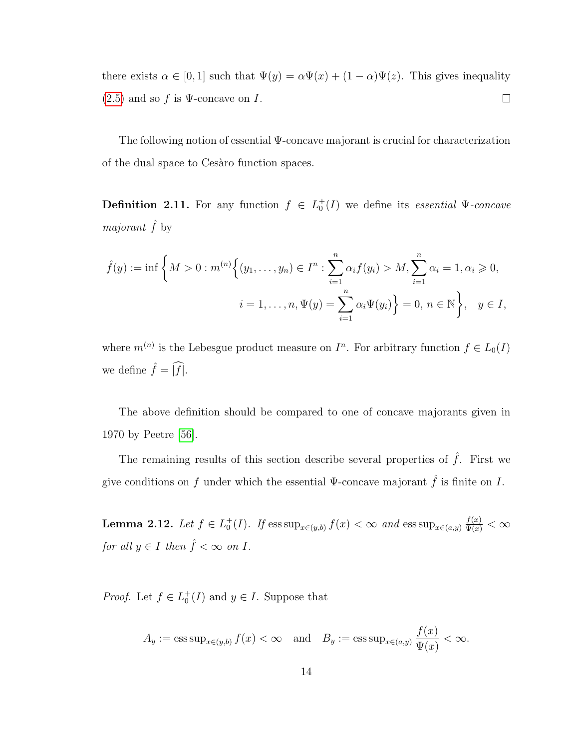there exists  $\alpha \in [0,1]$  such that  $\Psi(y) = \alpha \Psi(x) + (1-\alpha)\Psi(z)$ . This gives inequality  $(2.5)$  and so f is  $\Psi$ -concave on I.  $\Box$ 

The following notion of essential Ψ-concave majorant is crucial for characterization of the dual space to Cesaro function spaces.

**Definition 2.11.** For any function  $f \in L_0^+(I)$  we define its *essential*  $\Psi$ -concave *majorant*  $\hat{f}$  by

$$
\hat{f}(y) := \inf \left\{ M > 0 : m^{(n)} \Big\{ (y_1, \dots, y_n) \in I^n : \sum_{i=1}^n \alpha_i f(y_i) > M, \sum_{i=1}^n \alpha_i = 1, \alpha_i \ge 0, \right\}
$$
  

$$
i = 1, \dots, n, \Psi(y) = \sum_{i=1}^n \alpha_i \Psi(y_i) \Big\} = 0, n \in \mathbb{N} \Big\}, \quad y \in I,
$$

where  $m^{(n)}$  is the Lebesgue product measure on  $I^n$ . For arbitrary function  $f \in L_0(I)$ we define  $\hat{f} = \widehat{|f|}$ .

The above definition should be compared to one of concave majorants given in 1970 by Peetre [\[56\]](#page-98-4).

The remaining results of this section describe several properties of  $\hat{f}$ . First we give conditions on f under which the essential Ψ-concave majorant  $\hat{f}$  is finite on I.

<span id="page-20-0"></span>**Lemma 2.12.** *Let*  $f \in L_0^+(I)$ *. If*  $\text{ess sup}_{x \in (y,b)} f(x) < \infty$  *and*  $\text{ess sup}_{x \in (a,y)} \frac{f(x)}{\Psi(x)} < \infty$ *for all*  $y \in I$  *then*  $\hat{f} < \infty$  *on*  $I$ *.* 

*Proof.* Let  $f \in L_0^+(I)$  and  $y \in I$ . Suppose that

$$
A_y := \operatorname{ess\,sup}_{x \in (y,b)} f(x) < \infty \quad \text{and} \quad B_y := \operatorname{ess\,sup}_{x \in (a,y)} \frac{f(x)}{\Psi(x)} < \infty.
$$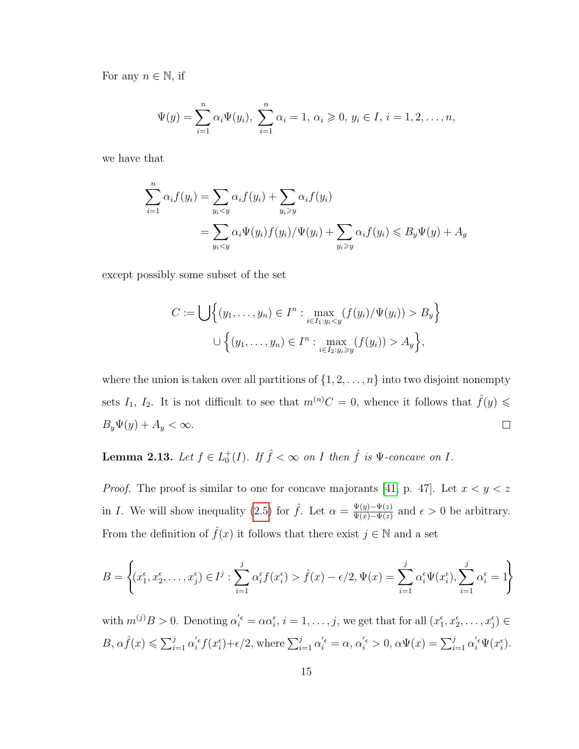For any  $n \in \mathbb{N}$ , if

$$
\Psi(y) = \sum_{i=1}^{n} \alpha_i \Psi(y_i), \ \sum_{i=1}^{n} \alpha_i = 1, \ \alpha_i \geqslant 0, \ y_i \in I, \ i = 1, 2, \dots, n,
$$

we have that

$$
\sum_{i=1}^{n} \alpha_i f(y_i) = \sum_{y_i < y} \alpha_i f(y_i) + \sum_{y_i \geq y} \alpha_i f(y_i)
$$
\n
$$
= \sum_{y_i < y} \alpha_i \Psi(y_i) f(y_i) / \Psi(y_i) + \sum_{y_i \geq y} \alpha_i f(y_i) \leq B_y \Psi(y) + A_y
$$

except possibly some subset of the set

$$
C := \bigcup \Big\{ (y_1, \dots, y_n) \in I^n : \max_{i \in I_1 : y_i < y} (f(y_i) / \Psi(y_i)) > B_y \Big\}
$$
\n
$$
\bigcup \Big\{ (y_1, \dots, y_n) \in I^n : \max_{i \in I_2 : y_i \ge y} (f(y_i)) > A_y \Big\},
$$

where the union is taken over all partitions of  $\{1, 2, \ldots, n\}$  into two disjoint nonempty sets  $I_1$ ,  $I_2$ . It is not difficult to see that  $m^{(n)}C = 0$ , whence it follows that  $\hat{f}(y) \leq$  $B_y\Psi(y) + A_y < \infty.$  $\Box$ 

### <span id="page-21-0"></span>**Lemma 2.13.** Let  $f \in L_0^+(I)$ . If  $\hat{f} < \infty$  on I then  $\hat{f}$  is  $\Psi$ -concave on I.

*Proof.* The proof is similar to one for concave majorants [\[41,](#page-97-2) p. 47]. Let  $x < y < z$ in *I*. We will show inequality [\(2.5\)](#page-17-2) for  $\hat{f}$ . Let  $\alpha = \frac{\Psi(y) - \Psi(z)}{\Psi(x) - \Psi(z)}$  $\frac{\Psi(y)-\Psi(z)}{\Psi(x)-\Psi(z)}$  and  $\epsilon > 0$  be arbitrary. From the definition of  $\hat{f}(x)$  it follows that there exist  $j \in \mathbb{N}$  and a set

$$
B = \left\{ (x_1^{\epsilon}, x_2^{\epsilon}, \dots, x_j^{\epsilon}) \in I^j : \sum_{i=1}^j \alpha_i^{\epsilon} f(x_i^{\epsilon}) > \hat{f}(x) - \epsilon/2, \Psi(x) = \sum_{i=1}^j \alpha_i^{\epsilon} \Psi(x_i^{\epsilon}), \sum_{i=1}^j \alpha_i^{\epsilon} = 1 \right\}
$$

with  $m^{(j)}B > 0$ . Denoting  $\alpha_i^{\prime \epsilon} = \alpha \alpha_i^{\epsilon}$ ,  $i = 1, \ldots, j$ , we get that for all  $(x_1^{\epsilon}, x_2^{\epsilon}, \ldots, x_j^{\epsilon}) \in$  $B, \alpha \hat{f}(x) \leq \sum_{i=1}^j \alpha_i^{'\epsilon} f(x_i^{\epsilon}) + \epsilon/2$ , where  $\sum_{i=1}^j \alpha_i^{'\epsilon} = \alpha, \alpha_i^{'\epsilon} > 0, \alpha \Psi(x) = \sum_{i=1}^j \alpha_i^{'\epsilon} \Psi(x_i^{\epsilon})$ .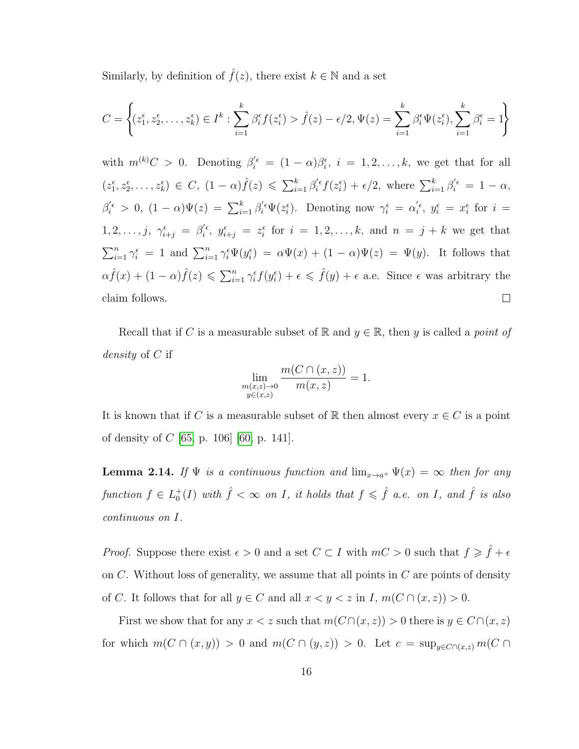Similarly, by definition of  $\hat{f}(z)$ , there exist  $k \in \mathbb{N}$  and a set

$$
C = \left\{ (z_1^{\epsilon}, z_2^{\epsilon}, \dots, z_k^{\epsilon}) \in I^k : \sum_{i=1}^k \beta_i^{\epsilon} f(z_i^{\epsilon}) > \hat{f}(z) - \epsilon/2, \Psi(z) = \sum_{i=1}^k \beta_i^{\epsilon} \Psi(z_i^{\epsilon}), \sum_{i=1}^k \beta_i^{\epsilon} = 1 \right\}
$$

with  $m^{(k)}C > 0$ . Denoting  $\beta_i^{\prime \epsilon} = (1 - \alpha)\beta_i^{\epsilon}, i = 1, 2, ..., k$ , we get that for all  $(z_1^{\epsilon}, z_2^{\epsilon}, \ldots, z_k^{\epsilon}) \in C, (1-\alpha)\hat{f}(z) \leqslant \sum_{i=1}^k \beta_i^{\prime \epsilon} f(z_i^{\epsilon}) + \epsilon/2$ , where  $\sum_{i=1}^k \beta_i^{\prime \epsilon} = 1 - \alpha$ ,  $\beta_i^{\prime\epsilon} > 0$ ,  $(1-\alpha)\Psi(z) = \sum_{i=1}^k \beta_i^{\prime\epsilon} \Psi(z_i^{\epsilon})$ . Denoting now  $\gamma_i^{\epsilon} = \alpha_i^{\prime\epsilon}$ ,  $y_i^{\epsilon} = x_i^{\epsilon}$  for  $i =$  $1, 2, \ldots, j, \ \gamma_{i+j}^{\epsilon} = \beta_i^{\prime \epsilon}, \ y_{i+j}^{\epsilon} = z_i^{\epsilon} \text{ for } i = 1, 2, \ldots, k, \text{ and } n = j + k \text{ we get that }$  $\sum_{i=1}^n \gamma_i^{\epsilon} = 1$  and  $\sum_{i=1}^n \gamma_i^{\epsilon} \Psi(y_i^{\epsilon}) = \alpha \Psi(x) + (1 - \alpha) \Psi(z) = \Psi(y)$ . It follows that  $\alpha \hat{f}(x) + (1 - \alpha) \hat{f}(z) \leqslant \sum_{i=1}^{n} \gamma_i^{\epsilon} f(y_i^{\epsilon}) + \epsilon \leqslant \hat{f}(y) + \epsilon$  a.e. Since  $\epsilon$  was arbitrary the claim follows.  $\Box$ 

Recall that if C is a measurable subset of R and  $y \in \mathbb{R}$ , then y is called a *point of density* of C if

$$
\lim_{\substack{m(x,z)\to 0\\y\in(x,z)}} \frac{m(C \cap (x,z))}{m(x,z)} = 1.
$$

It is known that if C is a measurable subset of R then almost every  $x \in C$  is a point of density of  $C$  [\[65,](#page-99-4) p. 106] [\[60,](#page-98-5) p. 141].

<span id="page-22-0"></span>**Lemma 2.14.** *If*  $\Psi$  *is a continuous function and*  $\lim_{x\to a^+} \Psi(x) = \infty$  *then for any*  $function f \in L_0^+(I)$  *with*  $\hat{f} < \infty$  *on I, it holds that*  $f \leqslant \hat{f}$  *a.e. on I, and*  $\hat{f}$  *is also continuous on* I*.*

*Proof.* Suppose there exist  $\epsilon > 0$  and a set  $C \subset I$  with  $mC > 0$  such that  $f \geq \hat{f} + \epsilon$ on  $C$ . Without loss of generality, we assume that all points in  $C$  are points of density of C. It follows that for all  $y \in C$  and all  $x < y < z$  in  $I, m(C \cap (x, z)) > 0$ .

First we show that for any  $x < z$  such that  $m(C \cap (x, z)) > 0$  there is  $y \in C \cap (x, z)$ for which  $m(C \cap (x, y)) > 0$  and  $m(C \cap (y, z)) > 0$ . Let  $c = \sup_{y \in C \cap (x, z)} m(C \cap (y, z))$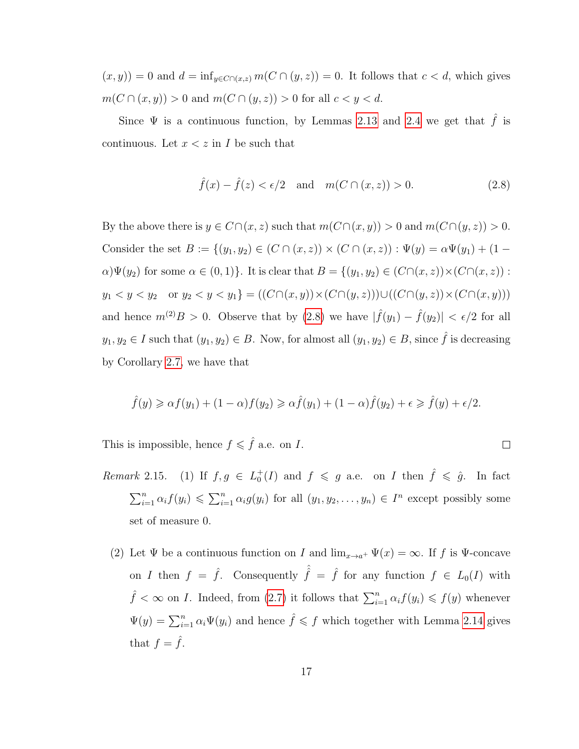$(x, y) = 0$  and  $d = \inf_{y \in C \cap (x, z)} m(C \cap (y, z)) = 0$ . It follows that  $c < d$ , which gives  $m(C \cap (x, y)) > 0$  and  $m(C \cap (y, z)) > 0$  for all  $c < y < d$ .

Since  $\Psi$  is a continuous function, by Lemmas [2.13](#page-21-0) and [2.4](#page-16-0) we get that  $\hat{f}$  is continuous. Let  $x < z$  in I be such that

<span id="page-23-0"></span>
$$
\hat{f}(x) - \hat{f}(z) < \epsilon/2 \quad \text{and} \quad m(C \cap (x, z)) > 0. \tag{2.8}
$$

 $\Box$ 

By the above there is  $y \in C \cap (x, z)$  such that  $m(C \cap (x, y)) > 0$  and  $m(C \cap (y, z)) > 0$ . Consider the set  $B := \{(y_1, y_2) \in (C \cap (x, z)) \times (C \cap (x, z)) : \Psi(y) = \alpha \Psi(y_1) + (1 - \alpha \Psi(y_2))\}$  $\alpha\Psi(y_2)$  for some  $\alpha \in (0,1)$ . It is clear that  $B = \{(y_1, y_2) \in (C \cap (x, z)) \times (C \cap (x, z))$ :  $y_1 < y < y_2$  or  $y_2 < y < y_1$ } =  $((C \cap (x, y)) \times (C \cap (y, z))) \cup ((C \cap (y, z)) \times (C \cap (x, y)))$ and hence  $m^{(2)}B > 0$ . Observe that by  $(2.8)$  we have  $|\hat{f}(y_1) - \hat{f}(y_2)| < \epsilon/2$  for all  $y_1, y_2 \in I$  such that  $(y_1, y_2) \in B$ . Now, for almost all  $(y_1, y_2) \in B$ , since  $\hat{f}$  is decreasing by Corollary [2.7,](#page-17-3) we have that

$$
\hat{f}(y) \geq \alpha f(y_1) + (1 - \alpha)f(y_2) \geq \alpha \hat{f}(y_1) + (1 - \alpha)\hat{f}(y_2) + \epsilon \geq \hat{f}(y) + \epsilon/2.
$$

This is impossible, hence  $f \leqslant \hat{f}$  a.e. on I.

- *Remark* 2.15. (1) If  $f, g \in L_0^+(I)$  and  $f \le g$  a.e. on *I* then  $\hat{f} \le \hat{g}$ . In fact  $\sum_{i=1}^n \alpha_i f(y_i) \leq \sum_{i=1}^n \alpha_i g(y_i)$  for all  $(y_1, y_2, \ldots, y_n) \in I^n$  except possibly some set of measure 0.
	- (2) Let  $\Psi$  be a continuous function on I and  $\lim_{x\to a^+} \Psi(x) = \infty$ . If f is  $\Psi$ -concave on I then  $f = \hat{f}$ . Consequently  $\hat{\hat{f}} = \hat{f}$  for any function  $f \in L_0(I)$  with  $\hat{f} < \infty$  on *I*. Indeed, from [\(2.7\)](#page-19-1) it follows that  $\sum_{i=1}^{n} \alpha_i f(y_i) \leqslant f(y)$  whenever  $\Psi(y) = \sum_{i=1}^{n} \alpha_i \Psi(y_i)$  and hence  $\hat{f} \leqslant f$  which together with Lemma [2.14](#page-22-0) gives that  $f = \hat{f}$ .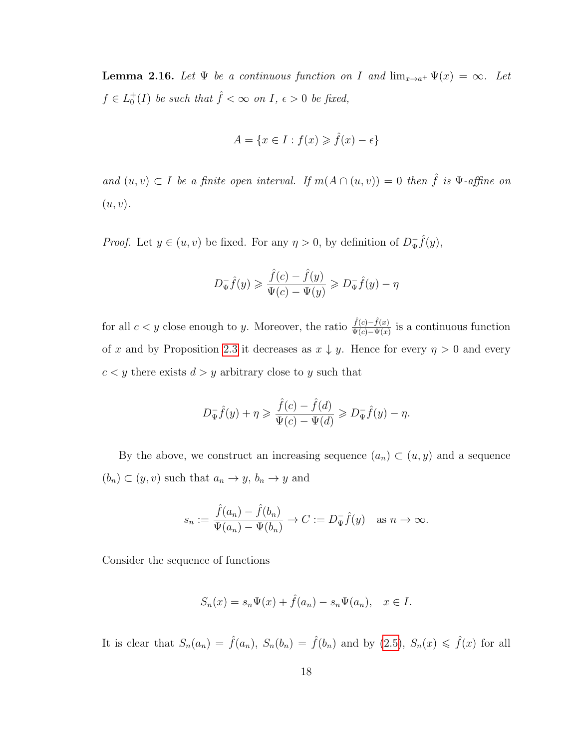<span id="page-24-0"></span>**Lemma 2.16.** *Let*  $\Psi$  *be a continuous function on* I and  $\lim_{x\to a^+} \Psi(x) = \infty$ *. Let*  $f \in L_0^+(I)$  *be such that*  $\hat{f} < \infty$  *on*  $I, \epsilon > 0$  *be fixed,* 

$$
A = \{ x \in I : f(x) \geq \hat{f}(x) - \epsilon \}
$$

*and*  $(u, v) \subset I$  *be a finite open interval. If*  $m(A \cap (u, v)) = 0$  *then*  $\hat{f}$  *is*  $\Psi$ -*affine on*  $(u, v)$ .

*Proof.* Let  $y \in (u, v)$  be fixed. For any  $\eta > 0$ , by definition of  $D_{\Psi}^ \bar{\mathbf{y}}\hat{f}(y),$ 

$$
D_{\Psi}^-\hat{f}(y) \geqslant \frac{\hat{f}(c)-\hat{f}(y)}{\Psi(c)-\Psi(y)} \geqslant D_{\Psi}^-\hat{f}(y)-\eta
$$

for all  $c < y$  close enough to y. Moreover, the ratio  $\frac{\hat{f}(c) - \hat{f}(x)}{\Psi(c) - \Psi(x)}$  is a continuous function of x and by Proposition [2.3](#page-16-1) it decreases as  $x \downarrow y$ . Hence for every  $\eta > 0$  and every  $c < y$  there exists  $d > y$  arbitrary close to y such that

$$
D_{\Psi}^{-}\hat{f}(y) + \eta \geq \frac{\hat{f}(c) - \hat{f}(d)}{\Psi(c) - \Psi(d)} \geq D_{\Psi}^{-}\hat{f}(y) - \eta.
$$

By the above, we construct an increasing sequence  $(a_n) \subset (u, y)$  and a sequence  $(b_n) \subset (y, v)$  such that  $a_n \to y$ ,  $b_n \to y$  and

$$
s_n := \frac{\hat{f}(a_n) - \hat{f}(b_n)}{\Psi(a_n) - \Psi(b_n)} \to C := D_{\Psi}^- \hat{f}(y) \quad \text{as } n \to \infty.
$$

Consider the sequence of functions

$$
S_n(x) = s_n \Psi(x) + \hat{f}(a_n) - s_n \Psi(a_n), \quad x \in I.
$$

It is clear that  $S_n(a_n) = \hat{f}(a_n)$ ,  $S_n(b_n) = \hat{f}(b_n)$  and by  $(2.5)$ ,  $S_n(x) \leq \hat{f}(x)$  for all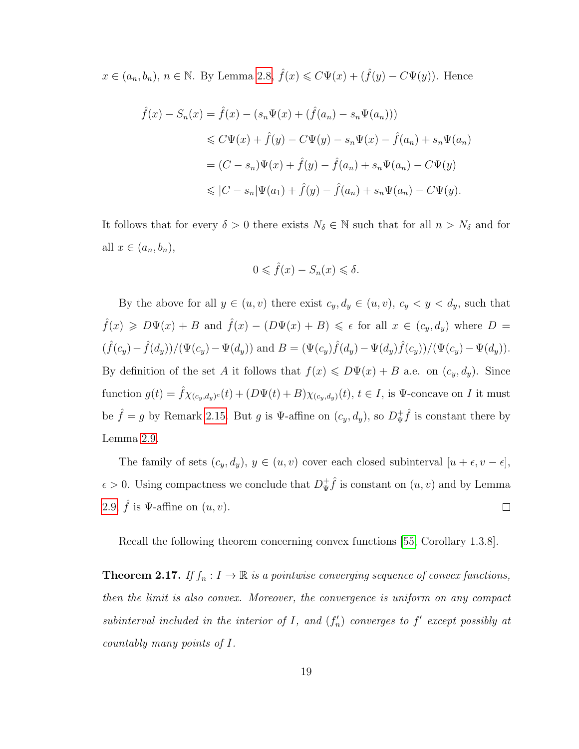$x \in (a_n, b_n)$ ,  $n \in \mathbb{N}$ . By Lemma [2.8,](#page-17-4)  $\hat{f}(x) \leq C\Psi(x) + (\hat{f}(y) - C\Psi(y))$ . Hence

$$
\hat{f}(x) - S_n(x) = \hat{f}(x) - (s_n \Psi(x) + (\hat{f}(a_n) - s_n \Psi(a_n)))
$$
  
\n
$$
\leq C\Psi(x) + \hat{f}(y) - C\Psi(y) - s_n \Psi(x) - \hat{f}(a_n) + s_n \Psi(a_n)
$$
  
\n
$$
= (C - s_n)\Psi(x) + \hat{f}(y) - \hat{f}(a_n) + s_n \Psi(a_n) - C\Psi(y)
$$
  
\n
$$
\leq |C - s_n|\Psi(a_1) + \hat{f}(y) - \hat{f}(a_n) + s_n \Psi(a_n) - C\Psi(y).
$$

It follows that for every  $\delta > 0$  there exists  $N_{\delta} \in \mathbb{N}$  such that for all  $n > N_{\delta}$  and for all  $x \in (a_n, b_n)$ ,

$$
0 \leqslant \hat{f}(x) - S_n(x) \leqslant \delta.
$$

By the above for all  $y \in (u, v)$  there exist  $c_y, d_y \in (u, v)$ ,  $c_y < y < d_y$ , such that  $\hat{f}(x) \geq D\Psi(x) + B$  and  $\hat{f}(x) - (D\Psi(x) + B) \leq \epsilon$  for all  $x \in (c_y, d_y)$  where  $D =$  $(\hat{f}(c_y) - \hat{f}(d_y)) / (\Psi(c_y) - \Psi(d_y))$  and  $B = (\Psi(c_y) \hat{f}(d_y) - \Psi(d_y) \hat{f}(c_y)) / (\Psi(c_y) - \Psi(d_y)).$ By definition of the set A it follows that  $f(x) \le D\Psi(x) + B$  a.e. on  $(c_y, d_y)$ . Since function  $g(t) = \hat{f}\chi_{(c_y,d_y)^c}(t) + (D\Psi(t) + B)\chi_{(c_y,d_y)}(t), t \in I$ , is  $\Psi$ -concave on I it must be  $\hat{f} = g$  by Remark [2.15.](#page-1-0) But g is  $\Psi$ -affine on  $(c_y, d_y)$ , so  $D^+_\Psi$  $\oint_{\Psi} \hat{f}$  is constant there by Lemma [2.9.](#page-18-0)

The family of sets  $(c_y, d_y)$ ,  $y \in (u, v)$  cover each closed subinterval  $[u + \epsilon, v - \epsilon]$ ,  $\psi^+$  is constant on  $(u, v)$  and by Lemma  $\epsilon > 0$ . Using compactness we conclude that  $D_{\Psi}^+$ [2.9,](#page-18-0)  $\hat{f}$  is  $\Psi$ -affine on  $(u, v)$ .  $\Box$ 

Recall the following theorem concerning convex functions [\[55,](#page-98-6) Corollary 1.3.8].

<span id="page-25-0"></span>**Theorem 2.17.** *If*  $f_n: I \to \mathbb{R}$  *is a pointwise converging sequence of convex functions, then the limit is also convex. Moreover, the convergence is uniform on any compact* subinterval included in the interior of  $I$ , and  $(f'_n)$  converges to  $f'$  except possibly at *countably many points of* I*.*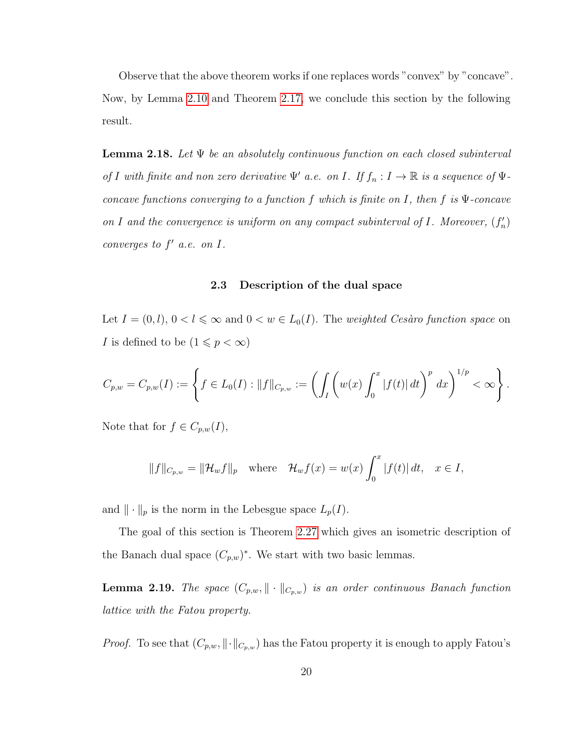Observe that the above theorem works if one replaces words "convex" by "concave". Now, by Lemma [2.10](#page-19-2) and Theorem [2.17,](#page-25-0) we conclude this section by the following result.

**Lemma 2.18.** *Let* Ψ *be an absolutely continuous function on each closed subinterval of I* with finite and non zero derivative  $\Psi'$  a.e. on *I*. If  $f_n: I \to \mathbb{R}$  is a sequence of  $\Psi$ *concave functions converging to a function* f *which is finite on* I*, then* f *is* Ψ*-concave* on I and the convergence is uniform on any compact subinterval of I. Moreover,  $(f'_n)$ *converges to*  $f'$  *a.e. on I.* 

#### **2.3 Description of the dual space**

<span id="page-26-0"></span>Let  $I = (0, l)$ ,  $0 < l \leq \infty$  and  $0 < w \in L_0(I)$ . The *weighted Cesàro function space* on *I* is defined to be  $(1 \leq p < \infty)$ 

$$
C_{p,w} = C_{p,w}(I) := \left\{ f \in L_0(I) : ||f||_{C_{p,w}} := \left( \int_I \left( w(x) \int_0^x |f(t)| \, dt \right)^p \, dx \right)^{1/p} < \infty \right\}.
$$

Note that for  $f \in C_{p,w}(I)$ ,

$$
||f||_{C_{p,w}} = ||\mathcal{H}_w f||_p \quad \text{where} \quad \mathcal{H}_w f(x) = w(x) \int_0^x |f(t)| dt, \quad x \in I,
$$

and  $\|\cdot\|_p$  is the norm in the Lebesgue space  $L_p(I)$ .

The goal of this section is Theorem [2.27](#page-38-0) which gives an isometric description of the Banach dual space  $(C_{p,w})^*$ . We start with two basic lemmas.

**Lemma 2.19.** *The space*  $(C_{p,w}, \|\cdot\|_{C_{p,w}})$  *is an order continuous Banach function lattice with the Fatou property.*

*Proof.* To see that  $(C_{p,w}, \|\cdot\|_{C_{p,w}})$  has the Fatou property it is enough to apply Fatou's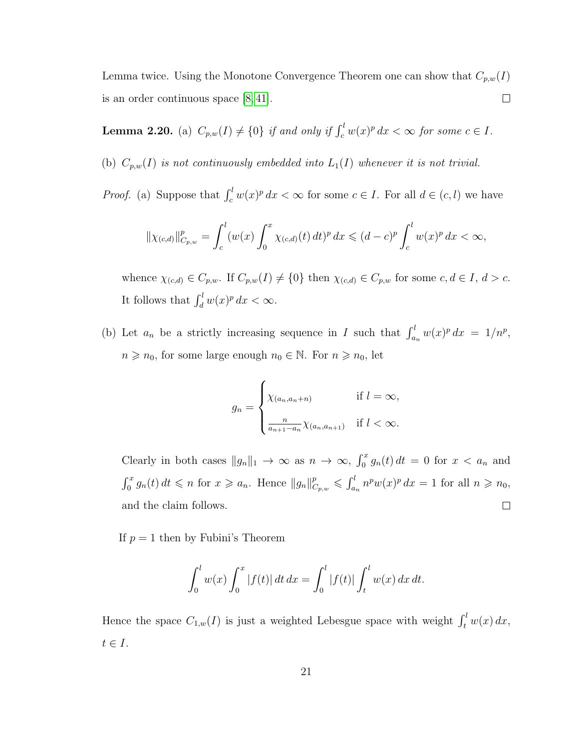Lemma twice. Using the Monotone Convergence Theorem one can show that  $C_{p,w}(\mathcal{I})$ is an order continuous space [\[8,](#page-94-7) [41\]](#page-97-2).  $\Box$ 

**Lemma 2.20.** (a)  $C_{p,w}(I) \neq \{0\}$  if and only if  $\int_c^l w(x)^p dx < \infty$  for some  $c \in I$ .

(b)  $C_{p,w}(I)$  *is not continuously embedded into*  $L_1(I)$  *whenever it is not trivial.* 

*Proof.* (a) Suppose that  $\int_c^l w(x)^p dx < \infty$  for some  $c \in I$ . For all  $d \in (c, l)$  we have

$$
\|\chi_{(c,d)}\|_{C_{p,w}}^p = \int_c^l (w(x) \int_0^x \chi_{(c,d)}(t) \, dt)^p \, dx \leq (d-c)^p \int_c^l w(x)^p \, dx < \infty,
$$

whence  $\chi_{(c,d)} \in C_{p,w}$ . If  $C_{p,w}(I) \neq \{0\}$  then  $\chi_{(c,d)} \in C_{p,w}$  for some  $c, d \in I$ ,  $d > c$ . It follows that  $\int_d^l w(x)^p dx < \infty$ .

(b) Let  $a_n$  be a strictly increasing sequence in I such that  $\int_{a_n}^l w(x)^p dx = 1/n^p$ ,  $n \geq n_0$ , for some large enough  $n_0 \in \mathbb{N}$ . For  $n \geq n_0$ , let

$$
g_n = \begin{cases} \chi_{(a_n, a_n + n)} & \text{if } l = \infty, \\ \frac{n}{a_{n+1} - a_n} \chi_{(a_n, a_{n+1})} & \text{if } l < \infty. \end{cases}
$$

Clearly in both cases  $||g_n||_1 \to \infty$  as  $n \to \infty$ ,  $\int_0^x g_n(t) dt = 0$  for  $x < a_n$  and  $\int_0^x g_n(t) dt \leqslant n$  for  $x \geqslant a_n$ . Hence  $||g_n||_{C_{p,w}}^p \leqslant \int_{a_n}^l n^p w(x)^p dx = 1$  for all  $n \geqslant n_0$ , and the claim follows.  $\Box$ 

If  $p = 1$  then by Fubini's Theorem

$$
\int_0^l w(x) \int_0^x |f(t)| dt dx = \int_0^l |f(t)| \int_t^l w(x) dx dt.
$$

Hence the space  $C_{1,w}(I)$  is just a weighted Lebesgue space with weight  $\int_t^l w(x) dx$ ,  $t \in I$ .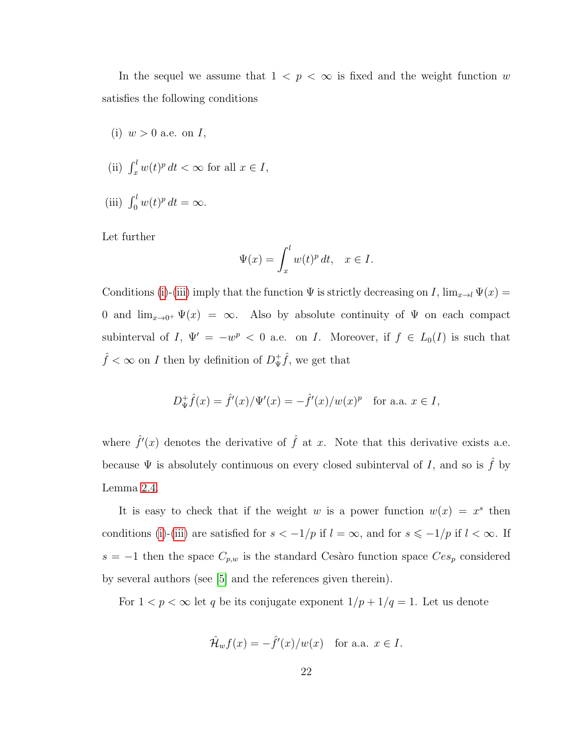In the sequel we assume that  $1 < p < \infty$  is fixed and the weight function w satisfies the following conditions

- <span id="page-28-0"></span>(i)  $w > 0$  a.e. on  $I$ ,
- <span id="page-28-2"></span>(ii)  $\int_x^l w(t)^p dt < \infty$  for all  $x \in I$ ,
- <span id="page-28-1"></span>(iii)  $\int_0^l w(t)^p dt = \infty$ .

Let further

$$
\Psi(x) = \int_x^l w(t)^p \, dt, \quad x \in I.
$$

Conditions [\(i\)](#page-28-0)-[\(iii\)](#page-28-1) imply that the function  $\Psi$  is strictly decreasing on I,  $\lim_{x\to l} \Psi(x) =$ 0 and  $\lim_{x\to 0^+} \Psi(x) = \infty$ . Also by absolute continuity of  $\Psi$  on each compact subinterval of I,  $\Psi' = -w^p < 0$  a.e. on I. Moreover, if  $f \in L_0(I)$  is such that  $\hat{f} < \infty$  on *I* then by definition of  $D^+_{\Psi}$  $\frac{1}{\Psi} \hat{f}$ , we get that

$$
D_{\Psi}^{+}\hat{f}(x) = \hat{f}'(x)/\Psi'(x) = -\hat{f}'(x)/w(x)^{p}
$$
 for a.a.  $x \in I$ ,

where  $\hat{f}'(x)$  denotes the derivative of  $\hat{f}$  at x. Note that this derivative exists a.e. because  $\Psi$  is absolutely continuous on every closed subinterval of I, and so is  $\hat{f}$  by Lemma [2.4.](#page-16-0)

It is easy to check that if the weight w is a power function  $w(x) = x^s$  then conditions [\(i\)](#page-28-0)-[\(iii\)](#page-28-1) are satisfied for  $s < -1/p$  if  $l = \infty$ , and for  $s \le -1/p$  if  $l < \infty$ . If s = −1 then the space  $C_{p,w}$  is the standard Cesàro function space  $C_{e,p}$  considered by several authors (see [\[5\]](#page-94-4) and the references given therein).

For  $1 < p < \infty$  let  $q$  be its conjugate exponent  $1/p + 1/q = 1.$  Let us denote

$$
\hat{\mathcal{H}}_w f(x) = -\hat{f}'(x)/w(x) \quad \text{for a.a. } x \in I.
$$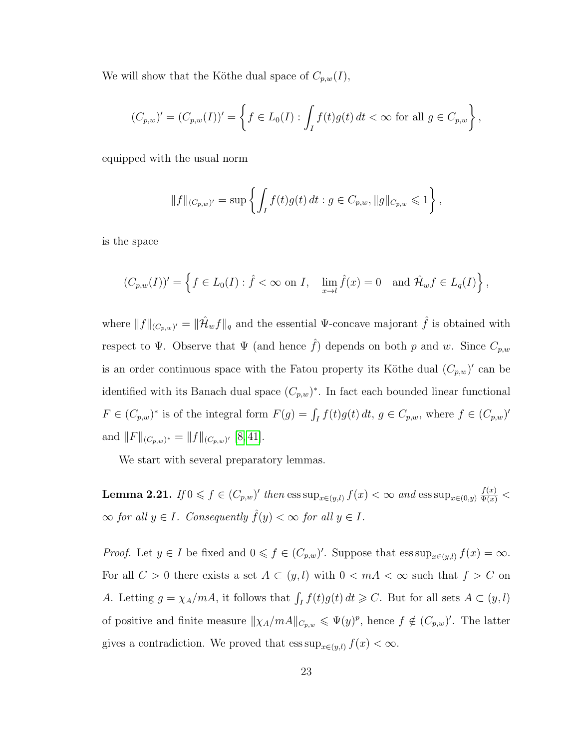We will show that the Köthe dual space of  $C_{p,w}(I)$ ,

$$
(C_{p,w})' = (C_{p,w}(I))' = \left\{ f \in L_0(I) : \int_I f(t)g(t) dt < \infty \text{ for all } g \in C_{p,w} \right\},\
$$

equipped with the usual norm

$$
||f||_{(C_{p,w})'} = \sup \left\{ \int_I f(t)g(t) dt : g \in C_{p,w}, ||g||_{C_{p,w}} \leq 1 \right\},\,
$$

is the space

$$
(C_{p,w}(I))' = \left\{ f \in L_0(I) : \hat{f} < \infty \text{ on } I, \quad \lim_{x \to l} \hat{f}(x) = 0 \quad \text{and } \hat{\mathcal{H}}_w f \in L_q(I) \right\},
$$

where  $||f||_{(C_p,w)'} = ||\hat{\mathcal{H}}_w f||_q$  and the essential  $\Psi$ -concave majorant  $\hat{f}$  is obtained with respect to Ψ. Observe that Ψ (and hence  $\hat{f}$ ) depends on both p and w. Since  $C_{p,w}$ is an order continuous space with the Fatou property its Köthe dual  $(C_{p,w})'$  can be identified with its Banach dual space  $(C_{p,w})^*$ . In fact each bounded linear functional  $F \in (C_{p,w})^*$  is of the integral form  $F(g) = \int_I f(t)g(t) dt$ ,  $g \in C_{p,w}$ , where  $f \in (C_{p,w})'$ and  $||F||_{(C_p,w)^*} = ||f||_{(C_p,w)^{'}}$  [\[8,](#page-94-7)41].

We start with several preparatory lemmas.

**Lemma 2.21.** *If*  $0 \leq f \in (C_{p,w})'$  *then*  $\text{ess sup}_{x \in (y,l)} f(x) < \infty$  *and*  $\text{ess sup}_{x \in (0,y)} \frac{f(x)}{\Psi(x)} <$  $\infty$  *for all*  $y \in I$ *. Consequently*  $\hat{f}(y) < \infty$  *for all*  $y \in I$ *.* 

*Proof.* Let  $y \in I$  be fixed and  $0 \leq f \in (C_{p,w})'$ . Suppose that  $\operatorname{ess \, sup}_{x \in (y,l)} f(x) = \infty$ . For all  $C > 0$  there exists a set  $A \subset (y, l)$  with  $0 < mA < \infty$  such that  $f > C$  on A. Letting  $g = \chi_A/mA$ , it follows that  $\int_I f(t)g(t) dt \geqslant C$ . But for all sets  $A \subset (y, l)$ of positive and finite measure  $\|\chi_A/mA\|_{C_{p,w}} \leqslant \Psi(y)^p$ , hence  $f \notin (C_{p,w})'$ . The latter gives a contradiction. We proved that  $\operatorname{ess\,sup}_{x\in(y,l)} f(x) < \infty$ .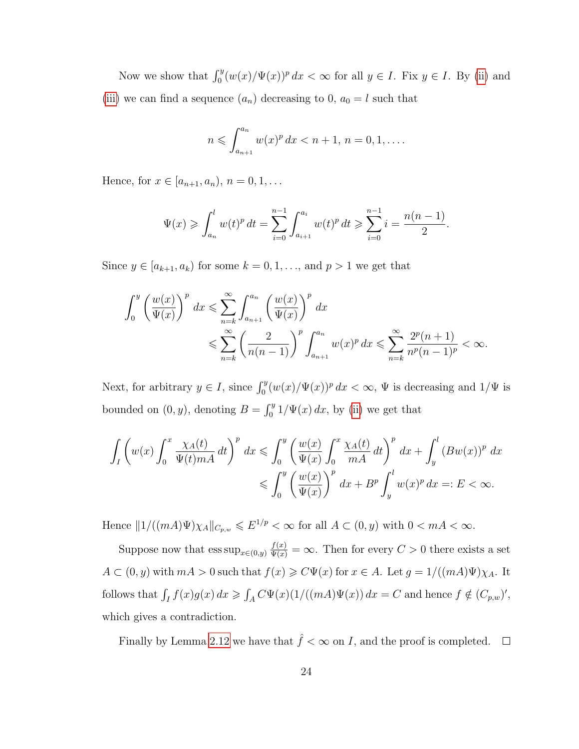Now we show that  $\int_0^y (w(x)/\Psi(x))^p dx < \infty$  for all  $y \in I$ . Fix  $y \in I$ . By [\(ii\)](#page-28-2) and [\(iii\)](#page-28-1) we can find a sequence  $(a_n)$  decreasing to 0,  $a_0 = l$  such that

$$
n \leqslant \int_{a_{n+1}}^{a_n} w(x)^p dx < n+1, \, n=0,1,\ldots.
$$

Hence, for  $x \in [a_{n+1}, a_n)$ ,  $n = 0, 1, ...$ 

$$
\Psi(x) \geqslant \int_{a_n}^l w(t)^p dt = \sum_{i=0}^{n-1} \int_{a_{i+1}}^{a_i} w(t)^p dt \geqslant \sum_{i=0}^{n-1} i = \frac{n(n-1)}{2}.
$$

Since  $y \in [a_{k+1}, a_k)$  for some  $k = 0, 1, \ldots$ , and  $p > 1$  we get that

$$
\int_0^y \left(\frac{w(x)}{\Psi(x)}\right)^p dx \leqslant \sum_{n=k}^\infty \int_{a_{n+1}}^{a_n} \left(\frac{w(x)}{\Psi(x)}\right)^p dx
$$
  

$$
\leqslant \sum_{n=k}^\infty \left(\frac{2}{n(n-1)}\right)^p \int_{a_{n+1}}^{a_n} w(x)^p dx \leqslant \sum_{n=k}^\infty \frac{2^p(n+1)}{n^p(n-1)^p} < \infty.
$$

Next, for arbitrary  $y \in I$ , since  $\int_0^y (w(x)/\Psi(x))^p dx < \infty$ ,  $\Psi$  is decreasing and  $1/\Psi$  is bounded on  $(0, y)$ , denoting  $B = \int_0^y 1/\Psi(x) dx$ , by [\(ii\)](#page-28-2) we get that

$$
\int_{I} \left( w(x) \int_{0}^{x} \frac{\chi_{A}(t)}{\Psi(t)mA} dt \right)^{p} dx \leq \int_{0}^{y} \left( \frac{w(x)}{\Psi(x)} \int_{0}^{x} \frac{\chi_{A}(t)}{mA} dt \right)^{p} dx + \int_{y}^{l} (Bw(x))^{p} dx
$$
  

$$
\leq \int_{0}^{y} \left( \frac{w(x)}{\Psi(x)} \right)^{p} dx + B^{p} \int_{y}^{l} w(x)^{p} dx =: E < \infty.
$$

Hence  $||1/((mA)\Psi)\chi_A||_{C_{p,w}} \leqslant E^{1/p} < \infty$  for all  $A \subset (0, y)$  with  $0 < mA < \infty$ .

Suppose now that  $\text{ess sup}_{x\in(0,y)}\frac{f(x)}{\Psi(x)} = \infty$ . Then for every  $C > 0$  there exists a set  $A \subset (0, y)$  with  $mA > 0$  such that  $f(x) \geq C\Psi(x)$  for  $x \in A$ . Let  $g = 1/((mA)\Psi)\chi_A$ . It follows that  $\int_I f(x)g(x) dx \geq \int_A C\Psi(x) (1/((mA)\Psi(x)) dx = C$  and hence  $f \notin (C_{p,w})'$ , which gives a contradiction.

Finally by Lemma [2.12](#page-20-0) we have that  $\hat{f} < \infty$  on I, and the proof is completed.  $\Box$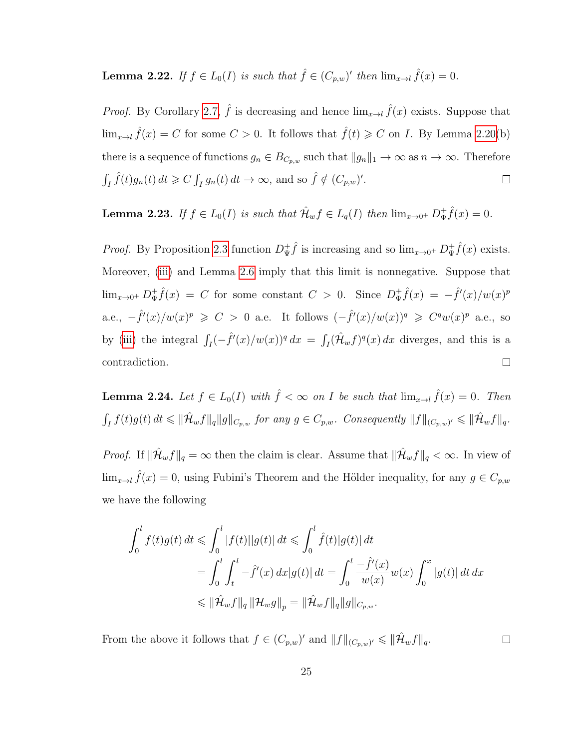**Lemma 2.22.** If  $f \in L_0(I)$  is such that  $\hat{f} \in (C_{p,w})'$  then  $\lim_{x \to l} \hat{f}(x) = 0$ .

*Proof.* By Corollary [2.7,](#page-17-3)  $\hat{f}$  is decreasing and hence  $\lim_{x\to l} \hat{f}(x)$  exists. Suppose that  $\lim_{x\to l} \hat{f}(x) = C$  for some  $C > 0$ . It follows that  $\hat{f}(t) \geq C$  on I. By Lemma [2.20\(](#page-1-0)b) there is a sequence of functions  $g_n \in B_{C_{p,w}}$  such that  $||g_n||_1 \to \infty$  as  $n \to \infty$ . Therefore  $\int_I \hat{f}(t)g_n(t) dt \geqslant C \int_I g_n(t) dt \to \infty$ , and so  $\hat{f} \notin (C_{p,w})'.$  $\Box$ 

<span id="page-31-1"></span>**Lemma 2.23.** *If*  $f \in L_0(I)$  *is such that*  $\hat{\mathcal{H}}_w f \in L_q(I)$  *then*  $\lim_{x\to 0^+} D^+_{\Psi}$  $_{\Psi}^{+}\hat{f}(x) = 0.$ 

 $\oint_{\Psi}^{\dagger} \hat{f}$  is increasing and so  $\lim_{x\to 0^+} D^+_{\Psi}$  $\hat{f}(x)$  exists. *Proof.* By Proposition [2.3](#page-16-1) function  $D^+_{\Psi}$ Moreover, [\(iii\)](#page-28-1) and Lemma [2.6](#page-17-1) imply that this limit is nonnegative. Suppose that  $\oint_{\Psi} \hat{f}(x) = C$  for some constant  $C > 0$ . Since  $D_{\Psi}^+$  $\frac{1}{\Psi}\hat{f}(x) = -\hat{f}'(x)/w(x)^p$  $\lim_{x\to 0^+} D^+_{\Psi}$ a.e.,  $-\hat{f}'(x)/w(x)^p \geqslant C > 0$  a.e. It follows  $(-\hat{f}'(x)/w(x))^q \geqslant C^q w(x)^p$  a.e., so by [\(iii\)](#page-28-1) the integral  $\int_I (-\hat{f}'(x)/w(x))^q dx = \int_I (\hat{\mathcal{H}}_w f)^q(x) dx$  diverges, and this is a contradiction.  $\Box$ 

<span id="page-31-0"></span>**Lemma 2.24.** Let  $f \in L_0(I)$  with  $\hat{f} < \infty$  on I be such that  $\lim_{x \to l} \hat{f}(x) = 0$ . Then  $\int_I f(t)g(t) dt \leq \|\hat{\mathcal{H}}_w f\|_q \|g\|_{C_{p,w}}$  for any  $g \in C_{p,w}$ . Consequently  $\|f\|_{(C_{p,w})'} \leq \|\hat{\mathcal{H}}_w f\|_q$ .

*Proof.* If  $\|\hat{\mathcal{H}}_w f\|_q = \infty$  then the claim is clear. Assume that  $\|\hat{\mathcal{H}}_w f\|_q < \infty$ . In view of  $\lim_{x\to l} \hat{f}(x) = 0$ , using Fubini's Theorem and the Hölder inequality, for any  $g \in C_{p,w}$ we have the following

$$
\int_0^l f(t)g(t) dt \leq \int_0^l |f(t)||g(t)| dt \leq \int_0^l \hat{f}(t)|g(t)| dt \n= \int_0^l \int_t^l -\hat{f}'(x) dx |g(t)| dt = \int_0^l \frac{-\hat{f}'(x)}{w(x)} w(x) \int_0^x |g(t)| dt dx \n\leq \|\hat{\mathcal{H}}_w f\|_q \|\mathcal{H}_w g\|_p = \|\hat{\mathcal{H}}_w f\|_q \|g\|_{C_{p,w}}.
$$

From the above it follows that  $f \in (C_{p,w})'$  and  $||f||_{(C_{p,w})'} \leq ||\hat{\mathcal{H}}_w f||_q$ .

 $\Box$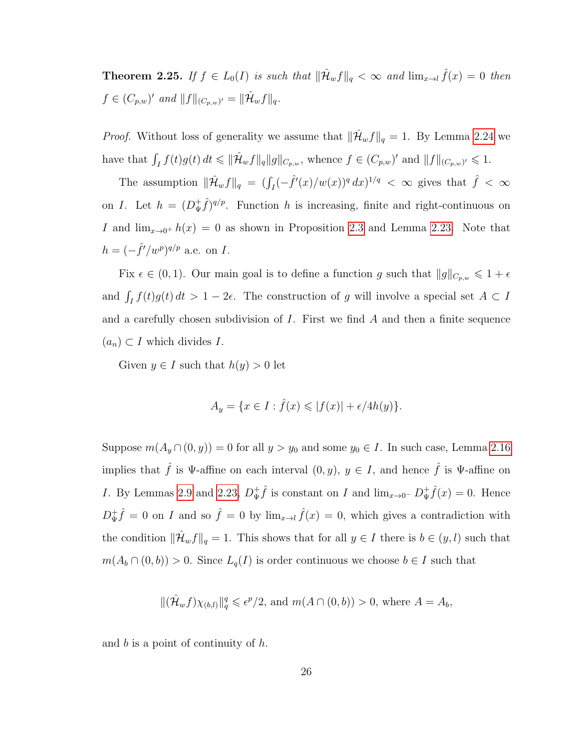**Theorem 2.25.** If  $f \in L_0(I)$  is such that  $\|\hat{\mathcal{H}}_w f\|_q < \infty$  and  $\lim_{x\to l} \hat{f}(x) = 0$  then  $f \in (C_{p,w})'$  and  $||f||_{(C_{p,w})'} = ||\hat{\mathcal{H}}_w f||_q$ .

*Proof.* Without loss of generality we assume that  $\|\hat{\mathcal{H}}_w f\|_q = 1$ . By Lemma [2.24](#page-31-0) we have that  $\int_I f(t)g(t) dt \leq \|\hat{\mathcal{H}}_w f\|_q \|g\|_{C_{p,w}},$  whence  $f \in (C_{p,w})'$  and  $||f||_{(C_{p,w})'} \leq 1$ .

The assumption  $\|\hat{\mathcal{H}}_w f\|_q = (\int_I (-\hat{f}'(x)/w(x))^q dx)^{1/q} < \infty$  gives that  $\hat{f} < \infty$ on *I*. Let  $h = (D^+_\Psi)$  $(\frac{1}{\Psi}\hat{f})^{q/p}$ . Function h is increasing, finite and right-continuous on I and  $\lim_{x\to 0^+} h(x) = 0$  as shown in Proposition [2.3](#page-16-1) and Lemma [2.23.](#page-31-1) Note that  $h = (-\hat{f}'/w^p)^{q/p}$  a.e. on I.

Fix  $\epsilon \in (0, 1)$ . Our main goal is to define a function g such that  $||g||_{C_{p,w}} \leq 1 + \epsilon$ and  $\int_I f(t)g(t) dt > 1 - 2\epsilon$ . The construction of g will involve a special set  $A \subset I$ and a carefully chosen subdivision of  $I$ . First we find  $A$  and then a finite sequence  $(a_n) \subset I$  which divides I.

Given  $y \in I$  such that  $h(y) > 0$  let

$$
A_y = \{ x \in I : \hat{f}(x) \le |f(x)| + \epsilon/4h(y) \}.
$$

Suppose  $m(A_y \cap (0, y)) = 0$  for all  $y > y_0$  and some  $y_0 \in I$ . In such case, Lemma [2.16](#page-24-0) implies that  $\hat{f}$  is Ψ-affine on each interval  $(0, y), y \in I$ , and hence  $\hat{f}$  is Ψ-affine on I. By Lemmas [2.9](#page-18-0) and [2.23,](#page-31-1)  $D_{\Psi}^+$  $\oint_{\Psi} \hat{f}$  is constant on I and  $\lim_{x\to 0^-} D^+_{\Psi}$  $\oint_{\Psi} \hat{f}(x) = 0$ . Hence  $D^+_{\Psi}$  $\psi^+ \hat{f} = 0$  on I and so  $\hat{f} = 0$  by  $\lim_{x \to l} \hat{f}(x) = 0$ , which gives a contradiction with the condition  $\|\hat{\mathcal{H}}_w f\|_q = 1$ . This shows that for all  $y \in I$  there is  $b \in (y, l)$  such that  $m(A_b \cap (0, b)) > 0$ . Since  $L_q(I)$  is order continuous we choose  $b \in I$  such that

 $\|(\hat{\mathcal{H}}_w f)\chi_{(b,l)}\|_q^q \leqslant \epsilon^p/2$ , and  $m(A \cap (0,b)) > 0$ , where  $A = A_b$ ,

and  $b$  is a point of continuity of  $h$ .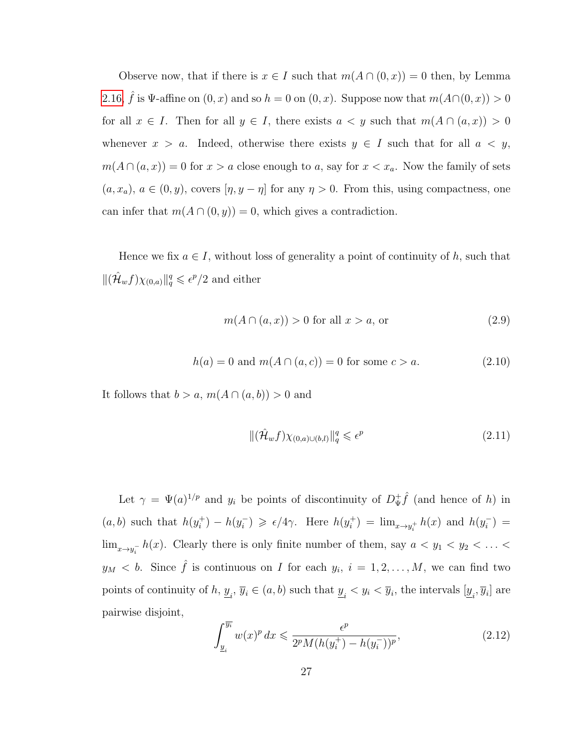Observe now, that if there is  $x \in I$  such that  $m(A \cap (0, x)) = 0$  then, by Lemma [2.16,](#page-24-0)  $\hat{f}$  is  $\Psi$ -affine on  $(0, x)$  and so  $h = 0$  on  $(0, x)$ . Suppose now that  $m(A \cap (0, x)) > 0$ for all  $x \in I$ . Then for all  $y \in I$ , there exists  $a < y$  such that  $m(A \cap (a, x)) > 0$ whenever  $x > a$ . Indeed, otherwise there exists  $y \in I$  such that for all  $a < y$ ,  $m(A \cap (a, x)) = 0$  for  $x > a$  close enough to a, say for  $x < x_a$ . Now the family of sets  $(a, x_a), a \in (0, y)$ , covers  $[\eta, y - \eta]$  for any  $\eta > 0$ . From this, using compactness, one can infer that  $m(A \cap (0, y)) = 0$ , which gives a contradiction.

Hence we fix  $a \in I$ , without loss of generality a point of continuity of h, such that  $\|(\hat{\mathcal{H}}_w f)\chi_{(0,a)}\|_q^q \leqslant \epsilon^p/2$  and either

<span id="page-33-1"></span>
$$
m(A \cap (a, x)) > 0 \text{ for all } x > a, \text{ or } (2.9)
$$

<span id="page-33-0"></span>
$$
h(a) = 0 \text{ and } m(A \cap (a, c)) = 0 \text{ for some } c > a.
$$
 (2.10)

It follows that  $b > a$ ,  $m(A \cap (a, b)) > 0$  and

$$
\|(\hat{\mathcal{H}}_w f)\chi_{(0,a)\cup(b,l)}\|_q^q \leqslant \epsilon^p \tag{2.11}
$$

Let  $\gamma = \Psi(a)^{1/p}$  and  $y_i$  be points of discontinuity of  $D^+_{\Psi}$  $\oint_{\Psi} \hat{f}$  (and hence of h) in  $(a, b)$  such that  $h(y_i^+)$  $i^{\dagger}) - h(y_i^{-})$  $\epsilon_i$ )  $\geqslant \epsilon/4\gamma$ . Here  $h(y_i^+)$  $h_i^{\dagger}) = \lim_{x \to y_i^+} h(x)$  and  $h(y_i^-)$  $\binom{-}{i} =$  $\lim_{x\to y_i^-} h(x)$ . Clearly there is only finite number of them, say  $a < y_1 < y_2 < \ldots <$  $y_M < b$ . Since  $\hat{f}$  is continuous on I for each  $y_i$ ,  $i = 1, 2, ..., M$ , we can find two points of continuity of  $h, y_{i}$ ,  $\overline{y}_{i} \in (a, b)$  such that  $y_{i} < y_{i} < \overline{y}_{i}$ , the intervals  $[y_{i}, \overline{y}_{i}]$  are pairwise disjoint,

$$
\int_{\underline{y}_{i}}^{\overline{y_{i}}} w(x)^{p} dx \leq \frac{\epsilon^{p}}{2^{p} M(h(y_{i}^{+}) - h(y_{i}^{-}))^{p}},
$$
\n(2.12)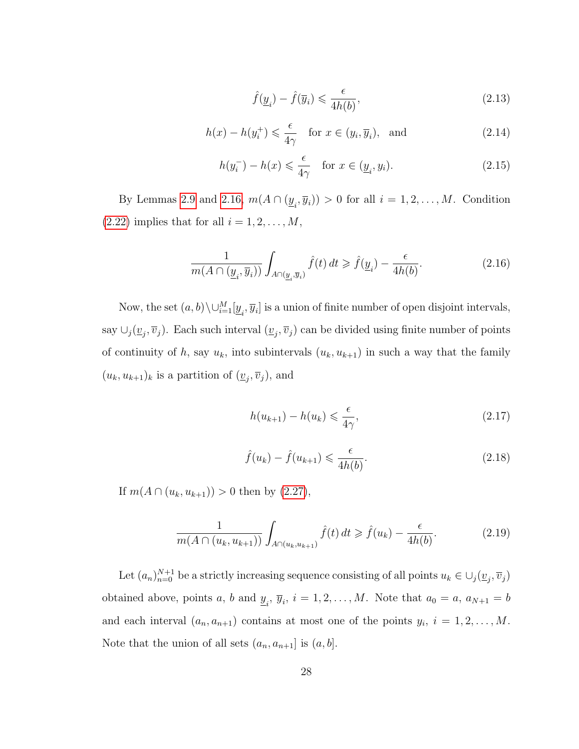$$
\hat{f}(\underline{y}_i) - \hat{f}(\overline{y}_i) \leqslant \frac{\epsilon}{4h(b)},\tag{2.13}
$$

$$
h(x) - h(y_i^+) \leq \frac{\epsilon}{4\gamma} \quad \text{for } x \in (y_i, \overline{y}_i), \text{ and} \tag{2.14}
$$

$$
h(y_i^-) - h(x) \leq \frac{\epsilon}{4\gamma} \quad \text{for } x \in (\underline{y}_i, y_i). \tag{2.15}
$$

By Lemmas [2.9](#page-18-0) and [2.16,](#page-24-0)  $m(A \cap (\underline{y}_i, \overline{y}_i)) > 0$  for all  $i = 1, 2, ..., M$ . Condition  $(2.22)$  implies that for all  $i = 1, 2, \ldots, M$ ,

$$
\frac{1}{m(A \cap (\underline{y}_i, \overline{y}_i))} \int_{A \cap (\underline{y}_i, \overline{y}_i)} \hat{f}(t) dt \ge \hat{f}(\underline{y}_i) - \frac{\epsilon}{4h(b)}.
$$
\n(2.16)

Now, the set  $(a, b) \setminus \cup_{i=1}^M [y_i, \overline{y}_i]$  is a union of finite number of open disjoint intervals, say  $\cup_j(\underline{v}_j, \overline{v}_j)$ . Each such interval  $(\underline{v}_j, \overline{v}_j)$  can be divided using finite number of points of continuity of h, say  $u_k$ , into subintervals  $(u_k, u_{k+1})$  in such a way that the family  $(u_k, u_{k+1})_k$  is a partition of  $(\underline{v}_j, \overline{v}_j)$ , and

$$
h(u_{k+1}) - h(u_k) \leqslant \frac{\epsilon}{4\gamma},\tag{2.17}
$$

$$
\hat{f}(u_k) - \hat{f}(u_{k+1}) \leq \frac{\epsilon}{4h(b)}.\tag{2.18}
$$

If  $m(A \cap (u_k, u_{k+1})) > 0$  then by  $(2.27)$ ,

$$
\frac{1}{m(A \cap (u_k, u_{k+1}))} \int_{A \cap (u_k, u_{k+1})} \hat{f}(t) dt \ge \hat{f}(u_k) - \frac{\epsilon}{4h(b)}.
$$
 (2.19)

Let  $(a_n)_{n=0}^{N+1}$  be a strictly increasing sequence consisting of all points  $u_k \in \bigcup_j (\underline{v}_j, \overline{v}_j)$ obtained above, points a, b and  $\underline{y}_i$ ,  $\overline{y}_i$ ,  $i = 1, 2, ..., M$ . Note that  $a_0 = a$ ,  $a_{N+1} = b$ and each interval  $(a_n, a_{n+1})$  contains at most one of the points  $y_i$ ,  $i = 1, 2, ..., M$ . Note that the union of all sets  $(a_n, a_{n+1}]$  is  $(a, b]$ .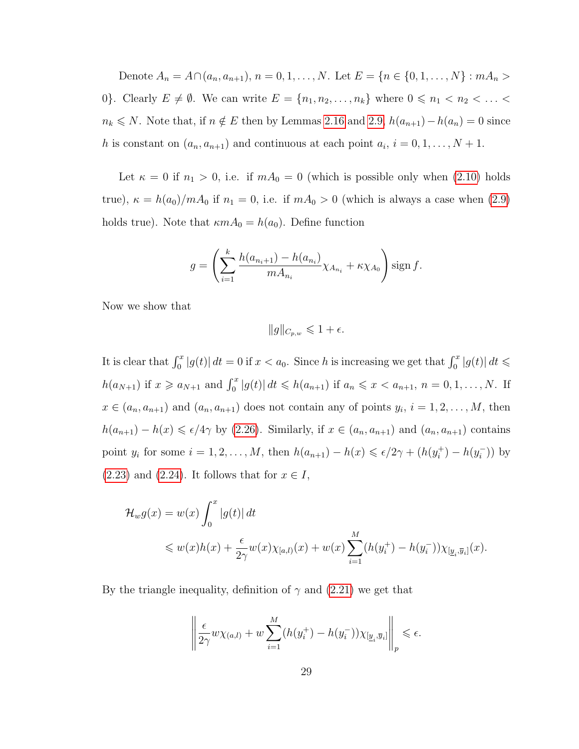Denote  $A_n = A \cap (a_n, a_{n+1}), n = 0, 1, ..., N$ . Let  $E = \{n \in \{0, 1, ..., N\} : mA_n >$ 0}. Clearly  $E \neq \emptyset$ . We can write  $E = \{n_1, n_2, \ldots, n_k\}$  where  $0 \leq n_1 < n_2 < \ldots <$  $n_k \le N$ . Note that, if  $n \notin E$  then by Lemmas [2.16](#page-24-0) and [2.9,](#page-18-0)  $h(a_{n+1}) - h(a_n) = 0$  since h is constant on  $(a_n, a_{n+1})$  and continuous at each point  $a_i$ ,  $i = 0, 1, ..., N + 1$ .

Let  $\kappa = 0$  if  $n_1 > 0$ , i.e. if  $mA_0 = 0$  (which is possible only when [\(2.10\)](#page-33-0) holds true),  $\kappa = h(a_0)/mA_0$  if  $n_1 = 0$ , i.e. if  $mA_0 > 0$  (which is always a case when [\(2.9\)](#page-33-1) holds true). Note that  $\kappa m A_0 = h(a_0)$ . Define function

$$
g = \left(\sum_{i=1}^{k} \frac{h(a_{n_i+1}) - h(a_{n_i})}{m A_{n_i}} \chi_{A_{n_i}} + \kappa \chi_{A_0}\right) \text{sign } f.
$$

Now we show that

 $||g||_{C_{p,w}} \leqslant 1 + \epsilon.$ 

It is clear that  $\int_0^x |g(t)| dt = 0$  if  $x < a_0$ . Since h is increasing we get that  $\int_0^x |g(t)| dt \leq$  $h(a_{N+1})$  if  $x \ge a_{N+1}$  and  $\int_0^x |g(t)| dt \le h(a_{n+1})$  if  $a_n \le x < a_{n+1}, n = 0, 1, ..., N$ . If  $x \in (a_n, a_{n+1})$  and  $(a_n, a_{n+1})$  does not contain any of points  $y_i$ ,  $i = 1, 2, ..., M$ , then  $h(a_{n+1}) - h(x) \leq \epsilon/4\gamma$  by [\(2.26\)](#page-41-2). Similarly, if  $x \in (a_n, a_{n+1})$  and  $(a_n, a_{n+1})$  contains point  $y_i$  for some  $i = 1, 2, ..., M$ , then  $h(a_{n+1}) - h(x) \leq \epsilon/2\gamma + (h(y_i^+))$  $i^+$ ) –  $h(y_i^-)$  $\binom{(-)}{i}$  by  $(2.23)$  and  $(2.24)$ . It follows that for  $x \in I$ ,

$$
\mathcal{H}_w g(x) = w(x) \int_0^x |g(t)| dt
$$
  
\$\leq w(x)h(x) + \frac{\epsilon}{2\gamma}w(x)\chi\_{[a,l)}(x) + w(x)\sum\_{i=1}^M (h(y\_i^+) - h(y\_i^-))\chi\_{[\underline{y}\_i,\overline{y}\_i]}(x).

By the triangle inequality, definition of  $\gamma$  and [\(2.21\)](#page-41-5) we get that

$$
\left\| \frac{\epsilon}{2\gamma} w \chi_{(a,l)} + w \sum_{i=1}^M (h(y_i^+) - h(y_i^-)) \chi_{[\underline{y}_i, \overline{y}_i]} \right\|_p \leq \epsilon.
$$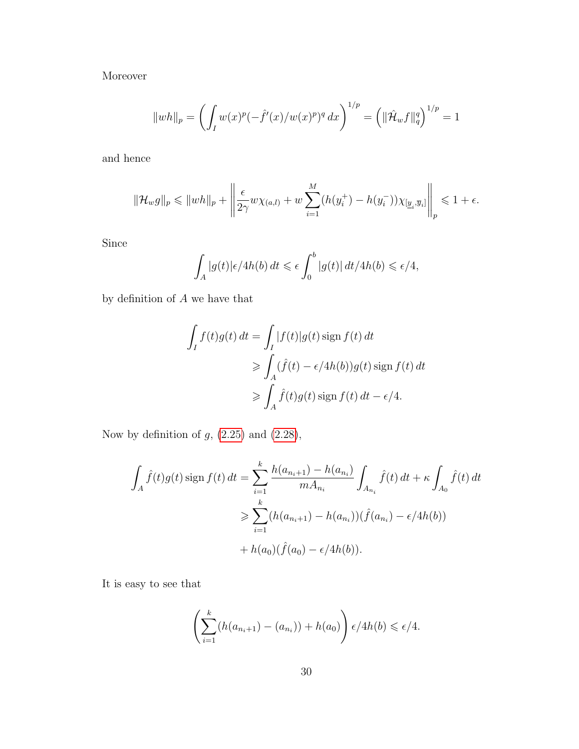Moreover

$$
||wh||_p = \left(\int_I w(x)^p (-\hat{f}'(x)/w(x)^p)^q dx\right)^{1/p} = \left(||\hat{\mathcal{H}}_w f||_q^q\right)^{1/p} = 1
$$

and hence

$$
\|\mathcal{H}_w g\|_p \le \|wh\|_p + \left\|\frac{\epsilon}{2\gamma}w\chi_{(a,l)} + w\sum_{i=1}^M (h(y_i^+) - h(y_i^-))\chi_{[\underline{y}_i,\overline{y}_i]}\right\|_p \le 1 + \epsilon.
$$

Since

$$
\int_A |g(t)| \epsilon/4h(b) dt \leq \epsilon \int_0^b |g(t)| dt/4h(b) \leq \epsilon/4,
$$

by definition of  $\boldsymbol{A}$  we have that

$$
\int_I f(t)g(t) dt = \int_I |f(t)|g(t) \operatorname{sign} f(t) dt
$$
  
\n
$$
\geq \int_A (\hat{f}(t) - \epsilon/4h(b))g(t) \operatorname{sign} f(t) dt
$$
  
\n
$$
\geq \int_A \hat{f}(t)g(t) \operatorname{sign} f(t) dt - \epsilon/4.
$$

Now by definition of  $g$ ,  $(2.25)$  and  $(2.28)$ ,

$$
\int_{A} \hat{f}(t)g(t) \operatorname{sign} f(t) dt = \sum_{i=1}^{k} \frac{h(a_{n_i+1}) - h(a_{n_i})}{m A_{n_i}} \int_{A_{n_i}} \hat{f}(t) dt + \kappa \int_{A_0} \hat{f}(t) dt
$$

$$
\geq \sum_{i=1}^{k} (h(a_{n_i+1}) - h(a_{n_i})) (\hat{f}(a_{n_i}) - \epsilon/4h(b))
$$

$$
+ h(a_0)(\hat{f}(a_0) - \epsilon/4h(b)).
$$

It is easy to see that

$$
\left(\sum_{i=1}^k (h(a_{n_i+1}) - (a_{n_i})) + h(a_0)\right) \epsilon/4h(b) \leq \epsilon/4.
$$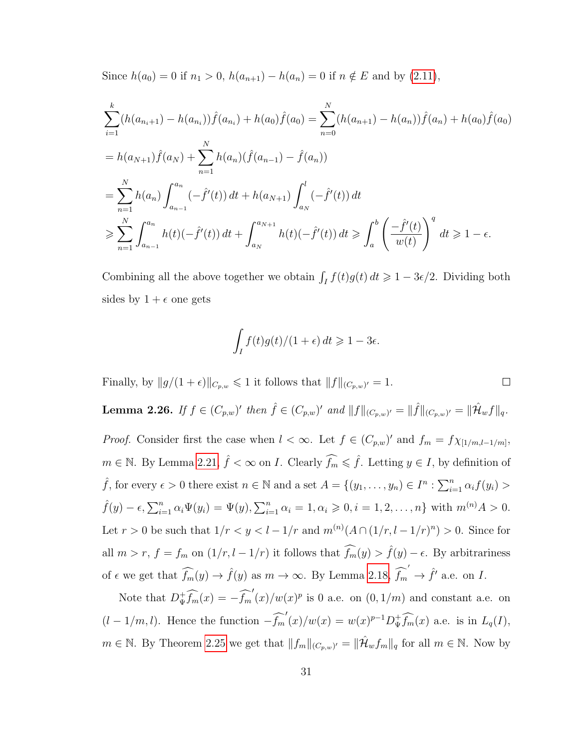Since  $h(a_0) = 0$  if  $n_1 > 0$ ,  $h(a_{n+1}) - h(a_n) = 0$  if  $n \notin E$  and by [\(2.11\)](#page-33-0),

$$
\sum_{i=1}^{k} (h(a_{n_i+1}) - h(a_{n_i})) \hat{f}(a_{n_i}) + h(a_0) \hat{f}(a_0) = \sum_{n=0}^{N} (h(a_{n+1}) - h(a_n)) \hat{f}(a_n) + h(a_0) \hat{f}(a_0)
$$
  
=  $h(a_{N+1}) \hat{f}(a_N) + \sum_{n=1}^{N} h(a_n) (\hat{f}(a_{n-1}) - \hat{f}(a_n))$   
=  $\sum_{n=1}^{N} h(a_n) \int_{a_{n-1}}^{a_n} (-\hat{f}'(t)) dt + h(a_{N+1}) \int_{a_N}^{l} (-\hat{f}'(t)) dt$   
 $\geqslant \sum_{n=1}^{N} \int_{a_{n-1}}^{a_n} h(t) (-\hat{f}'(t)) dt + \int_{a_N}^{a_{N+1}} h(t) (-\hat{f}'(t)) dt \geqslant \int_{a}^{b} \left(\frac{-\hat{f}'(t)}{w(t)}\right)^{q} dt \geqslant 1 - \epsilon.$ 

Combining all the above together we obtain  $\int_I f(t)g(t) dt \geq 1 - 3\epsilon/2$ . Dividing both sides by  $1 + \epsilon$  one gets

$$
\int_I f(t)g(t)/(1+\epsilon) dt \ge 1-3\epsilon.
$$

Finally, by  $||g/(1 + \epsilon)||_{C_{p,w}} \leq 1$  it follows that  $||f||_{(C_{p,w})'} = 1$ .  $\Box$ 

<span id="page-37-0"></span>**Lemma 2.26.** If  $f \in (C_{p,w})'$  then  $\hat{f} \in (C_{p,w})'$  and  $||f||_{(C_{p,w})'} = ||\hat{f}||_{(C_{p,w})'} = ||\hat{\mathcal{H}}_w f||_q$ . *Proof.* Consider first the case when  $l < \infty$ . Let  $f \in (C_{p,w})'$  and  $f_m = f \chi_{[1/m, l-1/m]}$ ,  $m \in \mathbb{N}$ . By Lemma [2.21,](#page-29-0)  $\hat{f} < \infty$  on *I*. Clearly  $\widehat{f}_m \leq \hat{f}$ . Letting  $y \in I$ , by definition of  $\hat{f}$ , for every  $\epsilon > 0$  there exist  $n \in \mathbb{N}$  and a set  $A = \{(y_1, \ldots, y_n) \in I^n : \sum_{i=1}^n \alpha_i f(y_i) >$  $\hat{f}(y) - \epsilon, \sum_{i=1}^{n} \alpha_i \Psi(y_i) = \Psi(y), \sum_{i=1}^{n} \alpha_i = 1, \alpha_i \geq 0, i = 1, 2, ..., n\}$  with  $m^{(n)}A > 0$ . Let  $r > 0$  be such that  $1/r < y < l - 1/r$  and  $m^{(n)}(A \cap (1/r, l - 1/r)^n) > 0$ . Since for all  $m > r$ ,  $f = f_m$  on  $(1/r, l - 1/r)$  it follows that  $\widehat{f}_m(y) > \widehat{f}(y) - \epsilon$ . By arbitrariness of  $\epsilon$  we get that  $\widehat{f_m}(y) \to \widehat{f}(y)$  as  $m \to \infty$ . By Lemma [2.18,](#page-26-0)  $\widehat{f_m}' \to \widehat{f}'$  a.e. on I.

Note that  $D_{\Psi}^{\dagger} \widehat{f_m}(x) = -\widehat{f_m}'(x)/w(x)^p$  is 0 a.e. on  $(0, 1/m)$  and constant a.e. on  $(l-1/m, l)$ . Hence the function  $-\widehat{f_m}'(x)/w(x) = w(x)^{p-1}D^+_{\Psi}\widehat{f_m}(x)$  a.e. is in  $L_q(I)$ ,  $m \in \mathbb{N}$ . By Theorem [2.25](#page-32-0) we get that  $||f_m||_{(C_{p,w})'} = ||\hat{\mathcal{H}}_w f_m||_q$  for all  $m \in \mathbb{N}$ . Now by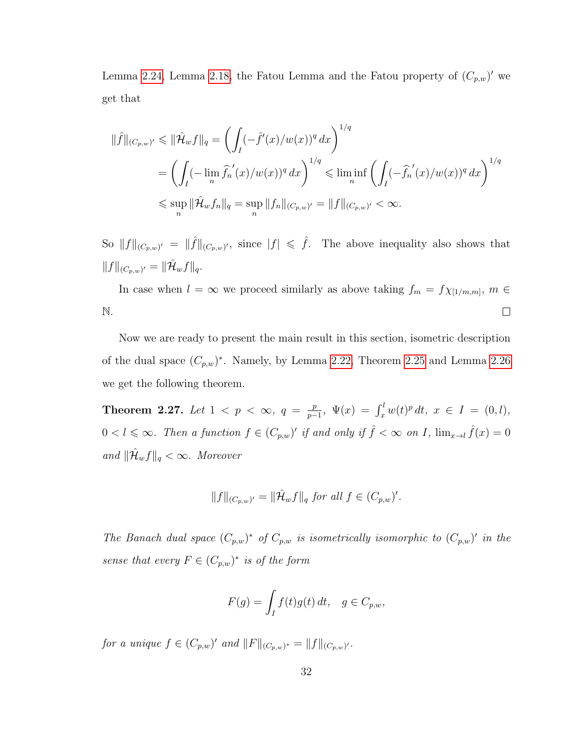Lemma [2.24,](#page-31-0) Lemma [2.18,](#page-26-0) the Fatou Lemma and the Fatou property of  $(C_{p,w})'$  we get that

$$
\|\hat{f}\|_{(C_{p,w})'} \le \|\hat{\mathcal{H}}_{w}f\|_{q} = \left(\int_{I} (-\hat{f}'(x)/w(x))^{q} dx\right)^{1/q}
$$
  
\n
$$
= \left(\int_{I} (-\lim_{n} \hat{f}_{n}^{'}(x)/w(x))^{q} dx\right)^{1/q} \le \liminf_{n} \left(\int_{I} (-\hat{f}_{n}^{'}(x)/w(x))^{q} dx\right)^{1/q}
$$
  
\n
$$
\le \sup_{n} \|\hat{\mathcal{H}}_{w}f_{n}\|_{q} = \sup_{n} \|f_{n}\|_{(C_{p,w})'} = \|f\|_{(C_{p,w})'} < \infty.
$$

So  $||f||_{(C_{p,w})'} = ||\hat{f}||_{(C_{p,w})'}$ , since  $|f| \leq \hat{f}$ . The above inequality also shows that  $||f||_{(C_{p,w})'} = ||\hat{\mathcal{H}}_w f||_q.$ 

In case when  $l = \infty$  we proceed similarly as above taking  $f_m = f \chi_{[1/m,m]}, m \in$ N.  $\Box$ 

Now we are ready to present the main result in this section, isometric description of the dual space  $(C_{p,w})^*$ . Namely, by Lemma [2.22,](#page-31-1) Theorem [2.25](#page-32-0) and Lemma [2.26](#page-37-0) we get the following theorem.

**Theorem 2.27.** Let  $1 \leq p \leq \infty$ ,  $q = \frac{p}{n}$  $\frac{p}{p-1}$ ,  $\Psi(x) = \int_x^l w(t)^p dt$ ,  $x \in I = (0, l)$ ,  $0 < l \leqslant \infty$ . Then a function  $f \in (C_{p,w})'$  if and only if  $\hat{f} < \infty$  on I,  $\lim_{x \to l} \hat{f}(x) = 0$  $and \|\hat{\mathcal{H}}_w f\|_q < \infty$ *. Moreover* 

$$
||f||_{(C_{p,w})'} = ||\hat{\mathcal{H}}_w f||_q \text{ for all } f \in (C_{p,w})'.
$$

*The Banach dual space*  $(C_{p,w})^*$  *of*  $C_{p,w}$  *is isometrically isomorphic to*  $(C_{p,w})'$  *in the sense that every*  $F \in (C_{p,w})^*$  *is of the form* 

$$
F(g) = \int_I f(t)g(t) dt, \quad g \in C_{p,w},
$$

*for a unique*  $f \in (C_{p,w})'$  *and*  $||F||_{(C_{p,w})^*} = ||f||_{(C_{p,w})'}.$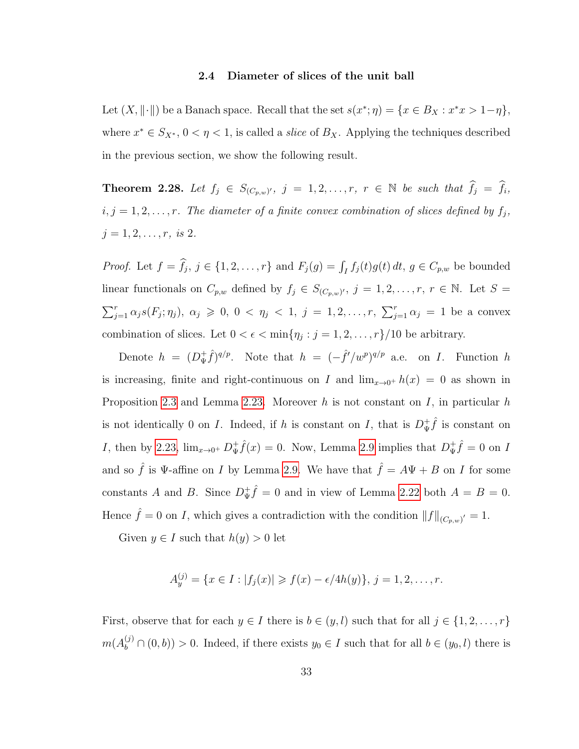#### **2.4 Diameter of slices of the unit ball**

Let  $(X, \|\cdot\|)$  be a Banach space. Recall that the set  $s(x^*; \eta) = \{x \in B_X : x^*x > 1-\eta\},\$ where  $x^* \in S_{X^*}$ ,  $0 < \eta < 1$ , is called a *slice* of  $B_X$ . Applying the techniques described in the previous section, we show the following result.

**Theorem 2.28.** Let  $f_j \in S_{(C_p,w)'}$ ,  $j = 1, 2, \ldots, r$ ,  $r \in \mathbb{N}$  be such that  $\widehat{f}_j = \widehat{f}_i$ ,  $i, j = 1, 2, \ldots, r$ . The diameter of a finite convex combination of slices defined by  $f_j$ ,  $j = 1, 2, \ldots, r$ *, is* 2*.* 

*Proof.* Let  $f = f_j$ ,  $j \in \{1, 2, ..., r\}$  and  $F_j(g) = \int_I f_j(t)g(t) dt$ ,  $g \in C_{p,w}$  be bounded linear functionals on  $C_{p,w}$  defined by  $f_j \in S_{(C_{p,w})'}$ ,  $j = 1, 2, \ldots, r$ ,  $r \in \mathbb{N}$ . Let  $S =$  $\sum_{j=1}^r \alpha_j s(F_j; \eta_j), \ \alpha_j \geq 0, \ 0 \leq \eta_j \leq 1, \ j = 1, 2, \ldots, r, \ \sum_{j=1}^r \alpha_j = 1$  be a convex combination of slices. Let  $0 < \epsilon < \min\{\eta_j : j = 1, 2, ..., r\}/10$  be arbitrary.

Denote  $h = (D_{\Psi}^+)$  $(\frac{f}{\Psi}\hat{f})^{q/p}$ . Note that  $h = (-\hat{f}'/w^p)^{q/p}$  a.e. on *I*. Function h is increasing, finite and right-continuous on I and  $\lim_{x\to 0^+} h(x) = 0$  as shown in Proposition [2.3](#page-16-0) and Lemma [2.23.](#page-31-2) Moreover h is not constant on I, in particular h is not identically 0 on I. Indeed, if h is constant on I, that is  $D^+_{\Psi}$  $\frac{1}{\Psi} \hat{f}$  is constant on I, then by [2.23,](#page-31-2)  $\lim_{x\to 0^+} D^+_{\Psi}$  $\psi^+ \hat{f}(x) = 0$ . Now, Lemma [2.9](#page-18-0) implies that  $D^+_{\Psi}$  $\oint_{\Psi}^{\dagger} \hat{f} = 0$  on I and so  $\hat{f}$  is  $\Psi$ -affine on I by Lemma [2.9.](#page-18-0) We have that  $\hat{f} = A\Psi + B$  on I for some constants A and B. Since  $D_{\Psi}^+$  $\frac{1}{\Psi} \hat{f} = 0$  and in view of Lemma [2.22](#page-31-1) both  $A = B = 0$ . Hence  $\hat{f} = 0$  on I, which gives a contradiction with the condition  $||f||_{(C_{p,w})'} = 1$ .

Given  $y \in I$  such that  $h(y) > 0$  let

$$
A_y^{(j)} = \{x \in I : |f_j(x)| \geq f(x) - \epsilon/4h(y)\}, \ j = 1, 2, \dots, r.
$$

First, observe that for each  $y \in I$  there is  $b \in (y, l)$  such that for all  $j \in \{1, 2, ..., r\}$  $m(A_b^{(j)} \cap (0, b)) > 0$ . Indeed, if there exists  $y_0 \in I$  such that for all  $b \in (y_0, l)$  there is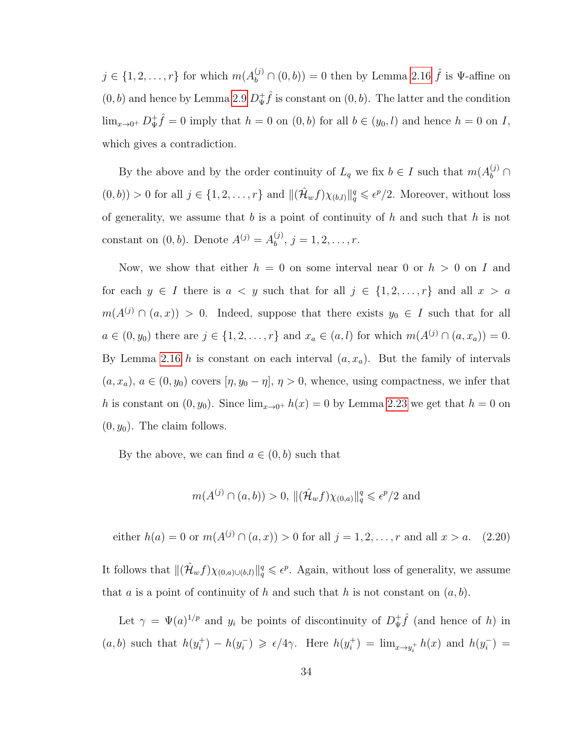$j \in \{1, 2, \ldots, r\}$  for which  $m(A_b^{(j)} \cap (0, b)) = 0$  then by Lemma [2.16](#page-24-0)  $\hat{f}$  is  $\Psi$ -affine on  $(0, b)$  and hence by Lemma [2.9](#page-18-0)  $D_{\Psi}^+$  $\psi^+$  is constant on  $(0, b)$ . The latter and the condition  $\lim_{x\to 0^+} D^+_{\Psi}$  $\psi^+ \hat{f} = 0$  imply that  $h = 0$  on  $(0, b)$  for all  $b \in (y_0, l)$  and hence  $h = 0$  on I, which gives a contradiction.

By the above and by the order continuity of  $L_q$  we fix  $b \in I$  such that  $m(A_b^{(j)} \cap$  $(0,b)) > 0$  for all  $j \in \{1,2,\ldots,r\}$  and  $\|(\hat{\mathcal{H}}_w f)\chi_{(b,l)}\|_q^q \leqslant \epsilon^p/2$ . Moreover, without loss of generality, we assume that  $b$  is a point of continuity of  $h$  and such that  $h$  is not constant on  $(0, b)$ . Denote  $A^{(j)} = A^{(j)}_b$  $b^{(j)}$ ,  $j = 1, 2, \ldots, r$ .

Now, we show that either  $h = 0$  on some interval near 0 or  $h > 0$  on I and for each  $y \in I$  there is  $a \lt y$  such that for all  $j \in \{1, 2, ..., r\}$  and all  $x > a$  $m(A^{(j)} \cap (a, x)) > 0$ . Indeed, suppose that there exists  $y_0 \in I$  such that for all  $a \in (0, y_0)$  there are  $j \in \{1, 2, ..., r\}$  and  $x_a \in (a, l)$  for which  $m(A^{(j)} \cap (a, x_a)) = 0$ . By Lemma [2.16](#page-24-0) h is constant on each interval  $(a, x_a)$ . But the family of intervals  $(a, x_a), a \in (0, y_0)$  covers  $[\eta, y_0 - \eta], \eta > 0$ , whence, using compactness, we infer that h is constant on  $(0, y_0)$ . Since  $\lim_{x\to 0^+} h(x) = 0$  by Lemma [2.23](#page-31-2) we get that  $h = 0$  on  $(0, y_0)$ . The claim follows.

By the above, we can find  $a \in (0, b)$  such that

$$
m(A^{(j)} \cap (a, b)) > 0, \|(\hat{\mathcal{H}}_w f)\chi_{(0,a)}\|_q^q \leq \epsilon^p/2
$$
 and

<span id="page-40-0"></span>either  $h(a) = 0$  or  $m(A^{(j)} \cap (a, x)) > 0$  for all  $j = 1, 2, ..., r$  and all  $x > a$ . (2.20)

It follows that  $\|(\hat{\mathcal{H}}_w f)\chi_{(0,a)\cup(b,l)}\|_q^q\leqslant \epsilon^p$ . Again, without loss of generality, we assume that a is a point of continuity of h and such that h is not constant on  $(a, b)$ .

Let  $\gamma = \Psi(a)^{1/p}$  and  $y_i$  be points of discontinuity of  $D^+_{\Psi}$  $\oint_{\Psi} \hat{f}$  (and hence of h) in  $(a, b)$  such that  $h(y_i^+)$  $i^{\dagger}) - h(y_i^{-})$  $\epsilon_i$ )  $\geqslant \frac{\epsilon}{4\gamma}$ . Here  $h(y_i^+$  $h_i^{\dagger}) = \lim_{x \to y_i^+} h(x)$  and  $h(y_i^-)$  $\binom{-}{i} =$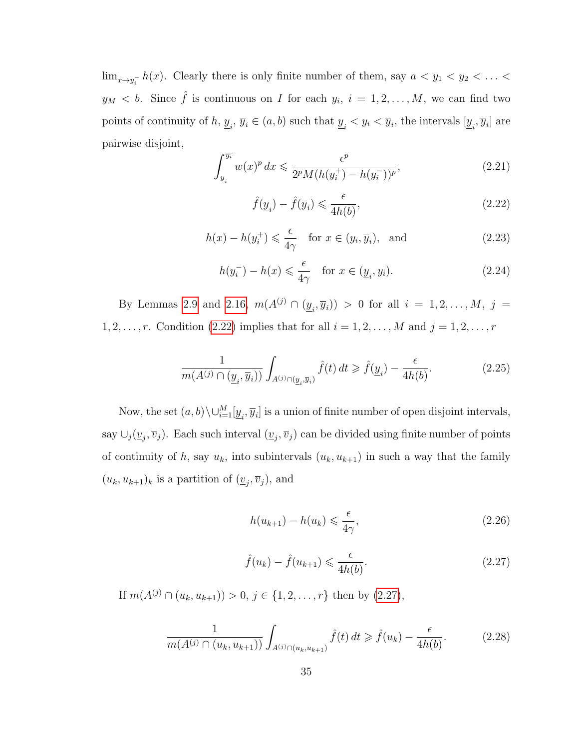$\lim_{x\to y_i^-} h(x)$ . Clearly there is only finite number of them, say  $a < y_1 < y_2 < \ldots <$  $y_M < b$ . Since  $\hat{f}$  is continuous on I for each  $y_i$ ,  $i = 1, 2, ..., M$ , we can find two points of continuity of  $h, y_i, \overline{y}_i \in (a, b)$  such that  $y_i < y_i < \overline{y}_i$ , the intervals  $[y_i, \overline{y}_i]$  are pairwise disjoint,

<span id="page-41-7"></span>
$$
\int_{\underline{y}_{i}}^{\overline{y_{i}}} w(x)^{p} dx \leq \frac{\epsilon^{p}}{2^{p} M(h(y_{i}^{+}) - h(y_{i}^{-}))^{p}},
$$
\n(2.21)

<span id="page-41-2"></span>
$$
\hat{f}(\underline{y}_i) - \hat{f}(\overline{y}_i) \leqslant \frac{\epsilon}{4h(b)},\tag{2.22}
$$

<span id="page-41-5"></span>
$$
h(x) - h(y_i^+) \leq \frac{\epsilon}{4\gamma} \quad \text{for } x \in (y_i, \overline{y}_i), \text{ and} \tag{2.23}
$$

<span id="page-41-6"></span>
$$
h(y_i^-) - h(x) \leq \frac{\epsilon}{4\gamma} \quad \text{for } x \in (\underline{y}_i, y_i). \tag{2.24}
$$

By Lemmas [2.9](#page-18-0) and [2.16,](#page-24-0)  $m(A^{(j)} \cap (y_{i}, \overline{y}_{i})) > 0$  for all  $i = 1, 2, ..., M, j =$ 1, 2, ..., r. Condition [\(2.22\)](#page-41-2) implies that for all  $i = 1, 2, ..., M$  and  $j = 1, 2, ..., r$ 

<span id="page-41-0"></span>
$$
\frac{1}{m(A^{(j)} \cap (\underline{y}_i, \overline{y}_i))} \int_{A^{(j)} \cap (\underline{y}_i, \overline{y}_i)} \hat{f}(t) dt \geq \hat{f}(\underline{y}_i) - \frac{\epsilon}{4h(b)}.\tag{2.25}
$$

Now, the set  $(a, b) \setminus \cup_{i=1}^M [y_i, \overline{y}_i]$  is a union of finite number of open disjoint intervals, say  $\cup_j(\underline{v}_j, \overline{v}_j)$ . Each such interval  $(\underline{v}_j, \overline{v}_j)$  can be divided using finite number of points of continuity of h, say  $u_k$ , into subintervals  $(u_k, u_{k+1})$  in such a way that the family  $(u_k, u_{k+1})_k$  is a partition of  $(\underline{v}_j, \overline{v}_j)$ , and

<span id="page-41-4"></span>
$$
h(u_{k+1}) - h(u_k) \leq \frac{\epsilon}{4\gamma},\tag{2.26}
$$

<span id="page-41-3"></span>
$$
\hat{f}(u_k) - \hat{f}(u_{k+1}) \leq \frac{\epsilon}{4h(b)}.\tag{2.27}
$$

If  $m(A^{(j)} \cap (u_k, u_{k+1})) > 0, j \in \{1, 2, ..., r\}$  then by  $(2.27)$ ,

<span id="page-41-1"></span>
$$
\frac{1}{m(A^{(j)} \cap (u_k, u_{k+1}))} \int_{A^{(j)} \cap (u_k, u_{k+1})} \hat{f}(t) dt \ge \hat{f}(u_k) - \frac{\epsilon}{4h(b)}.
$$
 (2.28)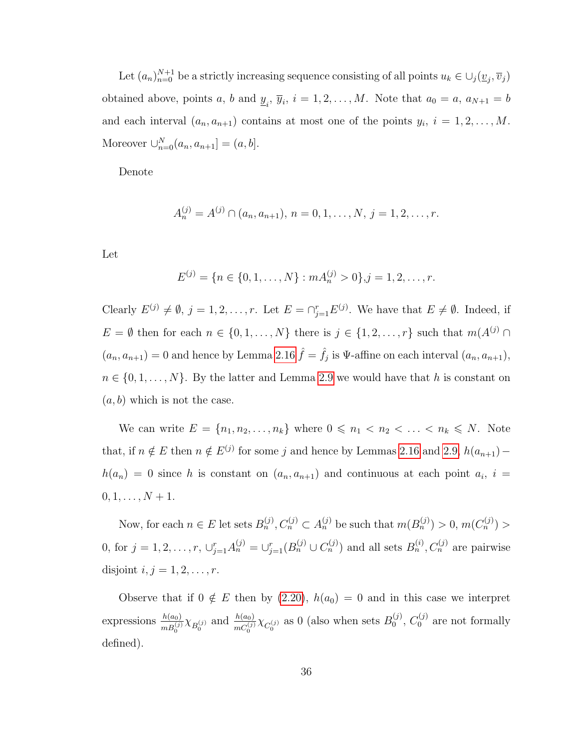Let  $(a_n)_{n=0}^{N+1}$  be a strictly increasing sequence consisting of all points  $u_k \in \bigcup_j (\underline{v}_j, \overline{v}_j)$ obtained above, points a, b and  $\underline{y}_i$ ,  $\overline{y}_i$ ,  $i = 1, 2, ..., M$ . Note that  $a_0 = a$ ,  $a_{N+1} = b$ and each interval  $(a_n, a_{n+1})$  contains at most one of the points  $y_i$ ,  $i = 1, 2, ..., M$ . Moreover  $\cup_{n=0}^{N} (a_n, a_{n+1}] = (a, b].$ 

Denote

$$
A_n^{(j)} = A^{(j)} \cap (a_n, a_{n+1}), n = 0, 1, \dots, N, j = 1, 2, \dots, r.
$$

Let

$$
E^{(j)} = \{n \in \{0, 1, \ldots, N\} : m A_n^{(j)} > 0\}, j = 1, 2, \ldots, r.
$$

Clearly  $E^{(j)} \neq \emptyset$ ,  $j = 1, 2, ..., r$ . Let  $E = \bigcap_{j=1}^{r} E^{(j)}$ . We have that  $E \neq \emptyset$ . Indeed, if  $E = \emptyset$  then for each  $n \in \{0, 1, \ldots, N\}$  there is  $j \in \{1, 2, \ldots, r\}$  such that  $m(A^{(j)} \cap$  $(a_n, a_{n+1}) = 0$  and hence by Lemma [2.16](#page-24-0)  $\hat{f} = \hat{f}_j$  is  $\Psi$ -affine on each interval  $(a_n, a_{n+1})$ ,  $n \in \{0, 1, \ldots, N\}$ . By the latter and Lemma [2.9](#page-18-0) we would have that h is constant on  $(a, b)$  which is not the case.

We can write  $E = \{n_1, n_2, \ldots, n_k\}$  where  $0 \leq n_1 < n_2 < \ldots < n_k \leq N$ . Note that, if  $n \notin E$  then  $n \notin E^{(j)}$  for some j and hence by Lemmas [2.16](#page-24-0) and [2.9,](#page-18-0)  $h(a_{n+1})$  –  $h(a_n) = 0$  since h is constant on  $(a_n, a_{n+1})$  and continuous at each point  $a_i$ ,  $i =$  $0, 1, \ldots, N + 1.$ 

Now, for each  $n \in E$  let sets  $B_n^{(j)}$ ,  $C_n^{(j)} \subset A_n^{(j)}$  be such that  $m(B_n^{(j)}) > 0$ ,  $m(C_n^{(j)}) >$ 0, for  $j = 1, 2, ..., r$ ,  $\bigcup_{j=1}^{r} A_n^{(j)} = \bigcup_{j=1}^{r} (B_n^{(j)} \cup C_n^{(j)})$  and all sets  $B_n^{(i)}$ ,  $C_n^{(j)}$  are pairwise disjoint  $i, j = 1, 2, \ldots, r$ .

Observe that if  $0 \notin E$  then by [\(2.20\)](#page-40-0),  $h(a_0) = 0$  and in this case we interpret expressions  $\frac{h(a_0)}{m B_0^{(j)}} \chi_{B_0^{(j)}}$  and  $\frac{h(a_0)}{m C_0^{(j)}} \chi_{C_0^{(j)}}$  as 0 (also when sets  $B_0^{(j)}$  $C_0^{(j)},\ C_0^{(j)}$  $_0^{(1)}$  are not formally defined).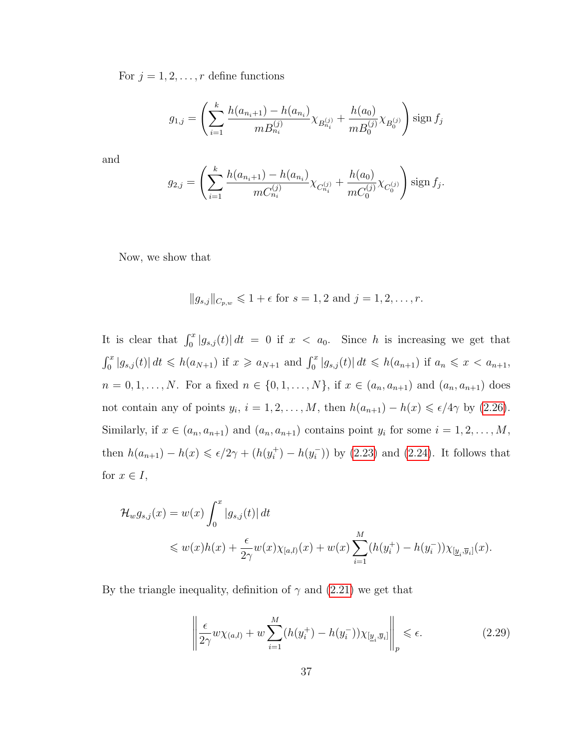For  $j = 1, 2, \ldots, r$  define functions

$$
g_{1,j} = \left(\sum_{i=1}^{k} \frac{h(a_{n_i+1}) - h(a_{n_i})}{m B_{n_i}^{(j)}} \chi_{B_{n_i}^{(j)}} + \frac{h(a_0)}{m B_0^{(j)}} \chi_{B_0^{(j)}}\right) \operatorname{sign} f_j
$$

and

$$
g_{2,j} = \left(\sum_{i=1}^k \frac{h(a_{n_i+1}) - h(a_{n_i})}{mC_{n_i}^{(j)}} \chi_{C_{n_i}^{(j)}} + \frac{h(a_0)}{mC_0^{(j)}} \chi_{C_0^{(j)}}\right) \text{sign } f_j.
$$

Now, we show that

$$
||g_{s,j}||_{C_{p,w}} \le 1 + \epsilon
$$
 for  $s = 1, 2$  and  $j = 1, 2, ..., r$ .

It is clear that  $\int_0^x |g_{s,j}(t)| dt = 0$  if  $x < a_0$ . Since h is increasing we get that  $\int_0^x |g_{s,j}(t)| dt \leq h(a_{N+1})$  if  $x \geq a_{N+1}$  and  $\int_0^x |g_{s,j}(t)| dt \leq h(a_{n+1})$  if  $a_n \leq x < a_{n+1}$ ,  $n = 0, 1, \ldots, N$ . For a fixed  $n \in \{0, 1, \ldots, N\}$ , if  $x \in (a_n, a_{n+1})$  and  $(a_n, a_{n+1})$  does not contain any of points  $y_i$ ,  $i = 1, 2, ..., M$ , then  $h(a_{n+1}) - h(x) \leq \epsilon/4\gamma$  by [\(2.26\)](#page-41-4). Similarly, if  $x \in (a_n, a_{n+1})$  and  $(a_n, a_{n+1})$  contains point  $y_i$  for some  $i = 1, 2, ..., M$ , then  $h(a_{n+1}) - h(x) \leq \epsilon/2\gamma + (h(y_i^+))$  $i^+$ ) –  $h(y_i^-)$  $(\overline{i}_{})$  by [\(2.23\)](#page-41-5) and [\(2.24\)](#page-41-6). It follows that for  $x \in I$ ,

$$
\mathcal{H}_w g_{s,j}(x) = w(x) \int_0^x |g_{s,j}(t)| dt
$$
  
\$\leq w(x)h(x) + \frac{\epsilon}{2\gamma}w(x)\chi\_{[a,l)}(x) + w(x)\sum\_{i=1}^M (h(y\_i^+) - h(y\_i^-))\chi\_{[\underline{y}\_i,\overline{y}\_i]}(x).

By the triangle inequality, definition of  $\gamma$  and [\(2.21\)](#page-41-7) we get that

<span id="page-43-0"></span>
$$
\left\| \frac{\epsilon}{2\gamma} w \chi_{(a,l)} + w \sum_{i=1}^{M} (h(y_i^+) - h(y_i^-)) \chi_{[\underline{y}_i, \overline{y}_i]} \right\|_p \le \epsilon.
$$
 (2.29)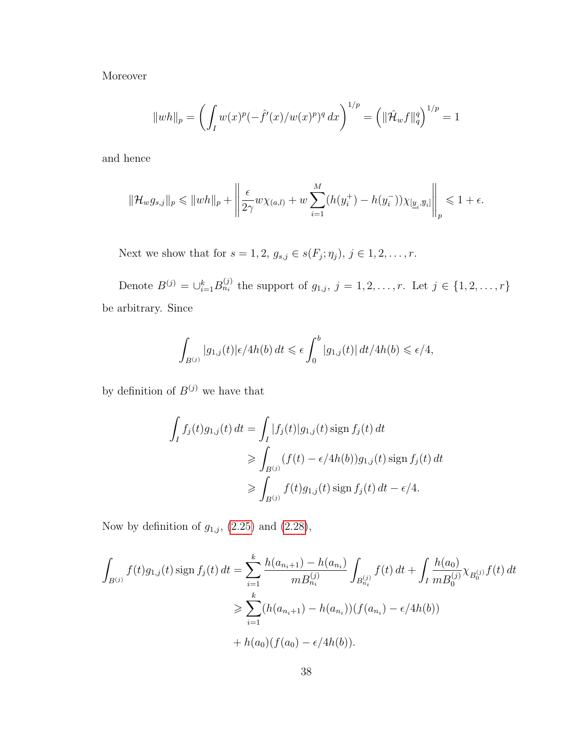Moreover

$$
||wh||_p = \left(\int_I w(x)^p (-\hat{f}'(x)/w(x)^p)^q dx\right)^{1/p} = \left(||\hat{\mathcal{H}}_w f||_q^q\right)^{1/p} = 1
$$

and hence

$$
\|\mathcal{H}_w g_{s,j}\|_p \leq \|wh\|_p + \left\|\frac{\epsilon}{2\gamma}w\chi_{(a,l)} + w\sum_{i=1}^M (h(y_i^+) - h(y_i^-))\chi_{[\underline{y}_i,\overline{y}_i]}\right\|_p \leq 1 + \epsilon.
$$

Next we show that for  $s = 1, 2, g_{s,j} \in s(F_j; \eta_j)$ ,  $j \in 1, 2, \ldots, r$ .

Denote  $B^{(j)} = \bigcup_{i=1}^{k} B_{n_i}^{(j)}$  the support of  $g_{1,j}, j = 1, 2, ..., r$ . Let  $j \in \{1, 2, ..., r\}$ be arbitrary. Since

$$
\int_{B^{(j)}} |g_{1,j}(t)| \epsilon/4h(b) dt \leq \epsilon \int_0^b |g_{1,j}(t)| dt/4h(b) \leq \epsilon/4,
$$

by definition of  $B^{(j)}$  we have that

$$
\int_I f_j(t)g_{1,j}(t) dt = \int_I |f_j(t)|g_{1,j}(t) \operatorname{sign} f_j(t) dt
$$
\n
$$
\geq \int_{B^{(j)}} (f(t) - \epsilon/4h(b))g_{1,j}(t) \operatorname{sign} f_j(t) dt
$$
\n
$$
\geq \int_{B^{(j)}} f(t)g_{1,j}(t) \operatorname{sign} f_j(t) dt - \epsilon/4.
$$

Now by definition of  $g_{1,j}$ , [\(2.25\)](#page-41-0) and [\(2.28\)](#page-41-1),

$$
\int_{B^{(j)}} f(t)g_{1,j}(t) \operatorname{sign} f_j(t) dt = \sum_{i=1}^k \frac{h(a_{n_i+1}) - h(a_{n_i})}{m B_{n_i}^{(j)}} \int_{B_{n_i}^{(j)}} f(t) dt + \int_I \frac{h(a_0)}{m B_0^{(j)}} \chi_{B_0^{(j)}} f(t) dt
$$
  
\n
$$
\geq \sum_{i=1}^k (h(a_{n_i+1}) - h(a_{n_i})) (f(a_{n_i}) - \epsilon / 4h(b))
$$
  
\n
$$
+ h(a_0) (f(a_0) - \epsilon / 4h(b)).
$$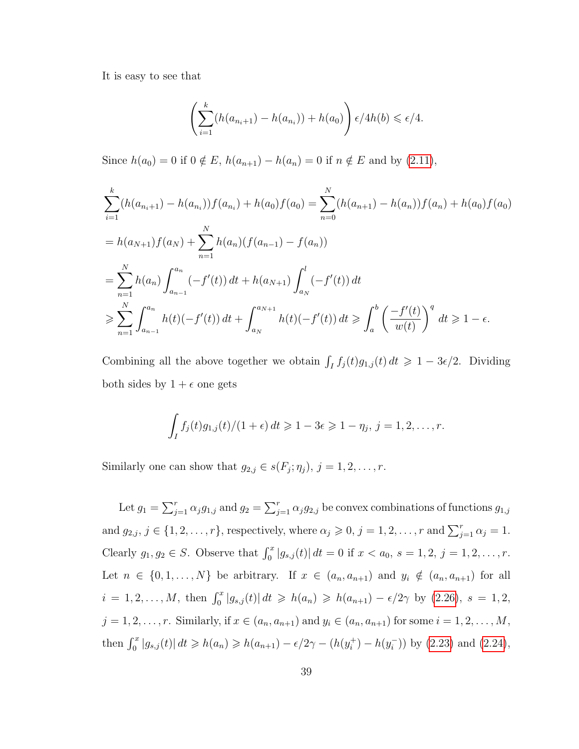It is easy to see that

$$
\left(\sum_{i=1}^k (h(a_{n_i+1}) - h(a_{n_i})) + h(a_0)\right) \epsilon/4h(b) \leq \epsilon/4.
$$

Since  $h(a_0) = 0$  if  $0 \notin E$ ,  $h(a_{n+1}) - h(a_n) = 0$  if  $n \notin E$  and by [\(2.11\)](#page-33-0),

$$
\sum_{i=1}^{k} (h(a_{n_i+1}) - h(a_{n_i})) f(a_{n_i}) + h(a_0) f(a_0) = \sum_{n=0}^{N} (h(a_{n+1}) - h(a_n)) f(a_n) + h(a_0) f(a_0)
$$
  
=  $h(a_{N+1}) f(a_N) + \sum_{n=1}^{N} h(a_n) (f(a_{n-1}) - f(a_n))$   
=  $\sum_{n=1}^{N} h(a_n) \int_{a_{n-1}}^{a_n} (-f'(t)) dt + h(a_{N+1}) \int_{a_N}^{l} (-f'(t)) dt$   
 $\geqslant \sum_{n=1}^{N} \int_{a_{n-1}}^{a_n} h(t) (-f'(t)) dt + \int_{a_N}^{a_{N+1}} h(t) (-f'(t)) dt \geqslant \int_{a}^{b} \left(\frac{-f'(t)}{w(t)}\right)^{q} dt \geqslant 1 - \epsilon.$ 

Combining all the above together we obtain  $\int_I f_j(t)g_{1,j}(t) dt \geq 1 - 3\epsilon/2$ . Dividing both sides by  $1 + \epsilon$  one gets

$$
\int_I f_j(t)g_{1,j}(t)/(1+\epsilon)\,dt\geqslant 1-3\epsilon\geqslant 1-\eta_j,\,j=1,2,\ldots,r.
$$

Similarly one can show that  $g_{2,j} \in s(F_j; \eta_j)$ ,  $j = 1, 2, \ldots, r$ .

Let  $g_1 = \sum_{j=1}^r \alpha_j g_{1,j}$  and  $g_2 = \sum_{j=1}^r \alpha_j g_{2,j}$  be convex combinations of functions  $g_{1,j}$ and  $g_{2,j}, j \in \{1, 2, \ldots, r\}$ , respectively, where  $\alpha_j \geqslant 0, j = 1, 2, \ldots, r$  and  $\sum_{j=1}^r \alpha_j = 1$ . Clearly  $g_1, g_2 \in S$ . Observe that  $\int_0^x |g_{s,j}(t)| dt = 0$  if  $x < a_0, s = 1, 2, j = 1, 2, ..., r$ . Let  $n \in \{0, 1, \ldots, N\}$  be arbitrary. If  $x \in (a_n, a_{n+1})$  and  $y_i \notin (a_n, a_{n+1})$  for all  $i = 1, 2, ..., M$ , then  $\int_0^x |g_{s,j}(t)| dt \ge h(a_n) \ge h(a_{n+1}) - \epsilon/2\gamma$  by  $(2.26)$ ,  $s = 1, 2$ ,  $j = 1, 2, \ldots, r$ . Similarly, if  $x \in (a_n, a_{n+1})$  and  $y_i \in (a_n, a_{n+1})$  for some  $i = 1, 2, \ldots, M$ , then  $\int_0^x |g_{s,j}(t)| dt \ge h(a_n) \ge h(a_{n+1}) - \epsilon/2\gamma - (h(y_i^+))$  $i^{\dagger}) - h(y_i^{-})$  $(i)$ ) by  $(2.23)$  and  $(2.24)$ ,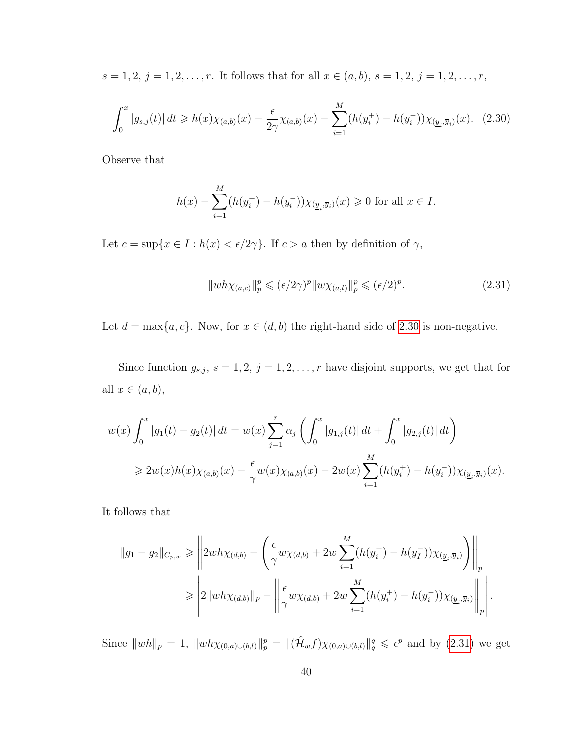$s = 1, 2, j = 1, 2, \dots, r$ . It follows that for all  $x \in (a, b), s = 1, 2, j = 1, 2, \dots, r$ ,

<span id="page-46-0"></span>
$$
\int_0^x |g_{s,j}(t)| dt \ge h(x)\chi_{(a,b)}(x) - \frac{\epsilon}{2\gamma}\chi_{(a,b)}(x) - \sum_{i=1}^M (h(y_i^+) - h(y_i^-))\chi_{(\underline{y}_i,\overline{y}_i)}(x). \tag{2.30}
$$

Observe that

$$
h(x) - \sum_{i=1}^{M} (h(y_i^+) - h(y_i^-)) \chi_{(\underline{y}_i, \overline{y}_i)}(x) \ge 0 \text{ for all } x \in I.
$$

Let  $c = \sup\{x \in I : h(x) < \epsilon/2\gamma\}$ . If  $c > a$  then by definition of  $\gamma$ ,

<span id="page-46-1"></span>
$$
||wh\chi_{(a,c)}||_p^p \le (\epsilon/2\gamma)^p ||w\chi_{(a,l)}||_p^p \le (\epsilon/2)^p.
$$
\n(2.31)

Let  $d = \max\{a, c\}$ . Now, for  $x \in (d, b)$  the right-hand side of [2.30](#page-46-0) is non-negative.

Since function  $g_{s,j}, s = 1, 2, j = 1, 2, \ldots, r$  have disjoint supports, we get that for all  $x \in (a, b)$ ,

$$
w(x)\int_0^x |g_1(t) - g_2(t)| dt = w(x)\sum_{j=1}^r \alpha_j \left(\int_0^x |g_{1,j}(t)| dt + \int_0^x |g_{2,j}(t)| dt\right)
$$
  
\n
$$
\geq 2w(x)h(x)\chi_{(a,b)}(x) - \frac{\epsilon}{\gamma}w(x)\chi_{(a,b)}(x) - 2w(x)\sum_{i=1}^M (h(y_i^+) - h(y_i^-))\chi_{(\underline{y}_i,\overline{y}_i)}(x).
$$

It follows that

$$
||g_1 - g_2||_{C_{p,w}} \ge ||2wh\chi_{(d,b)} - \left(\frac{\epsilon}{\gamma}w\chi_{(d,b)} + 2w\sum_{i=1}^M (h(y_i^+) - h(y_i^-))\chi_{(\underline{y}_i,\overline{y}_i)}\right)||_p
$$
  

$$
\ge ||2||wh\chi_{(d,b)}||_p - \left||\frac{\epsilon}{\gamma}w\chi_{(d,b)} + 2w\sum_{i=1}^M (h(y_i^+) - h(y_i^-))\chi_{(\underline{y}_i,\overline{y}_i)}\right||_p.
$$

Since  $||wh||_p = 1$ ,  $||wh\chi_{(0,a)\cup(b,l)}||_p^p = ||(\hat{H}_wf)\chi_{(0,a)\cup(b,l)}||_q^q \leq \epsilon^p$  and by [\(2.31\)](#page-46-1) we get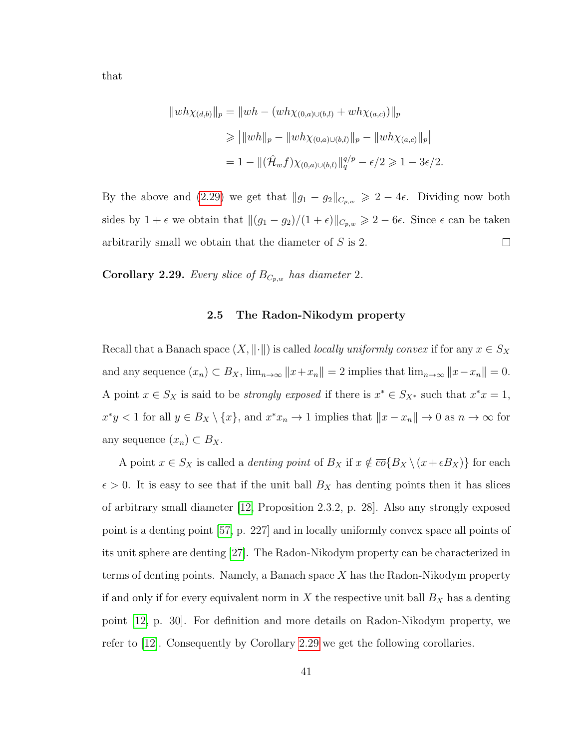that

$$
||wh\chi_{(d,b)}||_p = ||wh - (wh\chi_{(0,a)\cup(b,l)} + wh\chi_{(a,c)})||_p
$$
  
\n
$$
\ge |||wh||_p - ||wh\chi_{(0,a)\cup(b,l)}||_p - ||wh\chi_{(a,c)}||_p|
$$
  
\n
$$
= 1 - ||(\hat{H}_w f)\chi_{(0,a)\cup(b,l)}||_q^{q/p} - \epsilon/2 \ge 1 - 3\epsilon/2.
$$

By the above and [\(2.29\)](#page-43-0) we get that  $||g_1 - g_2||_{C_{p,w}} \geq 2 - 4\epsilon$ . Dividing now both sides by  $1 + \epsilon$  we obtain that  $||(g_1 - g_2)/(1 + \epsilon)||_{C_{p,w}} \ge 2 - 6\epsilon$ . Since  $\epsilon$  can be taken arbitrarily small we obtain that the diameter of S is 2.  $\Box$ 

<span id="page-47-0"></span>**Corollary 2.29.** *Every slice of*  $B_{C_{p,w}}$  *has diameter* 2*.* 

### **2.5 The Radon-Nikodym property**

Recall that a Banach space  $(X, \|\cdot\|)$  is called *locally uniformly convex* if for any  $x \in S_X$ and any sequence  $(x_n) \subset B_X$ ,  $\lim_{n\to\infty} ||x+x_n|| = 2$  implies that  $\lim_{n\to\infty} ||x-x_n|| = 0$ . A point  $x \in S_X$  is said to be *strongly exposed* if there is  $x^* \in S_{X^*}$  such that  $x^*x = 1$ ,  $x^*y < 1$  for all  $y \in B_X \setminus \{x\}$ , and  $x^*x_n \to 1$  implies that  $||x - x_n|| \to 0$  as  $n \to \infty$  for any sequence  $(x_n) \subset B_X$ .

A point  $x \in S_X$  is called a *denting point* of  $B_X$  if  $x \notin \overline{co} \{B_X \setminus (x + \epsilon B_X)\}\)$  for each  $\epsilon > 0$ . It is easy to see that if the unit ball  $B_X$  has denting points then it has slices of arbitrary small diameter [\[12,](#page-94-0) Proposition 2.3.2, p. 28]. Also any strongly exposed point is a denting point [\[57,](#page-98-0) p. 227] and in locally uniformly convex space all points of its unit sphere are denting [\[27\]](#page-96-0). The Radon-Nikodym property can be characterized in terms of denting points. Namely, a Banach space  $X$  has the Radon-Nikodym property if and only if for every equivalent norm in  $X$  the respective unit ball  $B_X$  has a denting point [\[12,](#page-94-0) p. 30]. For definition and more details on Radon-Nikodym property, we refer to [\[12\]](#page-94-0). Consequently by Corollary [2.29](#page-47-0) we get the following corollaries.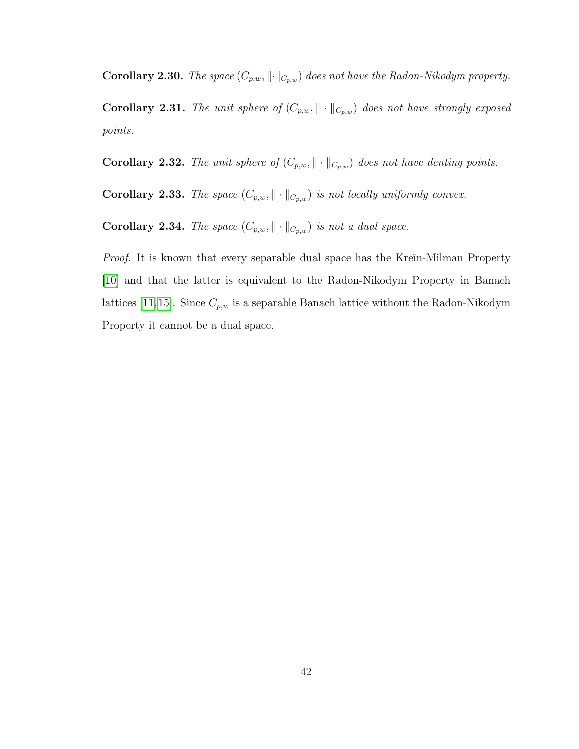**Corollary 2.30.** *The space*  $(C_{p,w}, \lVert \cdot \rVert_{C_{p,w}})$  *does not have the Radon-Nikodym property.* 

**Corollary 2.31.** *The unit sphere of*  $(C_{p,w}, \|\cdot\|_{C_{p,w}})$  *does not have strongly exposed points.*

**Corollary 2.32.** *The unit sphere of*  $(C_{p,w}, \|\cdot\|_{C_{p,w}})$  *does not have denting points.* 

**Corollary 2.33.** *The space*  $(C_{p,w}, \|\cdot\|_{C_{p,w}})$  *is not locally uniformly convex.* 

**Corollary 2.34.** *The space*  $(C_{p,w}, \|\cdot\|_{C_{p,w}})$  *is not a dual space.* 

*Proof.* It is known that every separable dual space has the Kreĭn-Milman Property [\[10\]](#page-94-1) and that the latter is equivalent to the Radon-Nikodym Property in Banach lattices [\[11,](#page-94-2)[15\]](#page-95-0). Since  $C_{p,w}$  is a separable Banach lattice without the Radon-Nikodym Property it cannot be a dual space.  $\Box$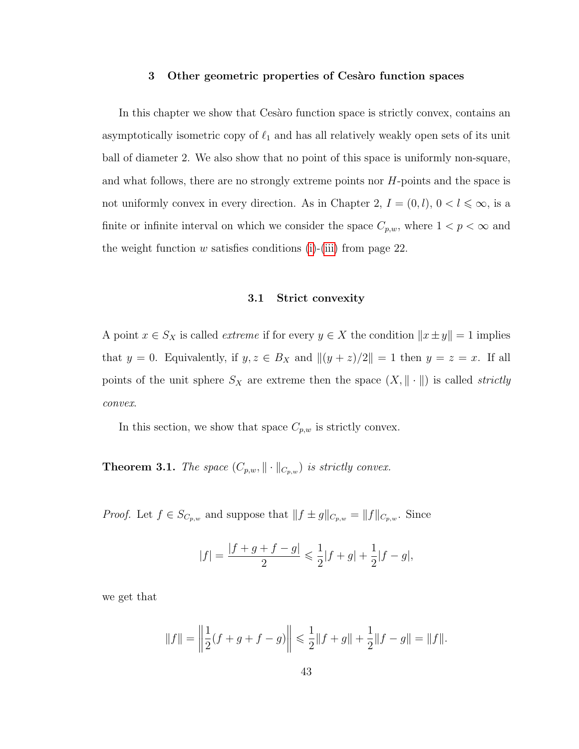#### **3 Other geometric properties of Ces`aro function spaces**

In this chapter we show that Cesaro function space is strictly convex, contains an asymptotically isometric copy of  $\ell_1$  and has all relatively weakly open sets of its unit ball of diameter 2. We also show that no point of this space is uniformly non-square, and what follows, there are no strongly extreme points nor H-points and the space is not uniformly convex in every direction. As in Chapter 2,  $I = (0, l)$ ,  $0 < l \leq \infty$ , is a finite or infinite interval on which we consider the space  $C_{p,w}$ , where  $1 < p < \infty$  and the weight function  $w$  satisfies conditions [\(i\)](#page-28-0)-[\(iii\)](#page-28-1) from page 22.

## **3.1 Strict convexity**

A point  $x \in S_X$  is called *extreme* if for every  $y \in X$  the condition  $||x \pm y|| = 1$  implies that  $y = 0$ . Equivalently, if  $y, z \in B_X$  and  $||(y + z)/2|| = 1$  then  $y = z = x$ . If all points of the unit sphere  $S_X$  are extreme then the space  $(X, \|\cdot\|)$  is called *strictly convex*.

In this section, we show that space  $C_{p,w}$  is strictly convex.

**Theorem 3.1.** *The space*  $(C_{p,w}, \|\cdot\|_{C_{p,w}})$  *is strictly convex.* 

*Proof.* Let  $f \in S_{C_{p,w}}$  and suppose that  $|| f \pm g||_{C_{p,w}} = ||f||_{C_{p,w}}$ . Since

$$
|f| = \frac{|f+g+f-g|}{2} \leq \frac{1}{2}|f+g| + \frac{1}{2}|f-g|,
$$

we get that

$$
||f|| = \left\|\frac{1}{2}(f+g+f-g)\right\| \leq \frac{1}{2}||f+g|| + \frac{1}{2}||f-g|| = ||f||.
$$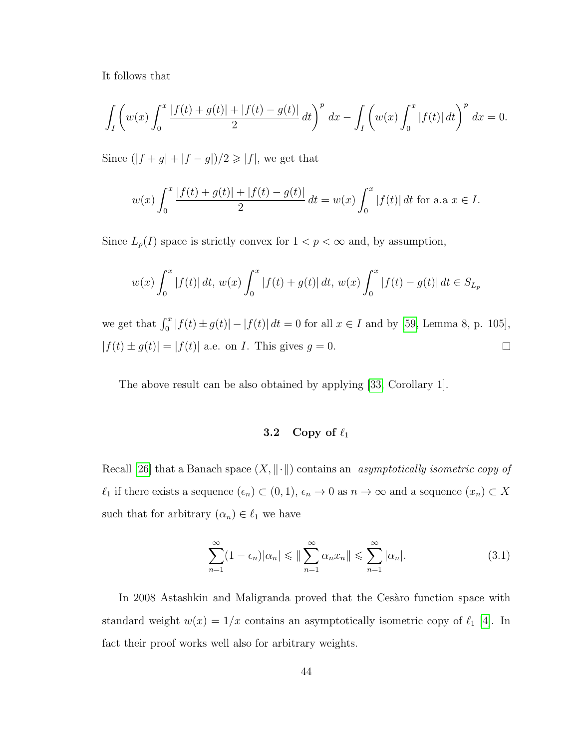It follows that

$$
\int_{I} \left( w(x) \int_{0}^{x} \frac{|f(t) + g(t)| + |f(t) - g(t)|}{2} dt \right)^{p} dx - \int_{I} \left( w(x) \int_{0}^{x} |f(t)| dt \right)^{p} dx = 0.
$$

Since  $(|f + g| + |f - g|)/2 \geq |f|$ , we get that

$$
w(x)\int_0^x \frac{|f(t) + g(t)| + |f(t) - g(t)|}{2} dt = w(x)\int_0^x |f(t)| dt
$$
 for a.a  $x \in I$ .

Since  $L_p(I)$  space is strictly convex for  $1 < p < \infty$  and, by assumption,

$$
w(x)\int_0^x |f(t)| dt, w(x)\int_0^x |f(t) + g(t)| dt, w(x)\int_0^x |f(t) - g(t)| dt \in S_{L_p}
$$

we get that  $\int_0^x |f(t) \pm g(t)| - |f(t)| dt = 0$  for all  $x \in I$  and by [\[59,](#page-98-1) Lemma 8, p. 105],  $|f(t) \pm g(t)| = |f(t)|$  a.e. on *I*. This gives  $g = 0$ .  $\Box$ 

The above result can be also obtained by applying [\[33,](#page-96-1) Corollary 1].

# **3.2** Copy of  $\ell_1$

Recall [\[26\]](#page-96-2) that a Banach space  $(X, \|\cdot\|)$  contains an *asymptotically isometric copy of*  $\ell_1$  if there exists a sequence  $(\epsilon_n) \subset (0, 1), \epsilon_n \to 0$  as  $n \to \infty$  and a sequence  $(x_n) \subset X$ such that for arbitrary  $(\alpha_n) \in \ell_1$  we have

$$
\sum_{n=1}^{\infty} (1 - \epsilon_n) |\alpha_n| \leq \| \sum_{n=1}^{\infty} \alpha_n x_n \| \leq \sum_{n=1}^{\infty} |\alpha_n|.
$$
 (3.1)

In 2008 Astashkin and Maligranda proved that the Cesaro function space with standard weight  $w(x) = 1/x$  contains an asymptotically isometric copy of  $\ell_1$  [\[4\]](#page-94-3). In fact their proof works well also for arbitrary weights.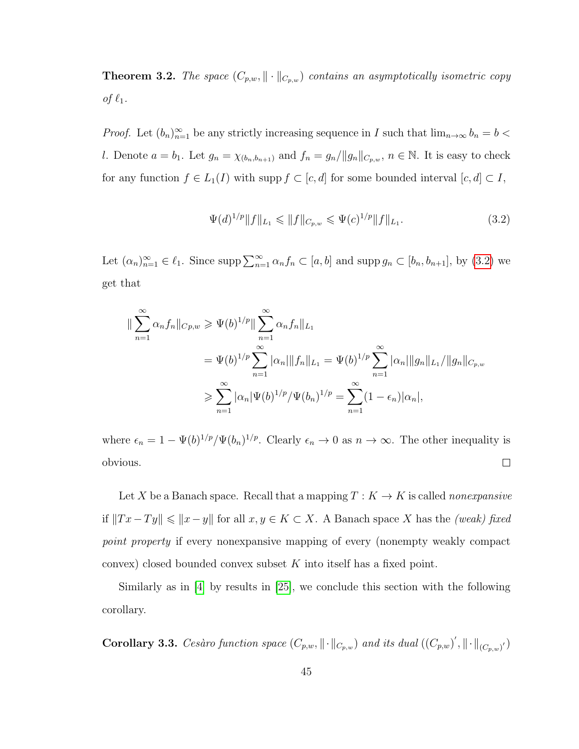**Theorem 3.2.** *The space*  $(C_{p,w}, \|\cdot\|_{C_{p,w}})$  *contains an asymptotically isometric copy of*  $\ell_1$ *.* 

*Proof.* Let  $(b_n)_{n=1}^{\infty}$  be any strictly increasing sequence in I such that  $\lim_{n\to\infty} b_n = b$ l. Denote  $a = b_1$ . Let  $g_n = \chi_{(b_n, b_{n+1})}$  and  $f_n = g_n / ||g_n||_{C_{p,w}}, n \in \mathbb{N}$ . It is easy to check for any function  $f \in L_1(I)$  with supp  $f \subset [c, d]$  for some bounded interval  $[c, d] \subset I$ ,

<span id="page-51-0"></span>
$$
\Psi(d)^{1/p} \|f\|_{L_1} \leqslant \|f\|_{C_{p,w}} \leqslant \Psi(c)^{1/p} \|f\|_{L_1}.
$$
\n(3.2)

Let  $(\alpha_n)_{n=1}^{\infty} \in \ell_1$ . Since  $\text{supp}\sum_{n=1}^{\infty} \alpha_n f_n \subset [a, b]$  and  $\text{supp } g_n \subset [b_n, b_{n+1}]$ , by  $(3.2)$  we get that

$$
\|\sum_{n=1}^{\infty} \alpha_n f_n\|_{Cp,w} \ge \Psi(b)^{1/p} \|\sum_{n=1}^{\infty} \alpha_n f_n\|_{L_1}
$$
  
=  $\Psi(b)^{1/p} \sum_{n=1}^{\infty} |\alpha_n| \|f_n\|_{L_1} = \Psi(b)^{1/p} \sum_{n=1}^{\infty} |\alpha_n| \|g_n\|_{L_1} / \|g_n\|_{C_{p,w}}$   
 $\ge \sum_{n=1}^{\infty} |\alpha_n| \Psi(b)^{1/p} / \Psi(b_n)^{1/p} = \sum_{n=1}^{\infty} (1 - \epsilon_n) |\alpha_n|,$ 

where  $\epsilon_n = 1 - \Psi(b)^{1/p} / \Psi(b_n)^{1/p}$ . Clearly  $\epsilon_n \to 0$  as  $n \to \infty$ . The other inequality is  $\Box$ obvious.

Let X be a Banach space. Recall that a mapping  $T: K \to K$  is called *nonexpansive* if  $||Tx-Ty|| \le ||x-y||$  for all  $x, y \in K \subset X$ . A Banach space X has the *(weak) fixed point property* if every nonexpansive mapping of every (nonempty weakly compact convex) closed bounded convex subset K into itself has a fixed point.

Similarly as in [\[4\]](#page-94-3) by results in [\[25\]](#page-96-3), we conclude this section with the following corollary.

**Corollary 3.3.** *Cesàro function space*  $(C_{p,w}, \|\cdot\|_{C_{p,w}})$  *and its dual*  $((C_{p,w})', \|\cdot\|_{(C_{p,w})'})$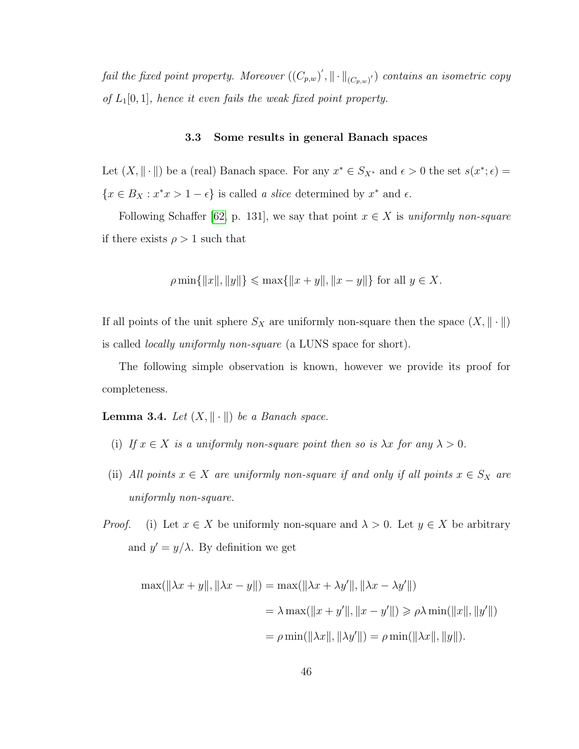*fail the fixed point property. Moreover*  $((C_{p,w})', \|\cdot\|_{(C_{p,w})'})$  *contains an isometric copy of* L1[0, 1]*, hence it even fails the weak fixed point property.*

#### **3.3 Some results in general Banach spaces**

Let  $(X, \|\cdot\|)$  be a (real) Banach space. For any  $x^* \in S_{X^*}$  and  $\epsilon > 0$  the set  $s(x^*; \epsilon) =$  ${x \in B_X : x^*x > 1 - \epsilon}$  is called *a slice* determined by  $x^*$  and  $\epsilon$ .

Following Schaffer [\[62,](#page-98-2) p. 131], we say that point  $x \in X$  is *uniformly non-square* if there exists  $\rho > 1$  such that

$$
\rho \min\{\|x\|, \|y\|\} \le \max\{\|x+y\|, \|x-y\|\} \text{ for all } y \in X.
$$

If all points of the unit sphere  $S_X$  are uniformly non-square then the space  $(X, \|\cdot\|)$ is called *locally uniformly non-square* (a LUNS space for short).

The following simple observation is known, however we provide its proof for completeness.

**Lemma 3.4.** *Let*  $(X, \|\cdot\|)$  *be a Banach space.* 

- (i) If  $x \in X$  *is a uniformly non-square point then so is*  $\lambda x$  *for any*  $\lambda > 0$ *.*
- (ii) *All points*  $x \in X$  *are uniformly non-square if and only if all points*  $x \in S_X$  *are uniformly non-square.*
- *Proof.* (i) Let  $x \in X$  be uniformly non-square and  $\lambda > 0$ . Let  $y \in X$  be arbitrary and  $y' = y/\lambda$ . By definition we get

$$
\max(||\lambda x + y||, ||\lambda x - y||) = \max(||\lambda x + \lambda y'||, ||\lambda x - \lambda y'||)
$$
  
=  $\lambda \max(||x + y'||, ||x - y'||) \ge \rho \lambda \min(||x||, ||y'||)$   
=  $\rho \min(||\lambda x||, ||\lambda y'||) = \rho \min(||\lambda x||, ||y||).$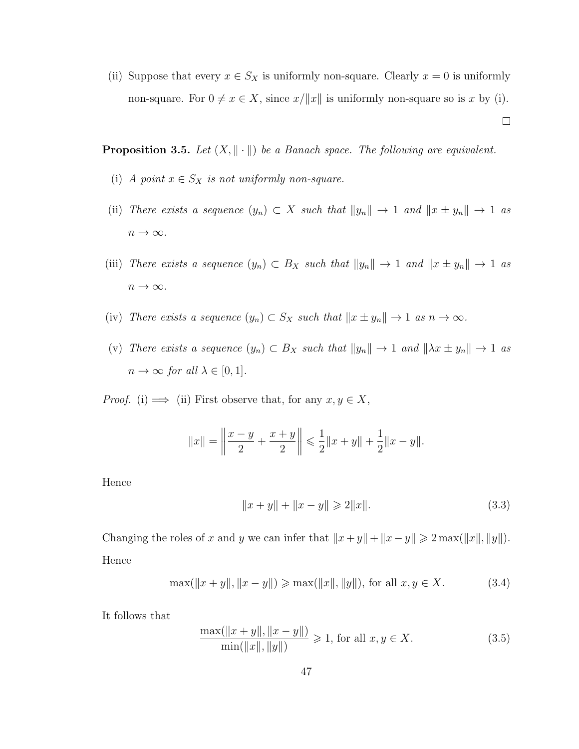(ii) Suppose that every  $x \in S_X$  is uniformly non-square. Clearly  $x = 0$  is uniformly non-square. For  $0 \neq x \in X$ , since  $x/||x||$  is uniformly non-square so is x by (i).

 $\Box$ 

<span id="page-53-3"></span>**Proposition 3.5.** *Let*  $(X, \|\cdot\|)$  *be a Banach space. The following are equivalent.* 

- (i) *A point*  $x \in S_X$  *is not uniformly non-square.*
- (ii) *There exists a sequence*  $(y_n) \subset X$  *such that*  $||y_n|| \to 1$  *and*  $||x \pm y_n|| \to 1$  *as*  $n \to \infty$ .
- (iii) *There exists a sequence*  $(y_n) \subset B_X$  *such that*  $||y_n|| \to 1$  *and*  $||x \pm y_n|| \to 1$  *as*  $n \to \infty$ .
- (iv) *There exists a sequence*  $(y_n) \subset S_X$  *such that*  $||x \pm y_n|| \to 1$  *as*  $n \to \infty$ *.*
- (v) *There exists a sequence*  $(y_n) \subset B_X$  *such that*  $||y_n|| \to 1$  *and*  $||\lambda x \pm y_n|| \to 1$  *as*  $n \to \infty$  *for all*  $\lambda \in [0, 1]$ *.*

*Proof.* (i)  $\implies$  (ii) First observe that, for any  $x, y \in X$ ,

$$
||x|| = \left\|\frac{x-y}{2} + \frac{x+y}{2}\right\| \leq \frac{1}{2}||x+y|| + \frac{1}{2}||x-y||.
$$

Hence

<span id="page-53-2"></span>
$$
||x + y|| + ||x - y|| \ge 2||x||.
$$
\n(3.3)

Changing the roles of x and y we can infer that  $||x + y|| + ||x - y|| \ge 2 \max(||x||, ||y||)$ . Hence

<span id="page-53-1"></span>
$$
\max(||x+y||, ||x-y||) \ge \max(||x||, ||y||), \text{ for all } x, y \in X. \tag{3.4}
$$

It follows that

<span id="page-53-0"></span>
$$
\frac{\max(||x+y||, ||x-y||)}{\min(||x||, ||y||)} \ge 1, \text{ for all } x, y \in X. \tag{3.5}
$$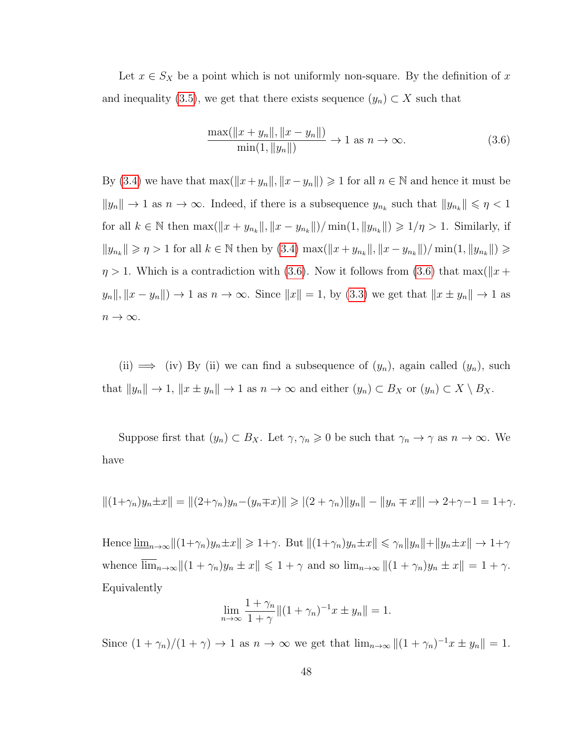Let  $x \in S_X$  be a point which is not uniformly non-square. By the definition of x and inequality [\(3.5\)](#page-53-0), we get that there exists sequence  $(y_n) \subset X$  such that

<span id="page-54-0"></span>
$$
\frac{\max(||x + y_n||, ||x - y_n||)}{\min(1, ||y_n||)} \to 1 \text{ as } n \to \infty.
$$
\n(3.6)

By [\(3.4\)](#page-53-1) we have that  $\max(\Vert x+y_n \Vert, \Vert x-y_n \Vert) \geq 1$  for all  $n \in \mathbb{N}$  and hence it must be  $||y_n|| \to 1$  as  $n \to \infty$ . Indeed, if there is a subsequence  $y_{n_k}$  such that  $||y_{n_k}|| \leq \eta < 1$ for all  $k \in \mathbb{N}$  then  $\max(||x + y_{n_k}||, ||x - y_{n_k}||) / \min(1, ||y_{n_k}||) \geq 1/\eta > 1$ . Similarly, if  $||y_{n_k}|| \geqslant \eta > 1$  for all  $k \in \mathbb{N}$  then by [\(3.4\)](#page-53-1)  $\max(||x + y_{n_k}||, ||x - y_{n_k}||) / \min(1, ||y_{n_k}||) \geqslant$  $\eta > 1$ . Which is a contradiction with [\(3.6\)](#page-54-0). Now it follows from (3.6) that max( $||x + \eta||$  $y_n \|, \|x - y_n\|$   $\to 1$  as  $n \to \infty$ . Since  $\|x\| = 1$ , by [\(3.3\)](#page-53-2) we get that  $\|x \pm y_n\| \to 1$  as  $n\to\infty.$ 

(ii)  $\implies$  (iv) By (ii) we can find a subsequence of  $(y_n)$ , again called  $(y_n)$ , such that  $||y_n|| \to 1$ ,  $||x \pm y_n|| \to 1$  as  $n \to \infty$  and either  $(y_n) \subset B_X$  or  $(y_n) \subset X \setminus B_X$ .

Suppose first that  $(y_n) \subset B_X$ . Let  $\gamma, \gamma_n \geq 0$  be such that  $\gamma_n \to \gamma$  as  $n \to \infty$ . We have

$$
||(1+\gamma_n)y_n \pm x|| = ||(2+\gamma_n)y_n - (y_n \mp x)|| \ge |(2+\gamma_n)||y_n|| - ||y_n \mp x||| \to 2+\gamma-1 = 1+\gamma.
$$

Hence  $\underline{\lim}_{n\to\infty}||(1+\gamma_n)y_n\pm x|| \geq 1+\gamma$ . But  $||(1+\gamma_n)y_n\pm x|| \leq \gamma_n||y_n||+||y_n\pm x|| \to 1+\gamma$ whence  $\overline{\lim}_{n\to\infty}$   $\|(1 + \gamma_n)y_n \pm x\| \leq 1 + \gamma$  and so  $\lim_{n\to\infty}$   $\|(1 + \gamma_n)y_n \pm x\| = 1 + \gamma$ . Equivalently

$$
\lim_{n \to \infty} \frac{1 + \gamma_n}{1 + \gamma} \| (1 + \gamma_n)^{-1} x \pm y_n \| = 1.
$$

Since  $(1 + \gamma_n)/(1 + \gamma) \to 1$  as  $n \to \infty$  we get that  $\lim_{n \to \infty} ||(1 + \gamma_n)^{-1}x \pm y_n|| = 1$ .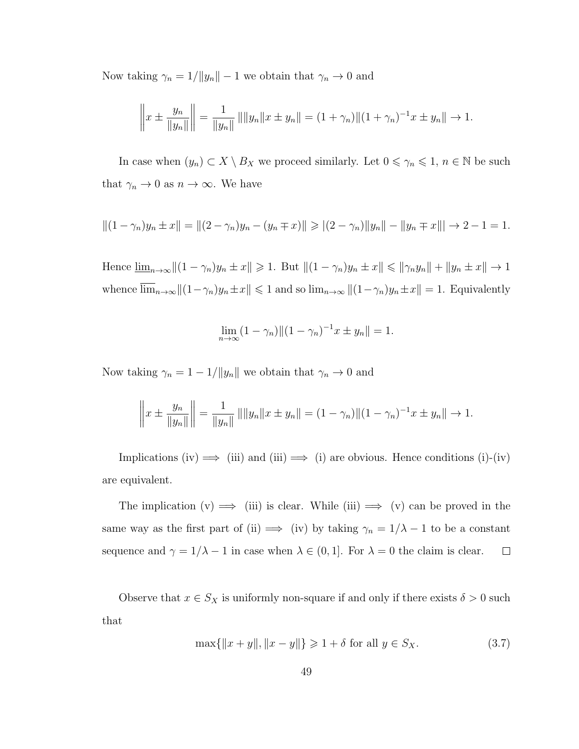Now taking  $\gamma_n = 1/||y_n|| - 1$  we obtain that  $\gamma_n \to 0$  and

$$
\left\|x \pm \frac{y_n}{\|y_n\|}\right\| = \frac{1}{\|y_n\|} \left\| \|y_n\| x \pm y_n\right\| = (1 + \gamma_n) \|(1 + \gamma_n)^{-1} x \pm y_n\| \to 1.
$$

In case when  $(y_n) \subset X \setminus B_X$  we proceed similarly. Let  $0 \leq \gamma_n \leq 1, n \in \mathbb{N}$  be such that  $\gamma_n \to 0$  as  $n \to \infty$ . We have

$$
||(1 - \gamma_n)y_n \pm x|| = ||(2 - \gamma_n)y_n - (y_n \mp x)|| \ge |(2 - \gamma_n)||y_n|| - ||y_n \mp x||| \to 2 - 1 = 1.
$$

Hence  $\underline{\lim}_{n\to\infty}||(1-\gamma_n)y_n\pm x|| \geq 1$ . But  $||(1-\gamma_n)y_n\pm x|| \leq ||\gamma_ny_n|| + ||y_n\pm x|| \to 1$ whence  $\lim_{n\to\infty}||(1-\gamma_n)y_n\pm x|| \leq 1$  and so  $\lim_{n\to\infty}||(1-\gamma_n)y_n\pm x|| = 1$ . Equivalently

$$
\lim_{n \to \infty} (1 - \gamma_n) || (1 - \gamma_n)^{-1} x \pm y_n || = 1.
$$

Now taking  $\gamma_n = 1 - 1/||y_n||$  we obtain that  $\gamma_n \to 0$  and

$$
\left\|x \pm \frac{y_n}{\|y_n\|}\right\| = \frac{1}{\|y_n\|} \|\|y_n\|x \pm y_n\| = (1 - \gamma_n) \|(1 - \gamma_n)^{-1}x \pm y_n\| \to 1.
$$

Implications (iv)  $\implies$  (iii) and (iii)  $\implies$  (i) are obvious. Hence conditions (i)-(iv) are equivalent.

The implication  $(v) \implies$  (iii) is clear. While (iii)  $\implies$  (v) can be proved in the same way as the first part of (ii)  $\implies$  (iv) by taking  $\gamma_n = 1/\lambda - 1$  to be a constant sequence and  $\gamma = 1/\lambda - 1$  in case when  $\lambda \in (0, 1]$ . For  $\lambda = 0$  the claim is clear.  $\Box$ 

Observe that  $x \in S_X$  is uniformly non-square if and only if there exists  $\delta > 0$  such that

<span id="page-55-0"></span>
$$
\max\{\|x+y\|, \|x-y\|\} \geq 1 + \delta \text{ for all } y \in S_X. \tag{3.7}
$$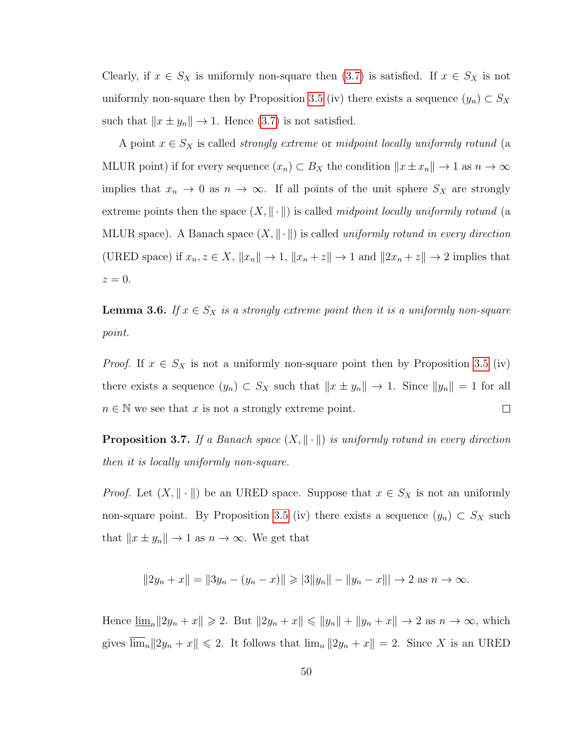Clearly, if  $x \in S_X$  is uniformly non-square then  $(3.7)$  is satisfied. If  $x \in S_X$  is not uniformly non-square then by Proposition [3.5](#page-53-3) (iv) there exists a sequence  $(y_n) \subset S_X$ such that  $||x \pm y_n|| \rightarrow 1$ . Hence [\(3.7\)](#page-55-0) is not satisfied.

A point  $x \in S_X$  is called *strongly extreme* or *midpoint locally uniformly rotund* (a MLUR point) if for every sequence  $(x_n) \subset B_X$  the condition  $||x \pm x_n|| \to 1$  as  $n \to \infty$ implies that  $x_n \to 0$  as  $n \to \infty$ . If all points of the unit sphere  $S_X$  are strongly extreme points then the space  $(X, \|\cdot\|)$  is called *midpoint locally uniformly rotund* (a MLUR space). A Banach space  $(X, \|\cdot\|)$  is called *uniformly rotund in every direction* (URED space) if  $x_n, z \in X$ ,  $||x_n|| \to 1$ ,  $||x_n + z|| \to 1$  and  $||2x_n + z|| \to 2$  implies that  $z=0.$ 

**Lemma 3.6.** *If*  $x \in S_X$  *is a strongly extreme point then it is a uniformly non-square point.*

*Proof.* If  $x \in S_X$  is not a uniformly non-square point then by Proposition [3.5](#page-53-3) (iv) there exists a sequence  $(y_n) \subset S_X$  such that  $||x \pm y_n|| \to 1$ . Since  $||y_n|| = 1$  for all  $n \in \mathbb{N}$  we see that x is not a strongly extreme point.  $\Box$ 

**Proposition 3.7.** *If a Banach space*  $(X, \|\cdot\|)$  *is uniformly rotund in every direction then it is locally uniformly non-square.*

*Proof.* Let  $(X, \|\cdot\|)$  be an URED space. Suppose that  $x \in S_X$  is not an uniformly non-square point. By Proposition [3.5](#page-53-3) (iv) there exists a sequence  $(y_n) \subset S_X$  such that  $||x \pm y_n|| \rightarrow 1$  as  $n \rightarrow \infty$ . We get that

$$
||2y_n + x|| = ||3y_n - (y_n - x)|| \ge |3||y_n|| - ||y_n - x||| \to 2 \text{ as } n \to \infty.
$$

Hence  $\lim_{n} ||2y_n + x|| \ge 2$ . But  $||2y_n + x|| \le ||y_n|| + ||y_n + x|| \to 2$  as  $n \to \infty$ , which gives  $\overline{\lim}_n ||2y_n + x|| \le 2$ . It follows that  $\lim_n ||2y_n + x|| = 2$ . Since X is an URED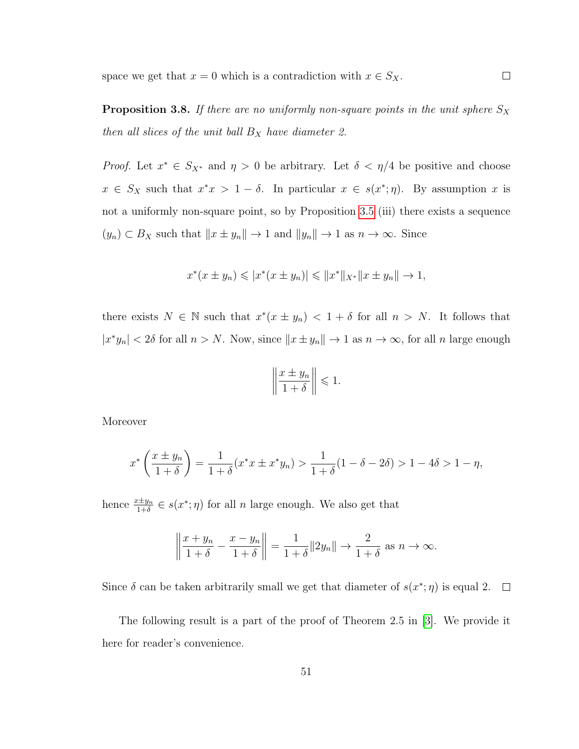space we get that  $x = 0$  which is a contradiction with  $x \in S_X$ .  $\Box$ 

**Proposition 3.8.** *If there are no uniformly non-square points in the unit sphere*  $S_X$ *then all slices of the unit ball*  $B_X$  *have diameter 2.* 

*Proof.* Let  $x^* \in S_{X^*}$  and  $\eta > 0$  be arbitrary. Let  $\delta < \eta/4$  be positive and choose  $x \in S_X$  such that  $x^*x > 1 - \delta$ . In particular  $x \in s(x^*; \eta)$ . By assumption x is not a uniformly non-square point, so by Proposition [3.5](#page-53-3) (iii) there exists a sequence  $(y_n) \subset B_X$  such that  $||x \pm y_n|| \to 1$  and  $||y_n|| \to 1$  as  $n \to \infty$ . Since

$$
x^*(x \pm y_n) \leqslant |x^*(x \pm y_n)| \leqslant ||x^*||_{X^*} ||x \pm y_n|| \to 1,
$$

there exists  $N \in \mathbb{N}$  such that  $x^*(x \pm y_n) < 1 + \delta$  for all  $n > N$ . It follows that  $|x^*y_n| < 2\delta$  for all  $n > N$ . Now, since  $||x \pm y_n|| \to 1$  as  $n \to \infty$ , for all n large enough

$$
\left\|\frac{x \pm y_n}{1+\delta}\right\| \leq 1.
$$

Moreover

$$
x^* \left( \frac{x \pm y_n}{1 + \delta} \right) = \frac{1}{1 + \delta} (x^* x \pm x^* y_n) > \frac{1}{1 + \delta} (1 - \delta - 2\delta) > 1 - 4\delta > 1 - \eta,
$$

hence  $\frac{x \pm y_n}{1+\delta} \in s(x^*; \eta)$  for all *n* large enough. We also get that

$$
\left\|\frac{x+y_n}{1+\delta} - \frac{x-y_n}{1+\delta}\right\| = \frac{1}{1+\delta} \|2y_n\| \to \frac{2}{1+\delta} \text{ as } n \to \infty.
$$

Since  $\delta$  can be taken arbitrarily small we get that diameter of  $s(x^*; \eta)$  is equal 2.  $\overline{\phantom{a}}$ 

The following result is a part of the proof of Theorem 2.5 in [\[3\]](#page-94-4). We provide it here for reader's convenience.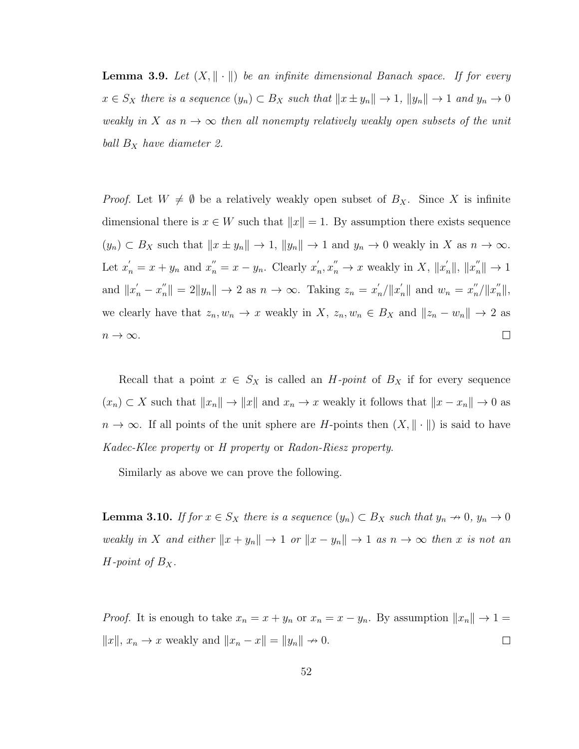<span id="page-58-0"></span>**Lemma 3.9.** Let  $(X, \|\cdot\|)$  be an infinite dimensional Banach space. If for every  $x \in S_X$  there is a sequence  $(y_n) \subset B_X$  such that  $||x \pm y_n|| \to 1$ ,  $||y_n|| \to 1$  and  $y_n \to 0$ *weakly in* X *as*  $n \to \infty$  *then all nonempty relatively weakly open subsets of the unit ball*  $B_X$  *have diameter 2.* 

*Proof.* Let  $W \neq \emptyset$  be a relatively weakly open subset of  $B_X$ . Since X is infinite dimensional there is  $x \in W$  such that  $||x|| = 1$ . By assumption there exists sequence  $(y_n) \subset B_X$  such that  $||x \pm y_n|| \to 1$ ,  $||y_n|| \to 1$  and  $y_n \to 0$  weakly in X as  $n \to \infty$ . Let  $x'_n = x + y_n$  and  $x''_n = x - y_n$ . Clearly  $x'_n$  $x'_n, x''_n \to x$  weakly in X,  $||x'_n||, ||x''_n|| \to 1$ and  $||x'_n - x''_n|| = 2||y_n|| \rightarrow 2$  as  $n \rightarrow \infty$ . Taking  $z_n = x'_n$  $\sum_{n}^{\prime}$ / $||x_n'||$  and  $w_n = x_n''$  $_{n}''/||x_{n}''||,$ we clearly have that  $z_n, w_n \to x$  weakly in X,  $z_n, w_n \in B_X$  and  $||z_n - w_n|| \to 2$  as  $\Box$  $n \to \infty$ .

Recall that a point  $x \in S_X$  is called an *H-point* of  $B_X$  if for every sequence  $(x_n) \subset X$  such that  $||x_n|| \to ||x||$  and  $x_n \to x$  weakly it follows that  $||x - x_n|| \to 0$  as  $n \to \infty$ . If all points of the unit sphere are H-points then  $(X, \|\cdot\|)$  is said to have *Kadec-Klee property* or *H property* or *Radon-Riesz property*.

Similarly as above we can prove the following.

<span id="page-58-1"></span>**Lemma 3.10.** *If for*  $x \in S_X$  *there is a sequence*  $(y_n) \subset B_X$  *such that*  $y_n \to 0$ *,*  $y_n \to 0$ *weakly in* X *and either*  $||x + y_n|| \to 1$  *or*  $||x - y_n|| \to 1$  *as*  $n \to \infty$  *then* x *is not an H*-point of  $B_X$ .

*Proof.* It is enough to take  $x_n = x + y_n$  or  $x_n = x - y_n$ . By assumption  $||x_n|| \to 1 =$  $||x||, x_n \to x$  weakly and  $||x_n - x|| = ||y_n|| \to 0$ .  $\Box$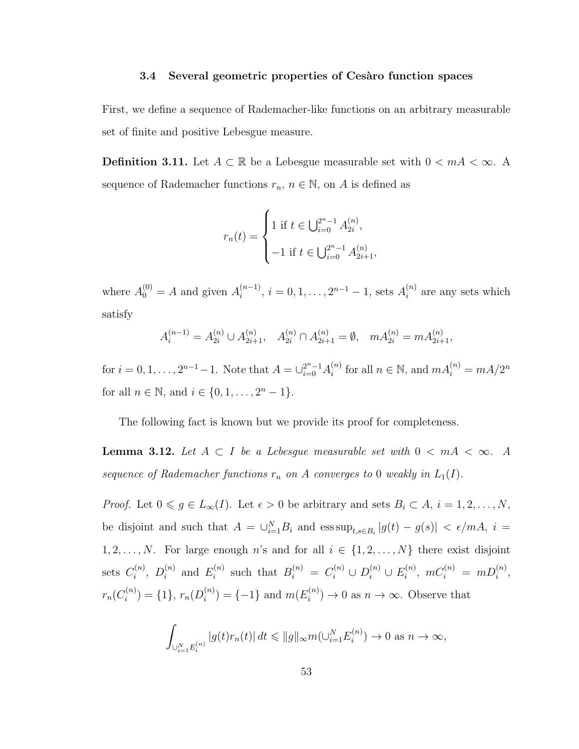#### **3.4 Several geometric properties of Cesaro function spaces**

First, we define a sequence of Rademacher-like functions on an arbitrary measurable set of finite and positive Lebesgue measure.

**Definition 3.11.** Let  $A \subset \mathbb{R}$  be a Lebesgue measurable set with  $0 < mA < \infty$ . A sequence of Rademacher functions  $r_n$ ,  $n \in \mathbb{N}$ , on A is defined as

$$
r_n(t) = \begin{cases} 1 \text{ if } t \in \bigcup_{i=0}^{2^n - 1} A_{2i}^{(n)}, \\ -1 \text{ if } t \in \bigcup_{i=0}^{2^n - 1} A_{2i+1}^{(n)}, \end{cases}
$$

where  $A_0^{(0)} = A$  and given  $A_i^{(n-1)}$  $i_i^{(n-1)}, i = 0, 1, \ldots, 2^{n-1} - 1$ , sets  $A_i^{(n)}$  $i^{(n)}$  are any sets which satisfy

$$
A_i^{(n-1)} = A_{2i}^{(n)} \cup A_{2i+1}^{(n)}, \quad A_{2i}^{(n)} \cap A_{2i+1}^{(n)} = \emptyset, \quad m A_{2i}^{(n)} = m A_{2i+1}^{(n)},
$$

for  $i = 0, 1, ..., 2^{n-1} - 1$ . Note that  $A = \bigcup_{i=0}^{2^n - 1} A_i^{(n)}$  $i^{(n)}$  for all  $n \in \mathbb{N}$ , and  $mA_i^{(n)} = mA/2^n$ for all  $n \in \mathbb{N}$ , and  $i \in \{0, 1, \ldots, 2^n - 1\}$ .

The following fact is known but we provide its proof for completeness.

**Lemma 3.12.** Let  $A \subset I$  be a Lebesgue measurable set with  $0 \lt mA \lt \infty$ . A sequence of Rademacher functions  $r_n$  on A converges to 0 weakly in  $L_1(I)$ .

*Proof.* Let  $0 \le g \in L_{\infty}(I)$ . Let  $\epsilon > 0$  be arbitrary and sets  $B_i \subset A$ ,  $i = 1, 2, ..., N$ , be disjoint and such that  $A = \bigcup_{i=1}^{N} B_i$  and  $\operatorname{ess} \sup_{t,s \in B_i} |g(t) - g(s)| < \epsilon / m A$ ,  $i =$ 1, 2, ..., N. For large enough n's and for all  $i \in \{1, 2, ..., N\}$  there exist disjoint sets  $C_i^{(n)}$  $\bar{D}_i^{(n)},\,\,D_i^{(n)}$  $i^{(n)}$  and  $E_i^{(n)}$  $S_i^{(n)}$  such that  $B_i^{(n)} = C_i^{(n)} \cup D_i^{(n)} \cup E_i^{(n)}$  $\binom{n}{i}, mC_i^{(n)} = mD_i^{(n)},$  $r_n(C_i^{(n)}$  $\binom{n}{i} = \{1\}, r_n(D_i^{(n)})$  $i^{(n)}_i$ ) = {-1} and  $m(E_i^{(n)})$  $i^{(n)}$   $\rightarrow$  0 as  $n \rightarrow \infty$ . Observe that

$$
\int_{\cup_{i=1}^{N} E_i^{(n)}} |g(t)r_n(t)| dt \leq \|g\|_{\infty} m(\cup_{i=1}^{N} E_i^{(n)}) \to 0 \text{ as } n \to \infty,
$$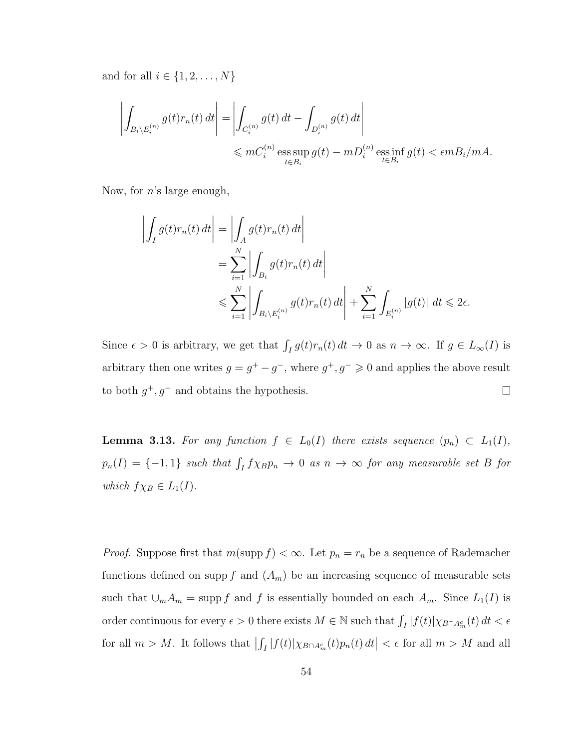and for all  $i \in \{1, 2, ..., N\}$ 

$$
\left| \int_{B_i \setminus E_i^{(n)}} g(t) r_n(t) dt \right| = \left| \int_{C_i^{(n)}} g(t) dt - \int_{D_i^{(n)}} g(t) dt \right|
$$
  

$$
\leqslant m C_i^{(n)} \operatorname*{ess} \sup_{t \in B_i} g(t) - m D_i^{(n)} \operatorname*{ess} \inf_{t \in B_i} g(t) < \epsilon m B_i / mA.
$$

Now, for  $n$ 's large enough,

$$
\left| \int_{I} g(t) r_n(t) dt \right| = \left| \int_{A} g(t) r_n(t) dt \right|
$$
  
= 
$$
\sum_{i=1}^{N} \left| \int_{B_i} g(t) r_n(t) dt \right|
$$
  

$$
\leqslant \sum_{i=1}^{N} \left| \int_{B_i \setminus E_i^{(n)}} g(t) r_n(t) dt \right| + \sum_{i=1}^{N} \int_{E_i^{(n)}} |g(t)| dt \leqslant 2\epsilon.
$$

Since  $\epsilon > 0$  is arbitrary, we get that  $\int_I g(t)r_n(t) dt \to 0$  as  $n \to \infty$ . If  $g \in L_\infty(I)$  is arbitrary then one writes  $g = g^+ - g^-$ , where  $g^+, g^- \geq 0$  and applies the above result to both  $g^+, g^-$  and obtains the hypothesis.  $\Box$ 

<span id="page-60-0"></span>**Lemma 3.13.** For any function  $f \in L_0(I)$  there exists sequence  $(p_n) \subset L_1(I)$ ,  $p_n(I) = \{-1, 1\}$  such that  $\int_I f \chi_B p_n \to 0$  as  $n \to \infty$  for any measurable set B for *which*  $f\chi_B \in L_1(I)$ *.* 

*Proof.* Suppose first that  $m(\text{supp } f) < \infty$ . Let  $p_n = r_n$  be a sequence of Rademacher functions defined on supp f and  $(A_m)$  be an increasing sequence of measurable sets such that  $\cup_m A_m = \text{supp } f$  and f is essentially bounded on each  $A_m$ . Since  $L_1(I)$  is order continuous for every  $\epsilon > 0$  there exists  $M \in \mathbb{N}$  such that  $\int_I |f(t)| \chi_{B \cap A_m^c}(t) dt < \epsilon$ for all  $m > M$ . It follows that  $\left| \int_I |f(t)| \chi_{B \cap A_m^c}(t) p_n(t) dt \right| < \epsilon$  for all  $m > M$  and all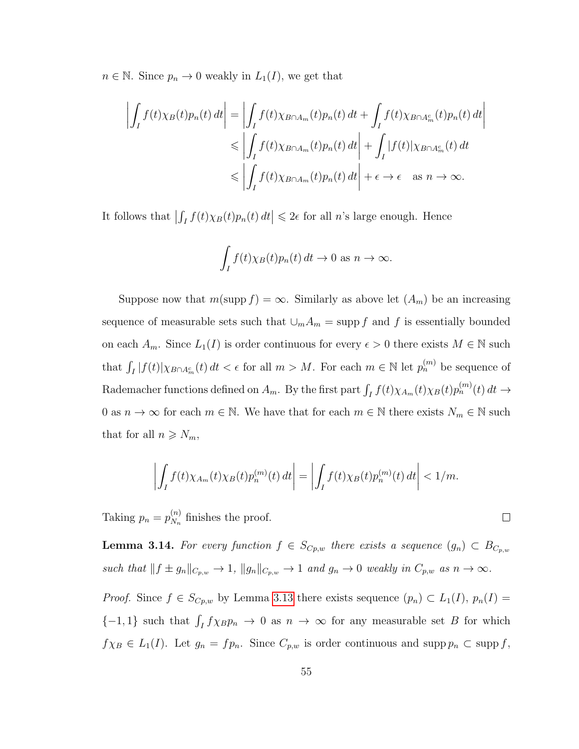$n \in \mathbb{N}$ . Since  $p_n \to 0$  weakly in  $L_1(I)$ , we get that

$$
\left| \int_{I} f(t) \chi_{B}(t) p_{n}(t) dt \right| = \left| \int_{I} f(t) \chi_{B \cap A_{m}}(t) p_{n}(t) dt + \int_{I} f(t) \chi_{B \cap A_{m}^{c}}(t) p_{n}(t) dt \right|
$$
  
\n
$$
\leq \left| \int_{I} f(t) \chi_{B \cap A_{m}}(t) p_{n}(t) dt \right| + \int_{I} |f(t)| \chi_{B \cap A_{m}^{c}}(t) dt
$$
  
\n
$$
\leq \left| \int_{I} f(t) \chi_{B \cap A_{m}}(t) p_{n}(t) dt \right| + \epsilon \to \epsilon \quad \text{as } n \to \infty.
$$

It follows that  $\left| \int_I f(t) \chi_B(t) p_n(t) dt \right| \leq 2\epsilon$  for all *n*'s large enough. Hence

$$
\int_I f(t) \chi_B(t) p_n(t) dt \to 0 \text{ as } n \to \infty.
$$

Suppose now that  $m(\text{supp } f) = \infty$ . Similarly as above let  $(A_m)$  be an increasing sequence of measurable sets such that  $\cup_m A_m = \text{supp } f$  and f is essentially bounded on each  $A_m$ . Since  $L_1(I)$  is order continuous for every  $\epsilon > 0$  there exists  $M \in \mathbb{N}$  such that  $\int_I |f(t)| \chi_{B \cap A_m^c}(t) dt < \epsilon$  for all  $m > M$ . For each  $m \in \mathbb{N}$  let  $p_n^{(m)}$  be sequence of Rademacher functions defined on  $A_m$ . By the first part  $\int_I f(t) \chi_{A_m}(t) \chi_B(t) p_n^{(m)}(t) dt \to$ 0 as  $n \to \infty$  for each  $m \in \mathbb{N}$ . We have that for each  $m \in \mathbb{N}$  there exists  $N_m \in \mathbb{N}$  such that for all  $n \geq N_m$ ,

$$
\left| \int_I f(t) \chi_{A_m}(t) \chi_B(t) p_n^{(m)}(t) dt \right| = \left| \int_I f(t) \chi_B(t) p_n^{(m)}(t) dt \right| < 1/m.
$$

 $\Box$ 

Taking  $p_n = p_{N_n}^{(n)}$  $\binom{n}{N_n}$  finishes the proof.

<span id="page-61-0"></span>**Lemma 3.14.** *For every function*  $f \in S_{C_p,w}$  *there exists a sequence*  $(g_n) \subset B_{C_p,w}$ *such that*  $|| f \pm g_n ||_{C_{p,w}} \to 1$ ,  $||g_n ||_{C_{p,w}} \to 1$  *and*  $g_n \to 0$  *weakly in*  $C_{p,w}$  *as*  $n \to \infty$ *.* 

*Proof.* Since  $f \in S_{Cp,w}$  by Lemma [3.13](#page-60-0) there exists sequence  $(p_n) \subset L_1(I)$ ,  $p_n(I)$  ${-1,1}$  such that  $\int_I f \chi_B p_n \to 0$  as  $n \to \infty$  for any measurable set B for which  $f\chi_B \in L_1(I)$ . Let  $g_n = fp_n$ . Since  $C_{p,w}$  is order continuous and supp  $p_n \subset \text{supp } f$ ,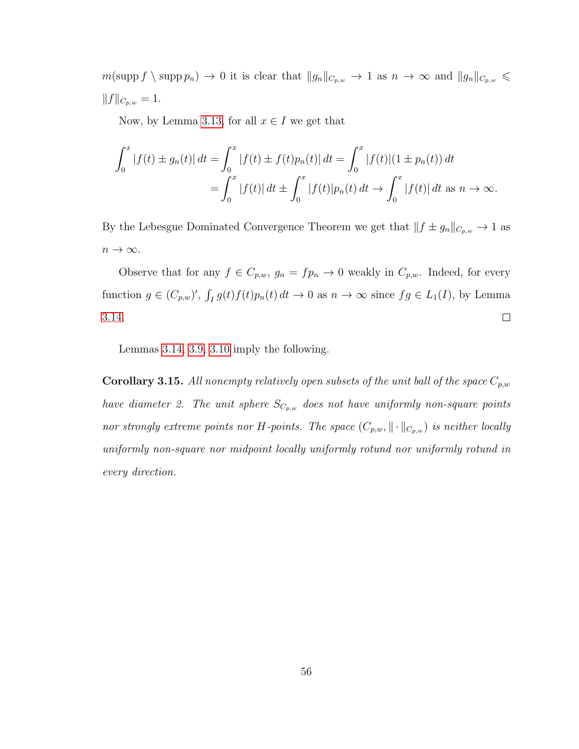$m(\text{supp } f \setminus \text{supp } p_n) \to 0$  it is clear that  $||g_n||_{C_{p,w}} \to 1$  as  $n \to \infty$  and  $||g_n||_{C_{p,w}} \leq$  $||f||_{C_{p,w}} = 1.$ 

Now, by Lemma [3.13,](#page-60-0) for all  $x \in I$  we get that

$$
\int_0^x |f(t) \pm g_n(t)| dt = \int_0^x |f(t) \pm f(t)p_n(t)| dt = \int_0^x |f(t)| (1 \pm p_n(t)) dt
$$
  
= 
$$
\int_0^x |f(t)| dt \pm \int_0^x |f(t)|p_n(t) dt \rightarrow \int_0^x |f(t)| dt \text{ as } n \rightarrow \infty.
$$

By the Lebesgue Dominated Convergence Theorem we get that  $|| f \pm g_n ||_{C_{p,w}} \to 1$  as  $n \to \infty$ .

Observe that for any  $f \in C_{p,w}$ ,  $g_n = fp_n \to 0$  weakly in  $C_{p,w}$ . Indeed, for every function  $g \in (C_{p,w})'$ ,  $\int_I g(t)f(t)p_n(t) dt \to 0$  as  $n \to \infty$  since  $fg \in L_1(I)$ , by Lemma [3.14.](#page-61-0)  $\Box$ 

Lemmas [3.14,](#page-61-0) [3.9,](#page-58-0) [3.10](#page-58-1) imply the following.

**Corollary 3.15.** All nonempty relatively open subsets of the unit ball of the space  $C_{p,w}$ *have diameter 2. The unit sphere*  $S_{C_{p,w}}$  *does not have uniformly non-square points nor strongly extreme points nor H-points. The space*  $(C_{p,w}, \|\cdot\|_{C_{p,w}})$  *is neither locally uniformly non-square nor midpoint locally uniformly rotund nor uniformly rotund in every direction.*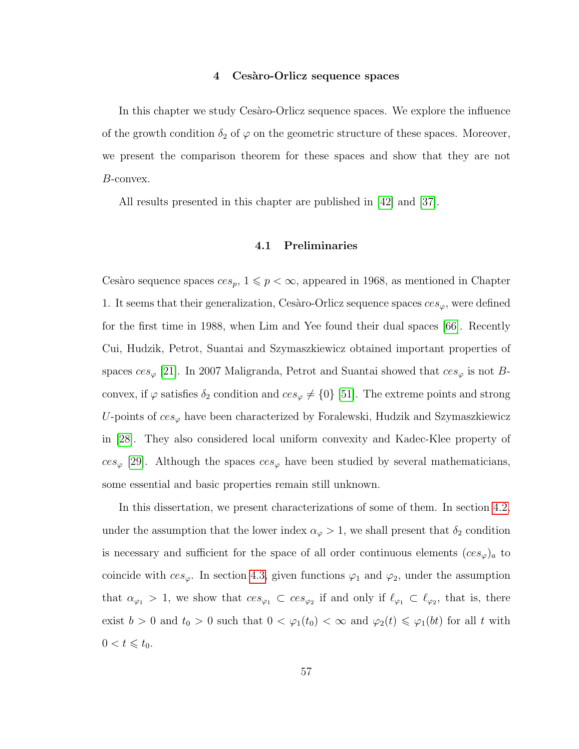#### **4 Ces`aro-Orlicz sequence spaces**

In this chapter we study Cesaro-Orlicz sequence spaces. We explore the influence of the growth condition  $\delta_2$  of  $\varphi$  on the geometric structure of these spaces. Moreover, we present the comparison theorem for these spaces and show that they are not B-convex.

All results presented in this chapter are published in [\[42\]](#page-97-0) and [\[37\]](#page-96-4).

#### **4.1 Preliminaries**

Cesàro sequence spaces  $ces_p$ ,  $1 \leq p < \infty$ , appeared in 1968, as mentioned in Chapter 1. It seems that their generalization, Cesàro-Orlicz sequence spaces  $ces_{\varphi}$ , were defined for the first time in 1988, when Lim and Yee found their dual spaces [\[66\]](#page-99-0). Recently Cui, Hudzik, Petrot, Suantai and Szymaszkiewicz obtained important properties of spaces  $ces_{\varphi}$  [\[21\]](#page-95-1). In 2007 Maligranda, Petrot and Suantai showed that  $ces_{\varphi}$  is not Bconvex, if  $\varphi$  satisfies  $\delta_2$  condition and  $ces_{\varphi} \neq \{0\}$  [\[51\]](#page-98-3). The extreme points and strong U-points of  $ces_{\varphi}$  have been characterized by Foralewski, Hudzik and Szymaszkiewicz in [\[28\]](#page-96-5). They also considered local uniform convexity and Kadec-Klee property of  $ces_{\varphi}$  [\[29\]](#page-96-6). Although the spaces  $ces_{\varphi}$  have been studied by several mathematicians, some essential and basic properties remain still unknown.

In this dissertation, we present characterizations of some of them. In section [4.2,](#page-70-0) under the assumption that the lower index  $\alpha_{\varphi} > 1$ , we shall present that  $\delta_2$  condition is necessary and sufficient for the space of all order continuous elements  $(ces_{\varphi})_a$  to coincide with  $ces_{\varphi}$ . In section [4.3,](#page-74-0) given functions  $\varphi_1$  and  $\varphi_2$ , under the assumption that  $\alpha_{\varphi_1} > 1$ , we show that  $ces_{\varphi_1} \subset ces_{\varphi_2}$  if and only if  $\ell_{\varphi_1} \subset \ell_{\varphi_2}$ , that is, there exist  $b > 0$  and  $t_0 > 0$  such that  $0 < \varphi_1(t_0) < \infty$  and  $\varphi_2(t) \leq \varphi_1(bt)$  for all t with  $0 < t \leq t_0.$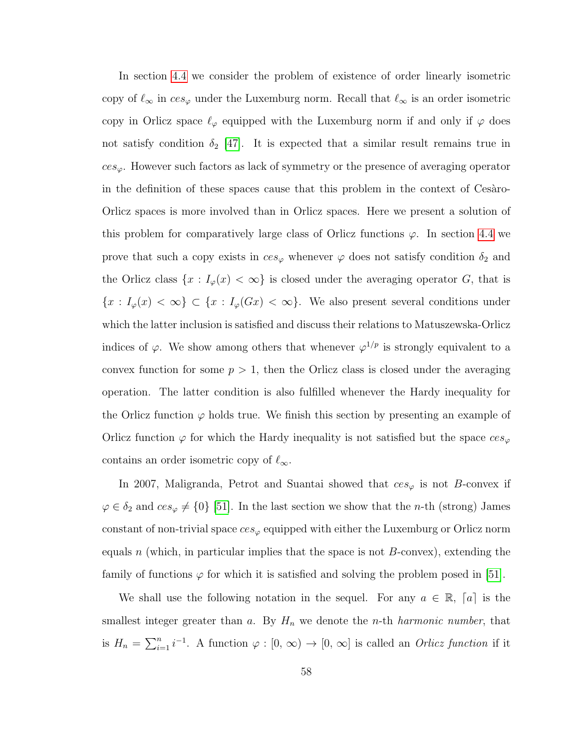In section [4.4](#page-77-0) we consider the problem of existence of order linearly isometric copy of  $\ell_{\infty}$  in  $ces_{\varphi}$  under the Luxemburg norm. Recall that  $\ell_{\infty}$  is an order isometric copy in Orlicz space  $\ell_{\varphi}$  equipped with the Luxemburg norm if and only if  $\varphi$  does not satisfy condition  $\delta_2$  [\[47\]](#page-97-1). It is expected that a similar result remains true in  $ces<sub>ϕ</sub>$ . However such factors as lack of symmetry or the presence of averaging operator in the definition of these spaces cause that this problem in the context of Cesaro-Orlicz spaces is more involved than in Orlicz spaces. Here we present a solution of this problem for comparatively large class of Orlicz functions  $\varphi$ . In section [4.4](#page-77-0) we prove that such a copy exists in  $ces_{\varphi}$  whenever  $\varphi$  does not satisfy condition  $\delta_2$  and the Orlicz class  $\{x : I_{\varphi}(x) < \infty\}$  is closed under the averaging operator G, that is  ${x : I_{\varphi}(x) < \infty} \subset {x : I_{\varphi}(Gx) < \infty}$ . We also present several conditions under which the latter inclusion is satisfied and discuss their relations to Matuszewska-Orlicz indices of  $\varphi$ . We show among others that whenever  $\varphi^{1/p}$  is strongly equivalent to a convex function for some  $p > 1$ , then the Orlicz class is closed under the averaging operation. The latter condition is also fulfilled whenever the Hardy inequality for the Orlicz function  $\varphi$  holds true. We finish this section by presenting an example of Orlicz function  $\varphi$  for which the Hardy inequality is not satisfied but the space  $ces_{\varphi}$ contains an order isometric copy of  $\ell_{\infty}$ .

In 2007, Maligranda, Petrot and Suantai showed that  $ces_{\varphi}$  is not B-convex if  $\varphi \in \delta_2$  and  $ces_{\varphi} \neq \{0\}$  [\[51\]](#page-98-3). In the last section we show that the *n*-th (strong) James constant of non-trivial space  $ces_{\varphi}$  equipped with either the Luxemburg or Orlicz norm equals n (which, in particular implies that the space is not  $B$ -convex), extending the family of functions  $\varphi$  for which it is satisfied and solving the problem posed in [\[51\]](#page-98-3).

We shall use the following notation in the sequel. For any  $a \in \mathbb{R}$ ,  $[a]$  is the smallest integer greater than  $a$ . By  $H_n$  we denote the *n*-th *harmonic number*, that is  $H_n = \sum_{i=1}^n i^{-1}$ . A function  $\varphi : [0, \infty) \to [0, \infty]$  is called an *Orlicz function* if it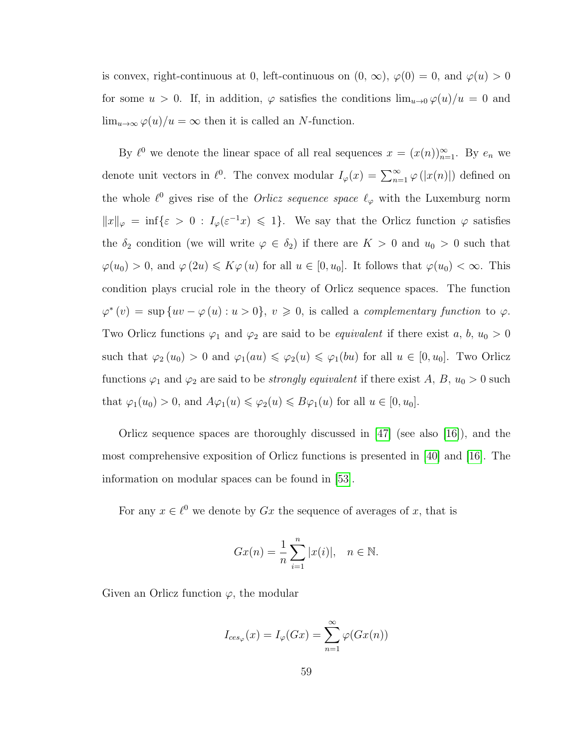is convex, right-continuous at 0, left-continuous on  $(0, \infty)$ ,  $\varphi(0) = 0$ , and  $\varphi(u) > 0$ for some  $u > 0$ . If, in addition,  $\varphi$  satisfies the conditions  $\lim_{u\to 0} \varphi(u)/u = 0$  and  $\lim_{u\to\infty}\varphi(u)/u=\infty$  then it is called an N-function.

By  $\ell^0$  we denote the linear space of all real sequences  $x = (x(n))_{n=1}^{\infty}$ . By  $e_n$  we denote unit vectors in  $\ell^0$ . The convex modular  $I_\varphi(x) = \sum_{n=1}^{\infty} \varphi(|x(n)|)$  defined on the whole  $\ell^0$  gives rise of the *Orlicz sequence space*  $\ell_\varphi$  with the Luxemburg norm  $||x||_{\varphi} = \inf \{ \varepsilon > 0 : I_{\varphi}(\varepsilon^{-1}x) \leq 1 \}.$  We say that the Orlicz function  $\varphi$  satisfies the  $\delta_2$  condition (we will write  $\varphi \in \delta_2$ ) if there are  $K > 0$  and  $u_0 > 0$  such that  $\varphi(u_0) > 0$ , and  $\varphi(2u) \leq K\varphi(u)$  for all  $u \in [0, u_0]$ . It follows that  $\varphi(u_0) < \infty$ . This condition plays crucial role in the theory of Orlicz sequence spaces. The function  $\varphi^*(v) = \sup \{uv - \varphi(u) : u > 0\}, v \geq 0$ , is called a *complementary function* to  $\varphi$ . Two Orlicz functions  $\varphi_1$  and  $\varphi_2$  are said to be *equivalent* if there exist a, b,  $u_0 > 0$ such that  $\varphi_2(u_0) > 0$  and  $\varphi_1(au) \leq \varphi_2(u) \leq \varphi_1(bu)$  for all  $u \in [0, u_0]$ . Two Orlicz functions  $\varphi_1$  and  $\varphi_2$  are said to be *strongly equivalent* if there exist A, B,  $u_0 > 0$  such that  $\varphi_1(u_0) > 0$ , and  $A\varphi_1(u) \leq \varphi_2(u) \leq B\varphi_1(u)$  for all  $u \in [0, u_0]$ .

Orlicz sequence spaces are thoroughly discussed in [\[47\]](#page-97-1) (see also [\[16\]](#page-95-2)), and the most comprehensive exposition of Orlicz functions is presented in [\[40\]](#page-97-2) and [\[16\]](#page-95-2). The information on modular spaces can be found in [\[53\]](#page-98-4).

For any  $x \in \ell^0$  we denote by  $Gx$  the sequence of averages of x, that is

$$
Gx(n) = \frac{1}{n} \sum_{i=1}^{n} |x(i)|, \quad n \in \mathbb{N}.
$$

Given an Orlicz function  $\varphi$ , the modular

$$
I_{ces_{\varphi}}(x) = I_{\varphi}(Gx) = \sum_{n=1}^{\infty} \varphi(Gx(n))
$$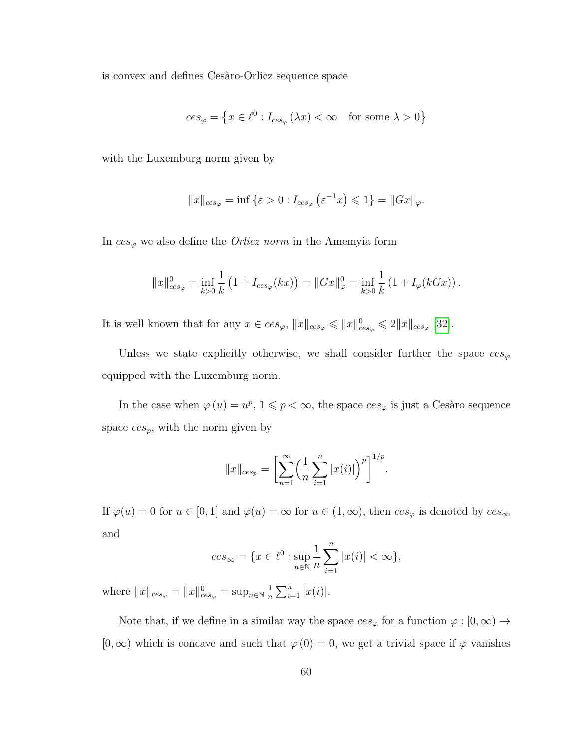is convex and defines Cesaro-Orlicz sequence space

$$
ces_{\varphi} = \left\{ x \in \ell^0 : I_{ces_{\varphi}} (\lambda x) < \infty \quad \text{for some } \lambda > 0 \right\}
$$

with the Luxemburg norm given by

$$
||x||_{ces_{\varphi}} = \inf \{ \varepsilon > 0 : I_{ces_{\varphi}} \left( \varepsilon^{-1} x \right) \leq 1 \} = ||Gx||_{\varphi}.
$$

In  $ces_{\varphi}$  we also define the *Orlicz norm* in the Amemyia form

$$
||x||_{ces_{\varphi}}^{0} = \inf_{k>0} \frac{1}{k} (1 + I_{ces_{\varphi}}(kx)) = ||Gx||_{\varphi}^{0} = \inf_{k>0} \frac{1}{k} (1 + I_{\varphi}(kGx)).
$$

It is well known that for any  $x \in ces_{\varphi}, \|x\|_{ces_{\varphi}} \leqslant \|x\|_{ces_{\varphi}}^0 \leqslant 2\|x\|_{ces_{\varphi}}$  [\[32\]](#page-96-7).

Unless we state explicitly otherwise, we shall consider further the space  $ces_{\varphi}$ equipped with the Luxemburg norm.

In the case when  $\varphi(u) = u^p$ ,  $1 \leqslant p < \infty$ , the space  $ces_{\varphi}$  is just a Cesàro sequence space  $ces_p$ , with the norm given by

$$
||x||_{ces_p} = \left[\sum_{n=1}^{\infty} \left(\frac{1}{n} \sum_{i=1}^{n} |x(i)|\right)^p\right]^{1/p}.
$$

If  $\varphi(u) = 0$  for  $u \in [0, 1]$  and  $\varphi(u) = \infty$  for  $u \in (1, \infty)$ , then  $ces_{\varphi}$  is denoted by  $ces_{\infty}$ and

$$
ces_{\infty} = \{x \in \ell^0 : \sup_{n \in \mathbb{N}} \frac{1}{n} \sum_{i=1}^n |x(i)| < \infty\},\
$$

where  $||x||_{ces_{\varphi}} = ||x||_{ces_{\varphi}}^{0} = \sup_{n \in \mathbb{N}} \frac{1}{n}$  $\frac{1}{n} \sum_{i=1}^{n} |x(i)|$ .

Note that, if we define in a similar way the space  $ces_{\varphi}$  for a function  $\varphi : [0, \infty) \to$  $[0,\infty)$  which is concave and such that  $\varphi(0) = 0$ , we get a trivial space if  $\varphi$  vanishes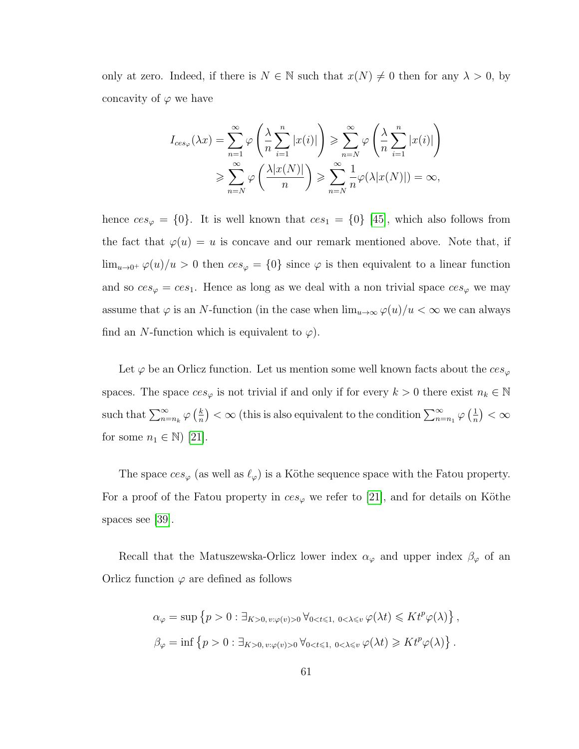only at zero. Indeed, if there is  $N \in \mathbb{N}$  such that  $x(N) \neq 0$  then for any  $\lambda > 0$ , by concavity of  $\varphi$  we have

$$
I_{ces_{\varphi}}(\lambda x) = \sum_{n=1}^{\infty} \varphi \left( \frac{\lambda}{n} \sum_{i=1}^{n} |x(i)| \right) \ge \sum_{n=N}^{\infty} \varphi \left( \frac{\lambda}{n} \sum_{i=1}^{n} |x(i)| \right)
$$
  

$$
\ge \sum_{n=N}^{\infty} \varphi \left( \frac{\lambda |x(N)|}{n} \right) \ge \sum_{n=N}^{\infty} \frac{1}{n} \varphi(\lambda |x(N)|) = \infty,
$$

hence  $ces_{\varphi} = \{0\}$ . It is well known that  $ces_1 = \{0\}$  [\[45\]](#page-97-3), which also follows from the fact that  $\varphi(u) = u$  is concave and our remark mentioned above. Note that, if  $\lim_{u\to 0^+} \varphi(u)/u > 0$  then  $ces_{\varphi} = \{0\}$  since  $\varphi$  is then equivalent to a linear function and so  $ces_{\varphi} = ces_1$ . Hence as long as we deal with a non trivial space  $ces_{\varphi}$  we may assume that  $\varphi$  is an N-function (in the case when  $\lim_{u\to\infty} \varphi(u)/u < \infty$  we can always find an N-function which is equivalent to  $\varphi$ ).

Let  $\varphi$  be an Orlicz function. Let us mention some well known facts about the  $ces_{\varphi}$ spaces. The space  $ces_{\varphi}$  is not trivial if and only if for every  $k > 0$  there exist  $n_k \in \mathbb{N}$ such that  $\sum_{n=n_k}^{\infty} \varphi\left(\frac{k}{n}\right)$  $\frac{k}{n}$ ) <  $\infty$  (this is also equivalent to the condition  $\sum_{n=n_1}^{\infty} \varphi\left(\frac{1}{n}\right)$  $\frac{1}{n}\big)<\infty$ for some  $n_1 \in \mathbb{N}$  [\[21\]](#page-95-1).

The space  $ces_{\varphi}$  (as well as  $\ell_{\varphi}$ ) is a Köthe sequence space with the Fatou property. For a proof of the Fatou property in  $ces_{\varphi}$  we refer to [\[21\]](#page-95-1), and for details on Köthe spaces see [\[39\]](#page-97-4).

Recall that the Matuszewska-Orlicz lower index  $\alpha_\varphi$  and upper index  $\beta_\varphi$  of an Orlicz function  $\varphi$  are defined as follows

$$
\alpha_{\varphi} = \sup \{ p > 0 : \exists_{K>0, v: \varphi(v)>0} \forall_{0  

$$
\beta_{\varphi} = \inf \{ p > 0 : \exists_{K>0, v: \varphi(v)>0} \forall_{0
$$
$$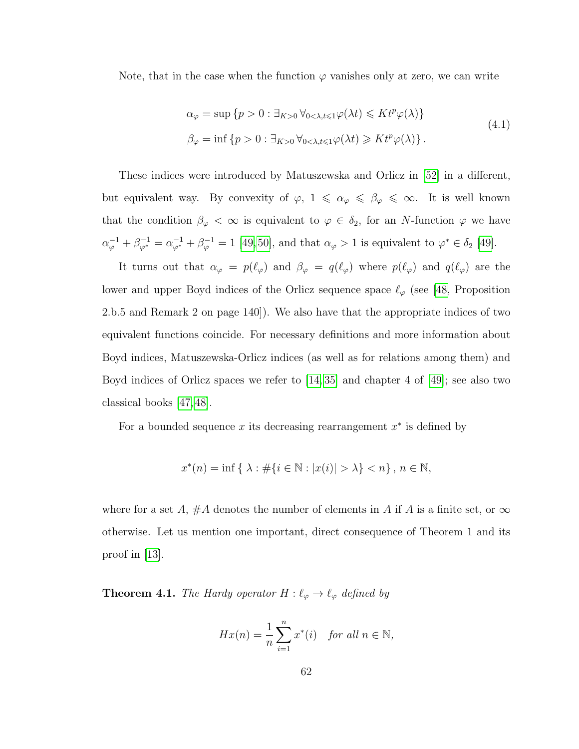Note, that in the case when the function  $\varphi$  vanishes only at zero, we can write

$$
\alpha_{\varphi} = \sup \{ p > 0 : \exists_{K>0} \forall_{0 < \lambda, t \leq 1} \varphi(\lambda t) \leq K t^p \varphi(\lambda) \}
$$
  

$$
\beta_{\varphi} = \inf \{ p > 0 : \exists_{K>0} \forall_{0 < \lambda, t \leq 1} \varphi(\lambda t) \geq K t^p \varphi(\lambda) \}.
$$
 (4.1)

These indices were introduced by Matuszewska and Orlicz in [\[52\]](#page-98-5) in a different, but equivalent way. By convexity of  $\varphi$ ,  $1 \leq \alpha_{\varphi} \leq \beta_{\varphi} \leq \infty$ . It is well known that the condition  $\beta_{\varphi} < \infty$  is equivalent to  $\varphi \in \delta_2$ , for an N-function  $\varphi$  we have  $\alpha_{\varphi}^{-1} + \beta_{\varphi^*}^{-1} = \alpha_{\varphi^*}^{-1} + \beta_{\varphi}^{-1} = 1$  [\[49,](#page-97-5)50], and that  $\alpha_{\varphi} > 1$  is equivalent to  $\varphi^* \in \delta_2$  [\[49\]](#page-97-5).

It turns out that  $\alpha_{\varphi} = p(\ell_{\varphi})$  and  $\beta_{\varphi} = q(\ell_{\varphi})$  where  $p(\ell_{\varphi})$  and  $q(\ell_{\varphi})$  are the lower and upper Boyd indices of the Orlicz sequence space  $\ell_{\varphi}$  (see [\[48,](#page-97-7) Proposition 2.b.5 and Remark 2 on page 140]). We also have that the appropriate indices of two equivalent functions coincide. For necessary definitions and more information about Boyd indices, Matuszewska-Orlicz indices (as well as for relations among them) and Boyd indices of Orlicz spaces we refer to [\[14,](#page-95-3) [35\]](#page-96-8) and chapter 4 of [\[49\]](#page-97-5); see also two classical books [\[47,](#page-97-1) [48\]](#page-97-7).

For a bounded sequence  $x$  its decreasing rearrangement  $x^*$  is defined by

$$
x^*(n) = \inf \{ \lambda : \#\{ i \in \mathbb{N} : |x(i)| > \lambda \} < n \}, n \in \mathbb{N},
$$

where for a set A, #A denotes the number of elements in A if A is a finite set, or  $\infty$ otherwise. Let us mention one important, direct consequence of Theorem 1 and its proof in  $|13|$ .

<span id="page-68-0"></span>**Theorem 4.1.** *The Hardy operator*  $H : \ell_{\varphi} \to \ell_{\varphi}$  *defined by* 

$$
Hx(n) = \frac{1}{n} \sum_{i=1}^{n} x^*(i) \quad \text{for all } n \in \mathbb{N},
$$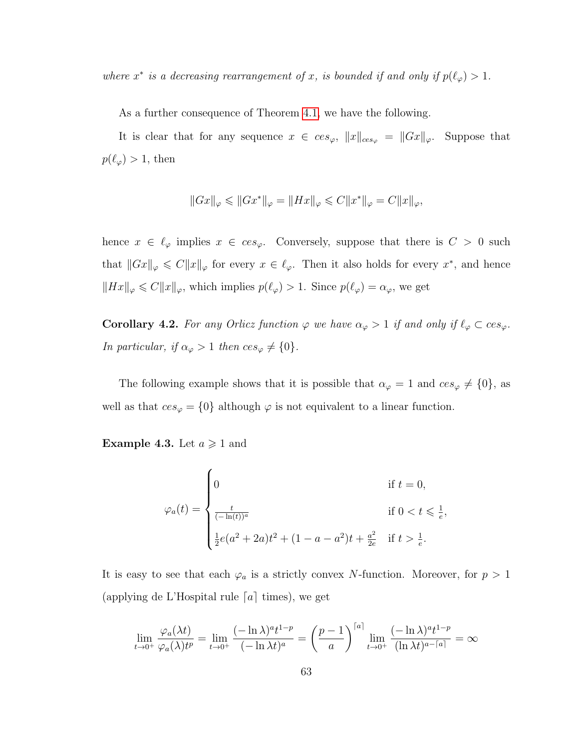*where*  $x^*$  *is a decreasing rearrangement of* x, *is bounded if and only if*  $p(\ell_{\varphi}) > 1$ *.* 

As a further consequence of Theorem [4.1,](#page-68-0) we have the following.

It is clear that for any sequence  $x \in ces_{\varphi}, ||x||_{ces_{\varphi}} = ||Gx||_{\varphi}$ . Suppose that  $p(\ell_\varphi) > 1$ , then

$$
||Gx||_{\varphi} \leq ||Gx^*||_{\varphi} = ||Hx||_{\varphi} \leq C||x^*||_{\varphi} = C||x||_{\varphi},
$$

hence  $x \in \ell_{\varphi}$  implies  $x \in ces_{\varphi}$ . Conversely, suppose that there is  $C > 0$  such that  $||Gx||_{\varphi} \leq C||x||_{\varphi}$  for every  $x \in \ell_{\varphi}$ . Then it also holds for every  $x^*$ , and hence  $||Hx||_{\varphi} \leq C||x||_{\varphi}$ , which implies  $p(\ell_{\varphi}) > 1$ . Since  $p(\ell_{\varphi}) = \alpha_{\varphi}$ , we get

<span id="page-69-0"></span>**Corollary 4.2.** *For any Orlicz function*  $\varphi$  *we have*  $\alpha_{\varphi} > 1$  *if and only if*  $\ell_{\varphi} \subset ces_{\varphi}$ *. In particular, if*  $\alpha_{\varphi} > 1$  *then*  $ces_{\varphi} \neq \{0\}.$ 

The following example shows that it is possible that  $\alpha_{\varphi} = 1$  and  $ces_{\varphi} \neq \{0\}$ , as well as that  $ces_{\varphi} = \{0\}$  although  $\varphi$  is not equivalent to a linear function.

**Example 4.3.** Let  $a \ge 1$  and

$$
\varphi_a(t) = \begin{cases}\n0 & \text{if } t = 0, \\
\frac{t}{(-\ln(t))^a} & \text{if } 0 < t \leq \frac{1}{e}, \\
\frac{1}{2}e(a^2 + 2a)t^2 + (1 - a - a^2)t + \frac{a^2}{2e} & \text{if } t > \frac{1}{e}.\n\end{cases}
$$

It is easy to see that each  $\varphi_a$  is a strictly convex N-function. Moreover, for  $p > 1$ (applying de L'Hospital rule  $[a]$  times), we get

$$
\lim_{t \to 0^+} \frac{\varphi_a(\lambda t)}{\varphi_a(\lambda)t^p} = \lim_{t \to 0^+} \frac{(-\ln \lambda)^a t^{1-p}}{(-\ln \lambda t)^a} = \left(\frac{p-1}{a}\right)^{\lceil a \rceil} \lim_{t \to 0^+} \frac{(-\ln \lambda)^a t^{1-p}}{(\ln \lambda t)^{a-\lceil a \rceil}} = \infty
$$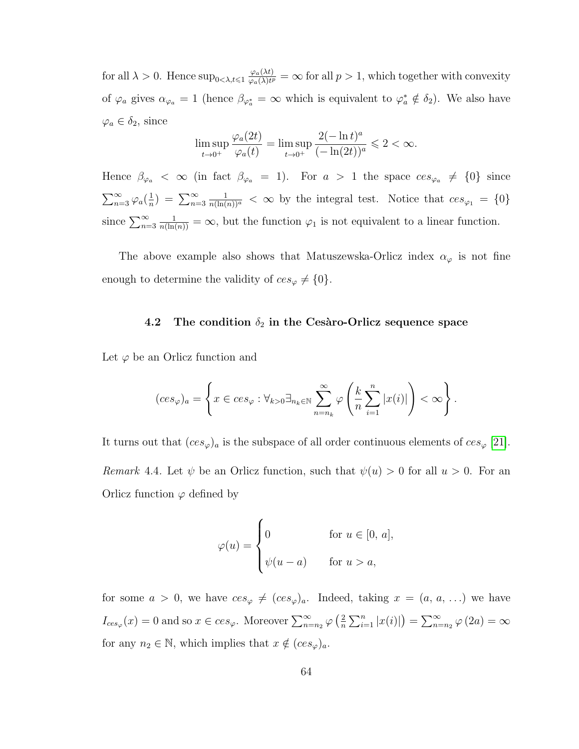for all  $\lambda > 0$ . Hence  $\sup_{0 < \lambda, t \leqslant 1} \frac{\varphi_a(\lambda t)}{\varphi_a(\lambda)t^2}$  $\frac{\varphi_a(\lambda t)}{\varphi_a(\lambda)t^p} = \infty$  for all  $p > 1$ , which together with convexity of  $\varphi_a$  gives  $\alpha_{\varphi_a} = 1$  (hence  $\beta_{\varphi_a^*} = \infty$  which is equivalent to  $\varphi_a^* \notin \delta_2$ ). We also have  $\varphi_a \in \delta_2$ , since

$$
\limsup_{t \to 0^+} \frac{\varphi_a(2t)}{\varphi_a(t)} = \limsup_{t \to 0^+} \frac{2(-\ln t)^a}{(-\ln(2t))^a} \leq 2 < \infty.
$$

Hence  $\beta_{\varphi_a} < \infty$  (in fact  $\beta_{\varphi_a} = 1$ ). For  $a > 1$  the space  $ces_{\varphi_a} \neq \{0\}$  since  $\sum_{n=3}^{\infty} \varphi_a\left(\frac{1}{n}\right)$  $\frac{1}{n}$ ) =  $\sum_{n=3}^{\infty}$  $\frac{1}{n(\ln(n))^a} < \infty$  by the integral test. Notice that  $ces_{\varphi_1} = \{0\}$ since  $\sum_{n=3}^{\infty}$  $\frac{1}{n(\ln(n))} = \infty$ , but the function  $\varphi_1$  is not equivalent to a linear function.

The above example also shows that Matuszewska-Orlicz index  $\alpha_{\varphi}$  is not fine enough to determine the validity of  $ces_{\varphi} \neq \{0\}.$ 

## <span id="page-70-0"></span>**4.2** The condition  $\delta_2$  in the Cesaro-Orlicz sequence space

Let  $\varphi$  be an Orlicz function and

$$
(ces_{\varphi})_a = \left\{ x \in ces_{\varphi} : \forall_{k>0} \exists_{n_k \in \mathbb{N}} \sum_{n=n_k}^{\infty} \varphi \left( \frac{k}{n} \sum_{i=1}^n |x(i)| \right) < \infty \right\}.
$$

<span id="page-70-1"></span>It turns out that  $(ces_{\varphi})_a$  is the subspace of all order continuous elements of  $ces_{\varphi}$  [\[21\]](#page-95-1). *Remark* 4.4. Let  $\psi$  be an Orlicz function, such that  $\psi(u) > 0$  for all  $u > 0$ . For an Orlicz function  $\varphi$  defined by

$$
\varphi(u) = \begin{cases} 0 & \text{for } u \in [0, a], \\ \psi(u - a) & \text{for } u > a, \end{cases}
$$

for some  $a > 0$ , we have  $ces_{\varphi} \neq (ces_{\varphi})_a$ . Indeed, taking  $x = (a, a, ...)$  we have  $I_{ces_{\varphi}}(x) = 0$  and so  $x \in ces_{\varphi}$ . Moreover  $\sum_{n=n_2}^{\infty} \varphi\left(\frac{2}{n}\right)$  $\frac{2}{n} \sum_{i=1}^{n} |x(i)|$  =  $\sum_{n=n_2}^{\infty} \varphi(2a) = \infty$ for any  $n_2 \in \mathbb{N}$ , which implies that  $x \notin (ces_{\varphi})_a$ .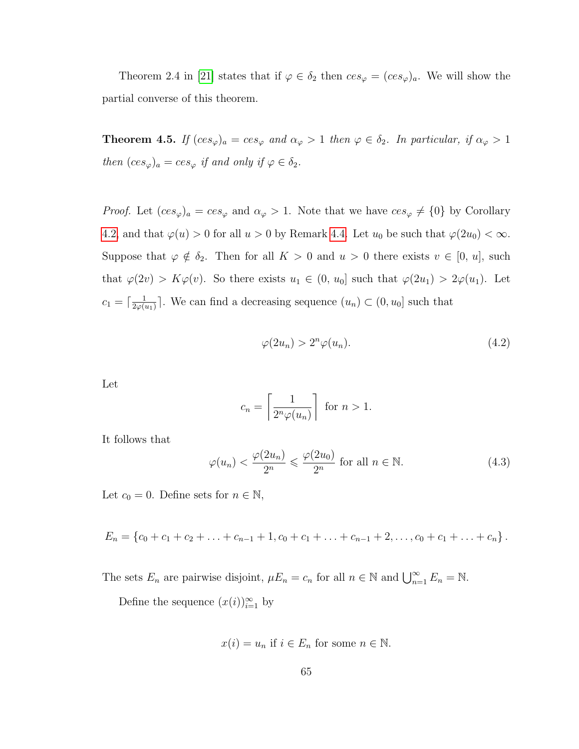Theorem 2.4 in [\[21\]](#page-95-1) states that if  $\varphi \in \delta_2$  then  $ces_{\varphi} = (ces_{\varphi})_a$ . We will show the partial converse of this theorem.

**Theorem 4.5.** *If*  $(ces_{\varphi})_a = ces_{\varphi}$  *and*  $\alpha_{\varphi} > 1$  *then*  $\varphi \in \delta_2$ *. In particular, if*  $\alpha_{\varphi} > 1$ *then*  $(ces_{\varphi})_a = ces_{\varphi}$  *if and only if*  $\varphi \in \delta_2$ *.* 

*Proof.* Let  $(ces_{\varphi})_a = ces_{\varphi}$  and  $\alpha_{\varphi} > 1$ . Note that we have  $ces_{\varphi} \neq \{0\}$  by Corollary [4.2,](#page-69-0) and that  $\varphi(u) > 0$  for all  $u > 0$  by Remark [4.4.](#page-70-1) Let  $u_0$  be such that  $\varphi(2u_0) < \infty$ . Suppose that  $\varphi \notin \delta_2$ . Then for all  $K > 0$  and  $u > 0$  there exists  $v \in [0, u]$ , such that  $\varphi(2v) > K\varphi(v)$ . So there exists  $u_1 \in (0, u_0]$  such that  $\varphi(2u_1) > 2\varphi(u_1)$ . Let  $c_1 = \left[\frac{1}{2\omega\alpha}\right]$  $\frac{1}{2\varphi(u_1)}$ . We can find a decreasing sequence  $(u_n) \subset (0, u_0]$  such that

$$
\varphi(2u_n) > 2^n \varphi(u_n). \tag{4.2}
$$

Let

$$
c_n = \left\lceil \frac{1}{2^n \varphi(u_n)} \right\rceil \text{ for } n > 1.
$$

It follows that

$$
\varphi(u_n) < \frac{\varphi(2u_n)}{2^n} \leqslant \frac{\varphi(2u_0)}{2^n} \text{ for all } n \in \mathbb{N}.\tag{4.3}
$$

Let  $c_0 = 0$ . Define sets for  $n \in \mathbb{N}$ ,

 $E_n = \{c_0 + c_1 + c_2 + \ldots + c_{n-1} + 1, c_0 + c_1 + \ldots + c_{n-1} + 2, \ldots, c_0 + c_1 + \ldots + c_n\}$ .

The sets  $E_n$  are pairwise disjoint,  $\mu E_n = c_n$  for all  $n \in \mathbb{N}$  and  $\bigcup_{n=1}^{\infty} E_n = \mathbb{N}$ .

Define the sequence  $(x(i))_{i=1}^{\infty}$  by

$$
x(i) = u_n
$$
 if  $i \in E_n$  for some  $n \in \mathbb{N}$ .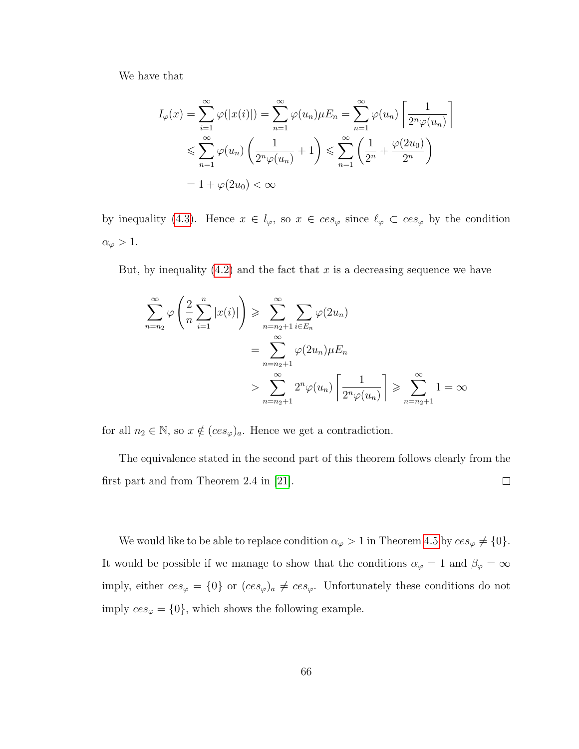We have that

$$
I_{\varphi}(x) = \sum_{i=1}^{\infty} \varphi(|x(i)|) = \sum_{n=1}^{\infty} \varphi(u_n)\mu E_n = \sum_{n=1}^{\infty} \varphi(u_n) \left[ \frac{1}{2^n \varphi(u_n)} \right]
$$
  

$$
\leqslant \sum_{n=1}^{\infty} \varphi(u_n) \left( \frac{1}{2^n \varphi(u_n)} + 1 \right) \leqslant \sum_{n=1}^{\infty} \left( \frac{1}{2^n} + \frac{\varphi(2u_0)}{2^n} \right)
$$
  

$$
= 1 + \varphi(2u_0) < \infty
$$

by inequality [\(4.3\)](#page-71-0). Hence  $x \in l_{\varphi}$ , so  $x \in ces_{\varphi}$  since  $\ell_{\varphi} \subset ces_{\varphi}$  by the condition  $\alpha_{\varphi} > 1.$ 

But, by inequality  $(4.2)$  and the fact that x is a decreasing sequence we have

$$
\sum_{n=n_2}^{\infty} \varphi\left(\frac{2}{n} \sum_{i=1}^n |x(i)|\right) \ge \sum_{n=n_2+1}^{\infty} \sum_{i \in E_n} \varphi(2u_n)
$$

$$
= \sum_{n=n_2+1}^{\infty} \varphi(2u_n) \mu E_n
$$

$$
> \sum_{n=n_2+1}^{\infty} 2^n \varphi(u_n) \left[\frac{1}{2^n \varphi(u_n)}\right] \ge \sum_{n=n_2+1}^{\infty} 1 = \infty
$$

for all  $n_2 \in \mathbb{N}$ , so  $x \notin (ces_{\varphi})_a$ . Hence we get a contradiction.

The equivalence stated in the second part of this theorem follows clearly from the first part and from Theorem 2.4 in [\[21\]](#page-95-0).  $\Box$ 

We would like to be able to replace condition  $\alpha_{\varphi} > 1$  in Theorem [4.5](#page-71-2) by  $ces_{\varphi} \neq \{0\}.$ It would be possible if we manage to show that the conditions  $\alpha_{\varphi} = 1$  and  $\beta_{\varphi} = \infty$ imply, either  $ces_{\varphi} = \{0\}$  or  $(ces_{\varphi})_a \neq ces_{\varphi}$ . Unfortunately these conditions do not imply  $ces_{\varphi} = \{0\}$ , which shows the following example.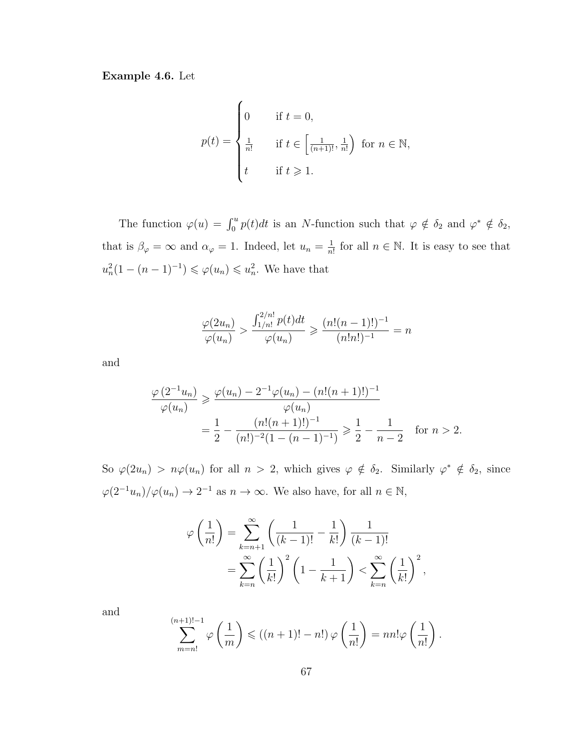<span id="page-73-0"></span>**Example 4.6.** Let

$$
p(t) = \begin{cases} 0 & \text{if } t = 0, \\ \frac{1}{n!} & \text{if } t \in \left[\frac{1}{(n+1)!}, \frac{1}{n!}\right) \text{ for } n \in \mathbb{N}, \\ t & \text{if } t \ge 1. \end{cases}
$$

The function  $\varphi(u) = \int_0^u p(t)dt$  is an N-function such that  $\varphi \notin \delta_2$  and  $\varphi^* \notin \delta_2$ , that is  $\beta_{\varphi} = \infty$  and  $\alpha_{\varphi} = 1$ . Indeed, let  $u_n = \frac{1}{n}$  $\frac{1}{n!}$  for all  $n \in \mathbb{N}$ . It is easy to see that  $u_n^2(1-(n-1)^{-1}) \leqslant \varphi(u_n) \leqslant u_n^2$ . We have that

$$
\frac{\varphi(2u_n)}{\varphi(u_n)} > \frac{\int_{1/n!}^{2/n!} p(t)dt}{\varphi(u_n)} \ge \frac{(n!(n-1)!)^{-1}}{(n!n!)^{-1}} = n
$$

and

$$
\frac{\varphi(2^{-1}u_n)}{\varphi(u_n)} \ge \frac{\varphi(u_n) - 2^{-1}\varphi(u_n) - (n!(n+1)!)^{-1}}{\varphi(u_n)}
$$
  
= 
$$
\frac{1}{2} - \frac{(n!(n+1)!)^{-1}}{(n!)^{-2}(1 - (n-1)^{-1})} \ge \frac{1}{2} - \frac{1}{n-2}
$$
 for  $n > 2$ .

So  $\varphi(2u_n) > n\varphi(u_n)$  for all  $n > 2$ , which gives  $\varphi \notin \delta_2$ . Similarly  $\varphi^* \notin \delta_2$ , since  $\varphi(2^{-1}u_n)/\varphi(u_n) \to 2^{-1}$  as  $n \to \infty$ . We also have, for all  $n \in \mathbb{N}$ ,

$$
\varphi\left(\frac{1}{n!}\right) = \sum_{k=n+1}^{\infty} \left(\frac{1}{(k-1)!} - \frac{1}{k!}\right) \frac{1}{(k-1)!}
$$

$$
= \sum_{k=n}^{\infty} \left(\frac{1}{k!}\right)^2 \left(1 - \frac{1}{k+1}\right) < \sum_{k=n}^{\infty} \left(\frac{1}{k!}\right)^2,
$$

and

$$
\sum_{m=n!}^{(n+1)!-1} \varphi\left(\frac{1}{m}\right) \leqslant \left((n+1)!-n!\right)\varphi\left(\frac{1}{n!}\right) = nn!\varphi\left(\frac{1}{n!}\right).
$$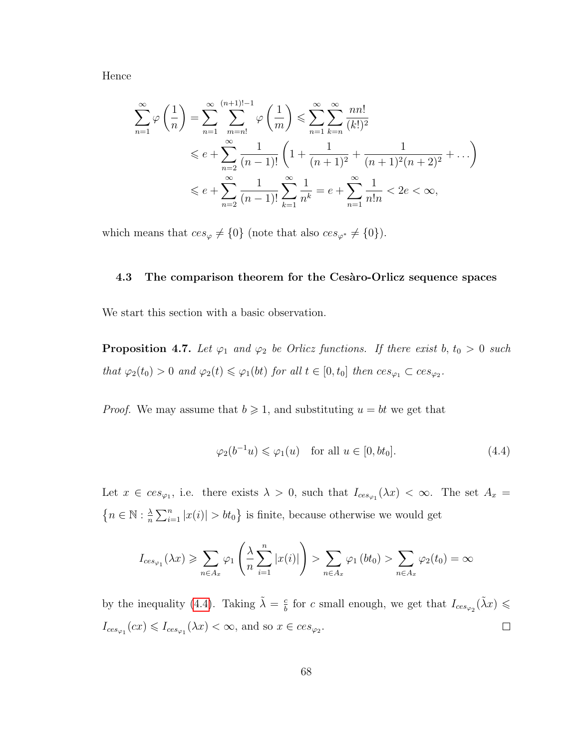Hence

$$
\sum_{n=1}^{\infty} \varphi\left(\frac{1}{n}\right) = \sum_{n=1}^{\infty} \sum_{m=n!}^{(n+1)!-1} \varphi\left(\frac{1}{m}\right) \leqslant \sum_{n=1}^{\infty} \sum_{k=n}^{\infty} \frac{nn!}{(k!)^2}
$$
  

$$
\leqslant e + \sum_{n=2}^{\infty} \frac{1}{(n-1)!} \left(1 + \frac{1}{(n+1)^2} + \frac{1}{(n+1)^2(n+2)^2} + \dots\right)
$$
  

$$
\leqslant e + \sum_{n=2}^{\infty} \frac{1}{(n-1)!} \sum_{k=1}^{\infty} \frac{1}{n^k} = e + \sum_{n=1}^{\infty} \frac{1}{n!n} < 2e < \infty,
$$

which means that  $ces_{\varphi} \neq \{0\}$  (note that also  $ces_{\varphi^*} \neq \{0\}$ ).

## **4.3 The comparison theorem for the Ces`aro-Orlicz sequence spaces**

We start this section with a basic observation.

**Proposition 4.7.** Let  $\varphi_1$  and  $\varphi_2$  be Orlicz functions. If there exist b,  $t_0 > 0$  such *that*  $\varphi_2(t_0) > 0$  *and*  $\varphi_2(t) \leq \varphi_1(bt)$  *for all*  $t \in [0, t_0]$  *then*  $ces_{\varphi_1} \subset ces_{\varphi_2}$ *.* 

*Proof.* We may assume that  $b \ge 1$ , and substituting  $u = bt$  we get that

<span id="page-74-0"></span>
$$
\varphi_2(b^{-1}u) \leq \varphi_1(u) \quad \text{for all } u \in [0, bt_0]. \tag{4.4}
$$

Let  $x \in ces_{\varphi_1}$ , i.e. there exists  $\lambda > 0$ , such that  $I_{ces_{\varphi_1}}(\lambda x) < \infty$ . The set  $A_x =$  $\{n \in \mathbb{N} : \frac{\lambda}{n}\}$  $\frac{\lambda}{n} \sum_{i=1}^{n} |x(i)| > bt_0$  is finite, because otherwise we would get

$$
I_{ces_{\varphi_1}}(\lambda x) \geqslant \sum_{n \in A_x} \varphi_1\left(\frac{\lambda}{n} \sum_{i=1}^n |x(i)|\right) > \sum_{n \in A_x} \varphi_1\left(bt_0\right) > \sum_{n \in A_x} \varphi_2(t_0) = \infty
$$

by the inequality [\(4.4\)](#page-74-0). Taking  $\tilde{\lambda} = \frac{c}{b}$  $\frac{c}{b}$  for c small enough, we get that  $I_{ces_{\varphi_2}}(\tilde{\lambda}x) \leq$  $I_{ces_{\varphi_1}}(cx) \leqslant I_{ces_{\varphi_1}}(\lambda x) < \infty$ , and so  $x \in ces_{\varphi_2}$ .  $\Box$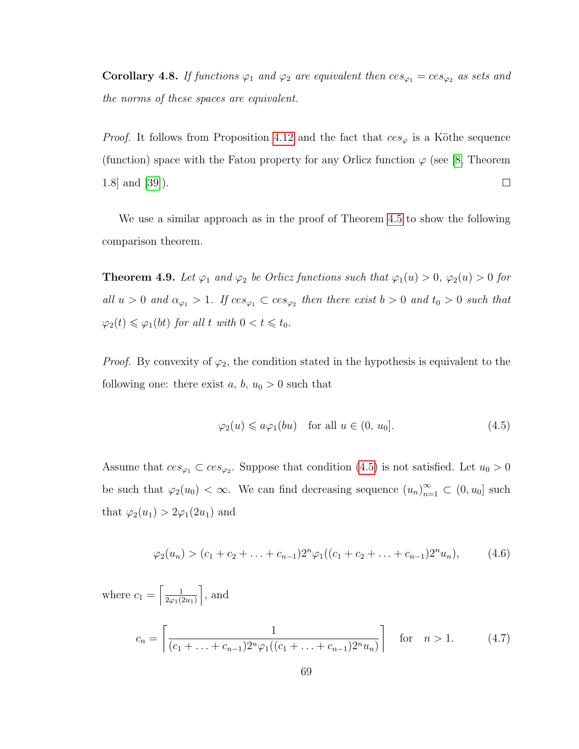<span id="page-75-2"></span>**Corollary 4.8.** *If functions*  $\varphi_1$  *and*  $\varphi_2$  *are equivalent then*  $ces_{\varphi_1} = ces_{\varphi_2}$  *as sets and the norms of these spaces are equivalent.*

*Proof.* It follows from Proposition [4.12](#page-81-0) and the fact that  $ces_{\varphi}$  is a Köthe sequence (function) space with the Fatou property for any Orlicz function  $\varphi$  (see [\[8,](#page-94-0) Theorem  $\Box$ 1.8] and [\[39\]](#page-97-0)).

We use a similar approach as in the proof of Theorem [4.5](#page-71-2) to show the following comparison theorem.

<span id="page-75-3"></span>**Theorem 4.9.** Let  $\varphi_1$  and  $\varphi_2$  be Orlicz functions such that  $\varphi_1(u) > 0$ ,  $\varphi_2(u) > 0$  for all  $u > 0$  and  $\alpha_{\varphi_1} > 1$ . If  $ces_{\varphi_1} \subset ces_{\varphi_2}$  then there exist  $b > 0$  and  $t_0 > 0$  such that  $\varphi_2(t) \leq \varphi_1(bt)$  *for all*  $t$  *with*  $0 < t \leq t_0$ *.* 

*Proof.* By convexity of  $\varphi_2$ , the condition stated in the hypothesis is equivalent to the following one: there exist  $a, b, u_0 > 0$  such that

<span id="page-75-0"></span>
$$
\varphi_2(u) \leqslant a\varphi_1(bu) \quad \text{for all } u \in (0, u_0]. \tag{4.5}
$$

Assume that  $ces_{\varphi_1} \subset ces_{\varphi_2}$ . Suppose that condition [\(4.5\)](#page-75-0) is not satisfied. Let  $u_0 > 0$ be such that  $\varphi_2(u_0) < \infty$ . We can find decreasing sequence  $(u_n)_{n=1}^{\infty} \subset (0, u_0]$  such that  $\varphi_2(u_1) > 2\varphi_1(2u_1)$  and

<span id="page-75-1"></span>
$$
\varphi_2(u_n) > (c_1 + c_2 + \ldots + c_{n-1})2^n \varphi_1((c_1 + c_2 + \ldots + c_{n-1})2^n u_n), \qquad (4.6)
$$

where  $c_1 = \left[\frac{1}{2\omega_1 t_1^2}\right]$  $2\varphi_1(2u_1)$  $\Big]$ , and  $c_n =$  $\begin{bmatrix} 1 \end{bmatrix}$  $(c_1 + \ldots + c_{n-1})2^n \varphi_1((c_1 + \ldots + c_{n-1})2^n u_n)$ 1 for  $n > 1.$  (4.7)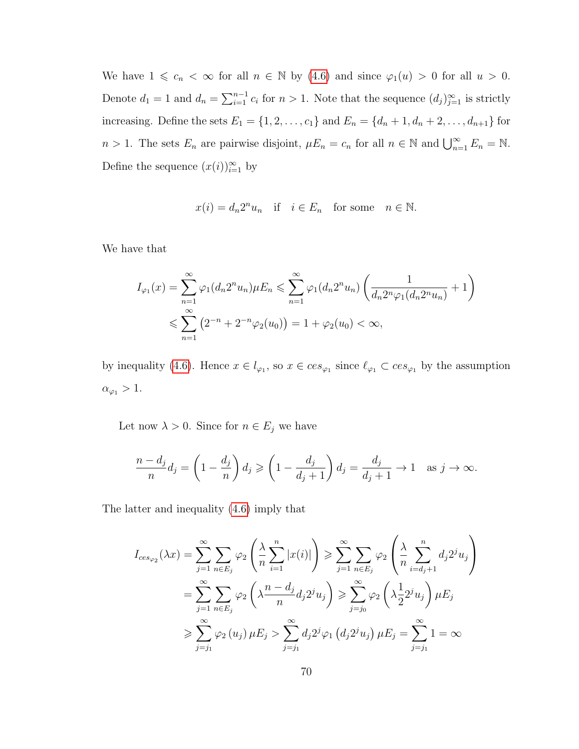We have  $1 \leq c_n < \infty$  for all  $n \in \mathbb{N}$  by [\(4.6\)](#page-75-1) and since  $\varphi_1(u) > 0$  for all  $u > 0$ . Denote  $d_1 = 1$  and  $d_n = \sum_{i=1}^{n-1} c_i$  for  $n > 1$ . Note that the sequence  $(d_j)_{j=1}^{\infty}$  is strictly increasing. Define the sets  $E_1 = \{1, 2, ..., c_1\}$  and  $E_n = \{d_n + 1, d_n + 2, ..., d_{n+1}\}$  for  $n > 1$ . The sets  $E_n$  are pairwise disjoint,  $\mu E_n = c_n$  for all  $n \in \mathbb{N}$  and  $\bigcup_{n=1}^{\infty} E_n = \mathbb{N}$ . Define the sequence  $(x(i))_{i=1}^{\infty}$  by

$$
x(i) = d_n 2^n u_n
$$
 if  $i \in E_n$  for some  $n \in \mathbb{N}$ .

We have that

$$
I_{\varphi_1}(x) = \sum_{n=1}^{\infty} \varphi_1(d_n 2^n u_n) \mu E_n \le \sum_{n=1}^{\infty} \varphi_1(d_n 2^n u_n) \left( \frac{1}{d_n 2^n \varphi_1(d_n 2^n u_n)} + 1 \right)
$$
  

$$
\le \sum_{n=1}^{\infty} \left( 2^{-n} + 2^{-n} \varphi_2(u_0) \right) = 1 + \varphi_2(u_0) < \infty,
$$

by inequality [\(4.6\)](#page-75-1). Hence  $x \in l_{\varphi_1}$ , so  $x \in ces_{\varphi_1}$  since  $\ell_{\varphi_1} \subset ces_{\varphi_1}$  by the assumption  $\alpha_{\varphi_1} > 1.$ 

Let now  $\lambda > 0$ . Since for  $n \in E_j$  we have

$$
\frac{n-d_j}{n}d_j = \left(1 - \frac{d_j}{n}\right)d_j \geqslant \left(1 - \frac{d_j}{d_j + 1}\right)d_j = \frac{d_j}{d_j + 1} \to 1 \quad \text{as } j \to \infty.
$$

The latter and inequality [\(4.6\)](#page-75-1) imply that

$$
I_{ces_{\varphi_2}}(\lambda x) = \sum_{j=1}^{\infty} \sum_{n \in E_j} \varphi_2 \left( \frac{\lambda}{n} \sum_{i=1}^n |x(i)| \right) \ge \sum_{j=1}^{\infty} \sum_{n \in E_j} \varphi_2 \left( \frac{\lambda}{n} \sum_{i=d_j+1}^n d_j 2^j u_j \right)
$$
  

$$
= \sum_{j=1}^{\infty} \sum_{n \in E_j} \varphi_2 \left( \lambda \frac{n - d_j}{n} d_j 2^j u_j \right) \ge \sum_{j=j_0}^{\infty} \varphi_2 \left( \lambda \frac{1}{2} 2^j u_j \right) \mu E_j
$$
  

$$
\ge \sum_{j=j_1}^{\infty} \varphi_2(u_j) \mu E_j > \sum_{j=j_1}^{\infty} d_j 2^j \varphi_1 (d_j 2^j u_j) \mu E_j = \sum_{j=j_1}^{\infty} 1 = \infty
$$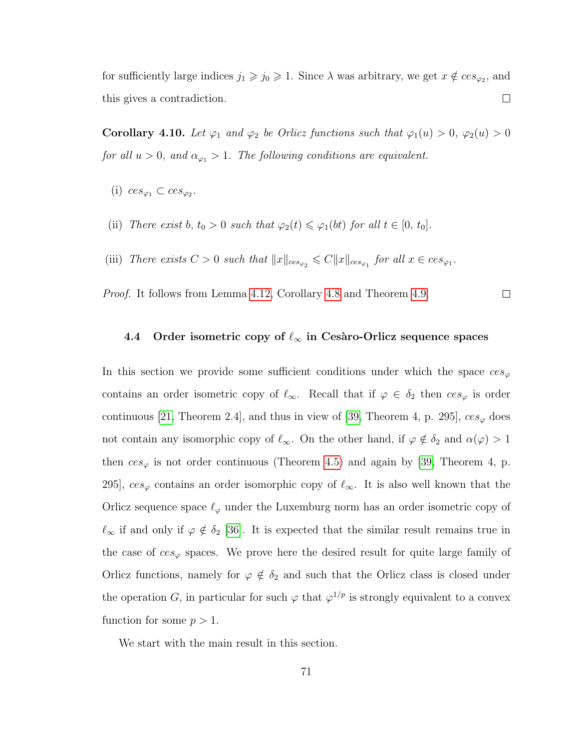for sufficiently large indices  $j_1 \geq j_0 \geq 1$ . Since  $\lambda$  was arbitrary, we get  $x \notin ces_{\varphi_2}$ , and this gives a contradiction.  $\Box$ 

**Corollary 4.10.** *Let*  $\varphi_1$  *and*  $\varphi_2$  *be Orlicz functions such that*  $\varphi_1(u) > 0$ *,*  $\varphi_2(u) > 0$ *for all*  $u > 0$ *, and*  $\alpha_{\varphi_1} > 1$ *. The following conditions are equivalent.* 

- (i)  $ces_{\varphi_1} \subset ces_{\varphi_2}$ .
- (ii) *There exist*  $b, t_0 > 0$  *such that*  $\varphi_2(t) \leq \varphi_1(bt)$  *for all*  $t \in [0, t_0]$ *.*
- (iii) *There exists*  $C > 0$  *such that*  $||x||_{ces_{\varphi_2}} \leq C||x||_{ces_{\varphi_1}}$  *for all*  $x \in ces_{\varphi_1}$ *.*

*Proof.* It follows from Lemma [4.12,](#page-81-0) Corollary [4.8](#page-75-2) and Theorem [4.9.](#page-75-3)  $\Box$ 

## **4.4** Order isometric copy of  $\ell_{\infty}$  in Cesàro-Orlicz sequence spaces

In this section we provide some sufficient conditions under which the space  $ces_{\varphi}$ contains an order isometric copy of  $\ell_{\infty}$ . Recall that if  $\varphi \in \delta_2$  then  $ces_{\varphi}$  is order continuous [\[21,](#page-95-0) Theorem 2.4], and thus in view of [\[39,](#page-97-0) Theorem 4, p. 295],  $ces_{\varphi}$  does not contain any isomorphic copy of  $\ell_{\infty}$ . On the other hand, if  $\varphi \notin \delta_2$  and  $\alpha(\varphi) > 1$ then  $ces_{\varphi}$  is not order continuous (Theorem [4.5\)](#page-71-2) and again by [\[39,](#page-97-0) Theorem 4, p. 295],  $ces_{\varphi}$  contains an order isomorphic copy of  $\ell_{\infty}$ . It is also well known that the Orlicz sequence space  $\ell_{\varphi}$  under the Luxemburg norm has an order isometric copy of  $\ell_{\infty}$  if and only if  $\varphi \notin \delta_2$  [\[36\]](#page-96-0). It is expected that the similar result remains true in the case of  $ces_{\varphi}$  spaces. We prove here the desired result for quite large family of Orlicz functions, namely for  $\varphi \notin \delta_2$  and such that the Orlicz class is closed under the operation G, in particular for such  $\varphi$  that  $\varphi^{1/p}$  is strongly equivalent to a convex function for some  $p > 1$ .

We start with the main result in this section.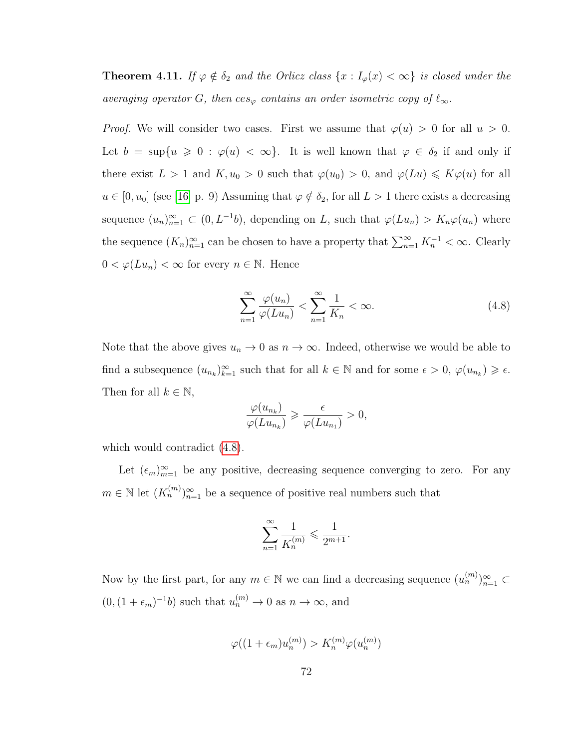<span id="page-78-1"></span>**Theorem 4.11.** *If*  $\varphi \notin \delta_2$  *and the Orlicz class*  $\{x : I_{\varphi}(x) < \infty\}$  *is closed under the averaging operator* G, then  $ces_{\varphi}$  *contains an order isometric copy of*  $\ell_{\infty}$ *.* 

*Proof.* We will consider two cases. First we assume that  $\varphi(u) > 0$  for all  $u > 0$ . Let  $b = \sup\{u \ge 0 : \varphi(u) < \infty\}$ . It is well known that  $\varphi \in \delta_2$  if and only if there exist  $L > 1$  and  $K, u_0 > 0$  such that  $\varphi(u_0) > 0$ , and  $\varphi(Lu) \leq K\varphi(u)$  for all  $u \in [0, u_0]$  (see [\[16\]](#page-95-1) p. 9) Assuming that  $\varphi \notin \delta_2$ , for all  $L > 1$  there exists a decreasing sequence  $(u_n)_{n=1}^{\infty} \subset (0, L^{-1}b)$ , depending on L, such that  $\varphi(Lu_n) > K_n\varphi(u_n)$  where the sequence  $(K_n)_{n=1}^{\infty}$  can be chosen to have a property that  $\sum_{n=1}^{\infty} K_n^{-1} < \infty$ . Clearly  $0 < \varphi(Lu_n) < \infty$  for every  $n \in \mathbb{N}$ . Hence

<span id="page-78-0"></span>
$$
\sum_{n=1}^{\infty} \frac{\varphi(u_n)}{\varphi(Lu_n)} < \sum_{n=1}^{\infty} \frac{1}{K_n} < \infty. \tag{4.8}
$$

Note that the above gives  $u_n \to 0$  as  $n \to \infty$ . Indeed, otherwise we would be able to find a subsequence  $(u_{n_k})_{k=1}^{\infty}$  such that for all  $k \in \mathbb{N}$  and for some  $\epsilon > 0$ ,  $\varphi(u_{n_k}) \geq \epsilon$ . Then for all  $k \in \mathbb{N}$ ,

$$
\frac{\varphi(u_{n_k})}{\varphi(Lu_{n_k})} \geqslant \frac{\epsilon}{\varphi(Lu_{n_1})} > 0,
$$

which would contradict  $(4.8)$ .

Let  $(\epsilon_m)_{m=1}^{\infty}$  be any positive, decreasing sequence converging to zero. For any  $m \in \mathbb{N}$  let  $(K_n^{(m)})_{n=1}^{\infty}$  be a sequence of positive real numbers such that

$$
\sum_{n=1}^{\infty} \frac{1}{K_n^{(m)}} \leqslant \frac{1}{2^{m+1}}.
$$

Now by the first part, for any  $m \in \mathbb{N}$  we can find a decreasing sequence  $(u_n^{(m)})_{n=1}^{\infty} \subset$  $(0, (1 + \epsilon_m)^{-1}b)$  such that  $u_n^{(m)} \to 0$  as  $n \to \infty$ , and

$$
\varphi((1+\epsilon_m)u_n^{(m)}) > K_n^{(m)}\varphi(u_n^{(m)})
$$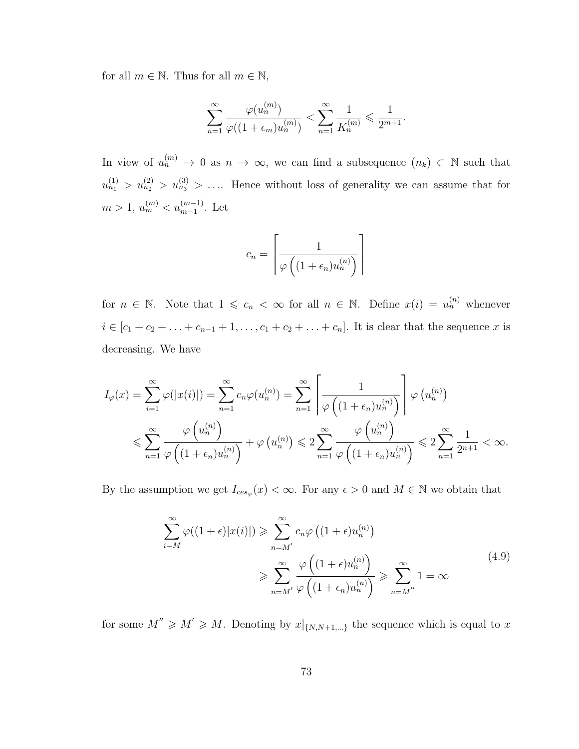for all  $m \in \mathbb{N}$ . Thus for all  $m \in \mathbb{N}$ ,

$$
\sum_{n=1}^{\infty} \frac{\varphi(u_n^{(m)})}{\varphi((1+\epsilon_m)u_n^{(m)})} < \sum_{n=1}^{\infty} \frac{1}{K_n^{(m)}} \leqslant \frac{1}{2^{m+1}}.
$$

In view of  $u_n^{(m)} \to 0$  as  $n \to \infty$ , we can find a subsequence  $(n_k) \subset \mathbb{N}$  such that  $u_{n_1}^{(1)} > u_{n_2}^{(2)} > u_{n_3}^{(3)} > \ldots$  Hence without loss of generality we can assume that for  $m > 1, u_m^{(m)} < u_{m-1}^{(m-1)}$ . Let

$$
c_n = \left\lceil \frac{1}{\varphi\left((1+\epsilon_n)u_n^{(n)}\right)} \right\rceil
$$

for  $n \in \mathbb{N}$ . Note that  $1 \leqslant c_n < \infty$  for all  $n \in \mathbb{N}$ . Define  $x(i) = u_n^{(n)}$  whenever  $i \in [c_1 + c_2 + \ldots + c_{n-1} + 1, \ldots, c_1 + c_2 + \ldots + c_n]$ . It is clear that the sequence x is decreasing. We have

$$
I_{\varphi}(x) = \sum_{i=1}^{\infty} \varphi(|x(i)|) = \sum_{n=1}^{\infty} c_n \varphi(u_n^{(n)}) = \sum_{n=1}^{\infty} \left[ \frac{1}{\varphi((1+\epsilon_n)u_n^{(n)})} \right] \varphi(u_n^{(n)})
$$
  

$$
\leqslant \sum_{n=1}^{\infty} \frac{\varphi(u_n^{(n)})}{\varphi((1+\epsilon_n)u_n^{(n)})} + \varphi(u_n^{(n)}) \leqslant 2 \sum_{n=1}^{\infty} \frac{\varphi(u_n^{(n)})}{\varphi((1+\epsilon_n)u_n^{(n)})} \leqslant 2 \sum_{n=1}^{\infty} \frac{1}{2^{n+1}} < \infty.
$$

<span id="page-79-0"></span>By the assumption we get  $I_{ces_{\varphi}}(x) < \infty$ . For any  $\epsilon > 0$  and  $M \in \mathbb{N}$  we obtain that

$$
\sum_{i=M}^{\infty} \varphi((1+\epsilon)|x(i)|) \geqslant \sum_{n=M'}^{\infty} c_n \varphi((1+\epsilon)u_n^{(n)})
$$
\n
$$
\geqslant \sum_{n=M'}^{\infty} \frac{\varphi((1+\epsilon)u_n^{(n)})}{\varphi((1+\epsilon_n)u_n^{(n)})} \geqslant \sum_{n=M''}^{\infty} 1 = \infty
$$
\n(4.9)

for some  $M'' \geq M' \geq M$ . Denoting by  $x|_{\{N,N+1,\ldots\}}$  the sequence which is equal to x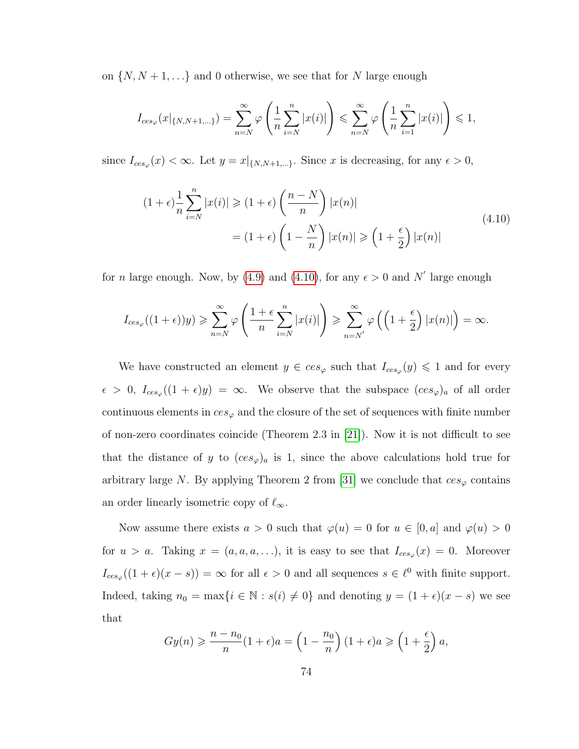on  $\{N, N+1, \ldots\}$  and 0 otherwise, we see that for N large enough

$$
I_{ces_{\varphi}}(x|_{\{N,N+1,\ldots\}}) = \sum_{n=N}^{\infty} \varphi\left(\frac{1}{n}\sum_{i=N}^{n}|x(i)|\right) \leq \sum_{n=N}^{\infty} \varphi\left(\frac{1}{n}\sum_{i=1}^{n}|x(i)|\right) \leq 1,
$$

since  $I_{ces_{\varphi}}(x) < \infty$ . Let  $y = x|_{\{N, N+1, ...\}}$ . Since x is decreasing, for any  $\epsilon > 0$ ,

<span id="page-80-0"></span>
$$
(1+\epsilon)\frac{1}{n}\sum_{i=N}^{n}|x(i)| \geq (1+\epsilon)\left(\frac{n-N}{n}\right)|x(n)|
$$
  
=  $(1+\epsilon)\left(1-\frac{N}{n}\right)|x(n)| \geq (1+\frac{\epsilon}{2})|x(n)|$  (4.10)

for *n* large enough. Now, by [\(4.9\)](#page-79-0) and [\(4.10\)](#page-80-0), for any  $\epsilon > 0$  and N' large enough

$$
I_{ces_{\varphi}}((1+\epsilon))y) \geqslant \sum_{n=N}^{\infty} \varphi\left(\frac{1+\epsilon}{n}\sum_{i=N}^{n}|x(i)|\right) \geqslant \sum_{n=N'}^{\infty} \varphi\left(\left(1+\frac{\epsilon}{2}\right)|x(n)|\right) = \infty.
$$

We have constructed an element  $y \in ces_{\varphi}$  such that  $I_{ces_{\varphi}}(y) \leq 1$  and for every  $\epsilon > 0$ ,  $I_{ces_{\varphi}}((1+\epsilon)y) = \infty$ . We observe that the subspace  $(ces_{\varphi})_a$  of all order continuous elements in  $ces_{\varphi}$  and the closure of the set of sequences with finite number of non-zero coordinates coincide (Theorem 2.3 in [\[21\]](#page-95-0)). Now it is not difficult to see that the distance of y to  $(ces_{\varphi})_a$  is 1, since the above calculations hold true for arbitrary large N. By applying Theorem 2 from [\[31\]](#page-96-1) we conclude that  $ces_{\varphi}$  contains an order linearly isometric copy of  $\ell_{\infty}$ .

Now assume there exists  $a > 0$  such that  $\varphi(u) = 0$  for  $u \in [0, a]$  and  $\varphi(u) > 0$ for  $u > a$ . Taking  $x = (a, a, a, \ldots)$ , it is easy to see that  $I_{ces_{\varphi}}(x) = 0$ . Moreover  $I_{ces_{\varphi}}((1+\epsilon)(x-s)) = \infty$  for all  $\epsilon > 0$  and all sequences  $s \in \ell^0$  with finite support. Indeed, taking  $n_0 = \max\{i \in \mathbb{N} : s(i) \neq 0\}$  and denoting  $y = (1 + \epsilon)(x - s)$  we see that

$$
Gy(n) \ge \frac{n - n_0}{n} (1 + \epsilon)a = \left(1 - \frac{n_0}{n}\right) (1 + \epsilon)a \ge \left(1 + \frac{\epsilon}{2}\right)a,
$$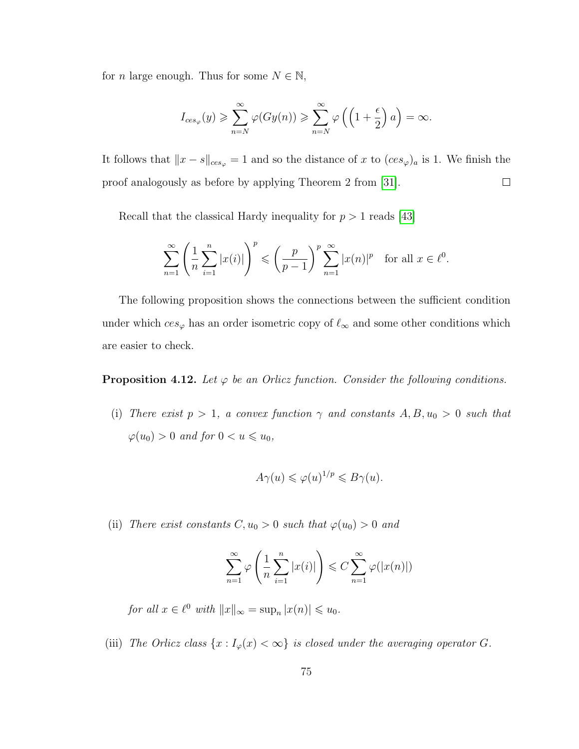for *n* large enough. Thus for some  $N \in \mathbb{N}$ ,

$$
I_{ces_{\varphi}}(y) \ge \sum_{n=N}^{\infty} \varphi(Gy(n)) \ge \sum_{n=N}^{\infty} \varphi\left(\left(1 + \frac{\epsilon}{2}\right)a\right) = \infty.
$$

It follows that  $||x - s||_{ces_{\varphi}} = 1$  and so the distance of x to  $(ces_{\varphi})_a$  is 1. We finish the proof analogously as before by applying Theorem 2 from [\[31\]](#page-96-1).  $\Box$ 

Recall that the classical Hardy inequality for  $p > 1$  reads [\[43\]](#page-97-1)

$$
\sum_{n=1}^{\infty} \left( \frac{1}{n} \sum_{i=1}^{n} |x(i)| \right)^p \leqslant \left( \frac{p}{p-1} \right)^p \sum_{n=1}^{\infty} |x(n)|^p \quad \text{for all } x \in \ell^0.
$$

The following proposition shows the connections between the sufficient condition under which  $ces_{\varphi}$  has an order isometric copy of  $\ell_{\infty}$  and some other conditions which are easier to check.

<span id="page-81-0"></span>**Proposition 4.12.** *Let*  $\varphi$  *be an Orlicz function. Consider the following conditions.* 

(i) *There exist*  $p > 1$ *, a convex function*  $\gamma$  *and constants*  $A, B, u_0 > 0$  *such that*  $\varphi(u_0) > 0$  *and for*  $0 < u \leq u_0$ ,

$$
A\gamma(u) \leqslant \varphi(u)^{1/p} \leqslant B\gamma(u).
$$

(ii) *There exist constants*  $C, u_0 > 0$  *such that*  $\varphi(u_0) > 0$  *and* 

$$
\sum_{n=1}^{\infty} \varphi\left(\frac{1}{n} \sum_{i=1}^{n} |x(i)|\right) \leq C \sum_{n=1}^{\infty} \varphi(|x(n)|)
$$

*for all*  $x \in \ell^0$  *with*  $||x||_{\infty} = \sup_n |x(n)| \leq u_0$ *.* 

(iii) *The Orlicz class*  $\{x : I_{\varphi}(x) < \infty\}$  *is closed under the averaging operator* G.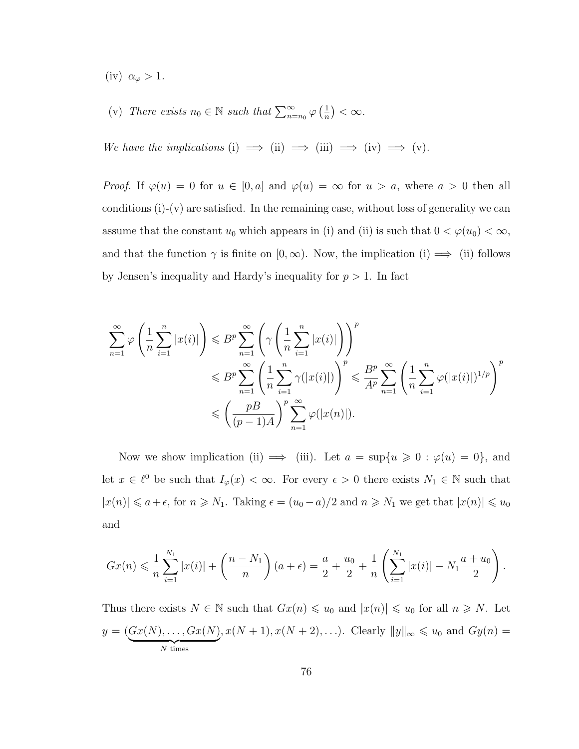- (iv)  $\alpha_{\varphi} > 1$ .
- (v) *There exists*  $n_0 \in \mathbb{N}$  *such that*  $\sum_{n=n_0}^{\infty} \varphi\left(\frac{1}{n}\right)$  $\frac{1}{n}$ ) <  $\infty$ .

*We have the implications* (i)  $\implies$  (ii)  $\implies$  (iii)  $\implies$  (iv)  $\implies$  (v).

*Proof.* If  $\varphi(u) = 0$  for  $u \in [0, a]$  and  $\varphi(u) = \infty$  for  $u > a$ , where  $a > 0$  then all conditions  $(i)-(v)$  are satisfied. In the remaining case, without loss of generality we can assume that the constant  $u_0$  which appears in (i) and (ii) is such that  $0 < \varphi(u_0) < \infty$ , and that the function  $\gamma$  is finite on  $[0, \infty)$ . Now, the implication (i)  $\implies$  (ii) follows by Jensen's inequality and Hardy's inequality for  $p > 1$ . In fact

$$
\sum_{n=1}^{\infty} \varphi\left(\frac{1}{n} \sum_{i=1}^{n} |x(i)|\right) \leq B^p \sum_{n=1}^{\infty} \left(\gamma\left(\frac{1}{n} \sum_{i=1}^{n} |x(i)|\right)\right)^p
$$
  

$$
\leq B^p \sum_{n=1}^{\infty} \left(\frac{1}{n} \sum_{i=1}^{n} \gamma(|x(i)|)\right)^p \leq B^p \sum_{n=1}^{\infty} \left(\frac{1}{n} \sum_{i=1}^{n} \varphi(|x(i)|)^{1/p}\right)^p
$$
  

$$
\leq \left(\frac{pB}{(p-1)A}\right)^p \sum_{n=1}^{\infty} \varphi(|x(n)|).
$$

Now we show implication (ii)  $\implies$  (iii). Let  $a = \sup\{u \ge 0 : \varphi(u) = 0\}$ , and let  $x \in \ell^0$  be such that  $I_\varphi(x) < \infty$ . For every  $\epsilon > 0$  there exists  $N_1 \in \mathbb{N}$  such that  $|x(n)| \le a+\epsilon$ , for  $n \ge N_1$ . Taking  $\epsilon = (u_0 - a)/2$  and  $n \ge N_1$  we get that  $|x(n)| \le u_0$ and

$$
Gx(n) \leq \frac{1}{n} \sum_{i=1}^{N_1} |x(i)| + \left(\frac{n - N_1}{n}\right)(a + \epsilon) = \frac{a}{2} + \frac{u_0}{2} + \frac{1}{n} \left(\sum_{i=1}^{N_1} |x(i)| - N_1 \frac{a + u_0}{2}\right)
$$

.

Thus there exists  $N \in \mathbb{N}$  such that  $Gx(n) \leq u_0$  and  $|x(n)| \leq u_0$  for all  $n \geq N$ . Let  $y = (Gx(N), \ldots, Gx(N))$  $N$  times ,  $x(N + 1), x(N + 2), ...)$ . Clearly  $||y||_{\infty} \le u_0$  and  $Gy(n) =$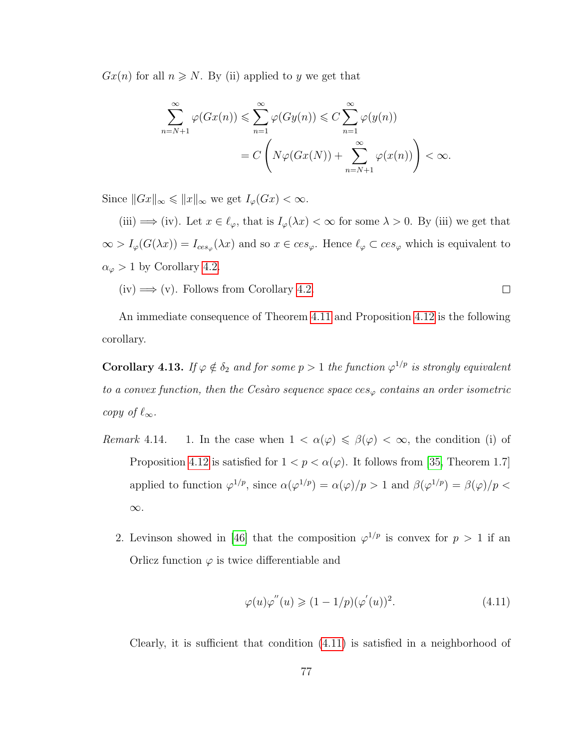$Gx(n)$  for all  $n \geq N$ . By (ii) applied to y we get that

$$
\sum_{n=N+1}^{\infty} \varphi(Gx(n)) \leq \sum_{n=1}^{\infty} \varphi(Gy(n)) \leq C \sum_{n=1}^{\infty} \varphi(y(n))
$$
  
= 
$$
C \left( N\varphi(Gx(N)) + \sum_{n=N+1}^{\infty} \varphi(x(n)) \right) < \infty.
$$

Since  $||Gx||_{\infty} \le ||x||_{\infty}$  we get  $I_{\varphi}(Gx) < \infty$ .

(iii)  $\implies$  (iv). Let  $x \in \ell_\varphi$ , that is  $I_\varphi(\lambda x) < \infty$  for some  $\lambda > 0$ . By (iii) we get that  $\infty > I_{\varphi}(G(\lambda x)) = I_{ces_{\varphi}}(\lambda x)$  and so  $x \in ces_{\varphi}$ . Hence  $\ell_{\varphi} \subset ces_{\varphi}$  which is equivalent to  $\alpha_{\varphi} > 1$  by Corollary [4.2.](#page-69-0)

 $(iv) \Longrightarrow (v)$ . Follows from Corollary [4.2.](#page-69-0)  $\Box$ 

An immediate consequence of Theorem [4.11](#page-78-1) and Proposition [4.12](#page-81-0) is the following corollary.

<span id="page-83-1"></span>**Corollary 4.13.** *If*  $\varphi \notin \delta_2$  *and for some*  $p > 1$  *the function*  $\varphi^{1/p}$  *is strongly equivalent to a convex function, then the Cesàro sequence space*  $ces_{\varphi}$  *contains an order isometric copy of*  $\ell_{\infty}$ *.* 

- *Remark* 4.14. 1. In the case when  $1 < \alpha(\varphi) \leq \beta(\varphi) < \infty$ , the condition (i) of Proposition [4.12](#page-81-0) is satisfied for  $1 < p < \alpha(\varphi)$ . It follows from [\[35,](#page-96-2) Theorem 1.7] applied to function  $\varphi^{1/p}$ , since  $\alpha(\varphi^{1/p}) = \alpha(\varphi)/p > 1$  and  $\beta(\varphi^{1/p}) = \beta(\varphi)/p < \varphi$ ∞.
	- 2. Levinson showed in [\[46\]](#page-97-2) that the composition  $\varphi^{1/p}$  is convex for  $p > 1$  if an Orlicz function  $\varphi$  is twice differentiable and

<span id="page-83-0"></span>
$$
\varphi(u)\varphi''(u) \geq (1 - 1/p)(\varphi'(u))^2.
$$
\n(4.11)

Clearly, it is sufficient that condition [\(4.11\)](#page-83-0) is satisfied in a neighborhood of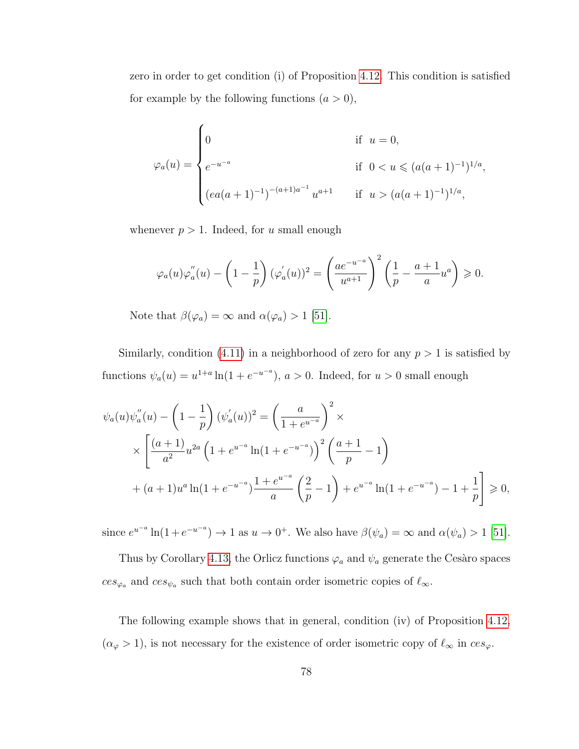zero in order to get condition (i) of Proposition [4.12.](#page-81-0) This condition is satisfied for example by the following functions  $(a > 0)$ ,

$$
\varphi_a(u) = \begin{cases}\n0 & \text{if } u = 0, \\
e^{-u^{-a}} & \text{if } 0 < u \leqslant (a(a+1)^{-1})^{1/a}, \\
(ea(a+1)^{-1})^{-(a+1)a^{-1}} u^{a+1} & \text{if } u > (a(a+1)^{-1})^{1/a},\n\end{cases}
$$

whenever  $p > 1$ . Indeed, for u small enough

$$
\varphi_a(u)\varphi_a^{''}(u) - \left(1 - \frac{1}{p}\right)(\varphi_a^{'}(u))^2 = \left(\frac{ae^{-u^{-a}}}{u^{a+1}}\right)^2 \left(\frac{1}{p} - \frac{a+1}{a}u^a\right) \ge 0.
$$

Note that  $\beta(\varphi_a) = \infty$  and  $\alpha(\varphi_a) > 1$  [\[51\]](#page-98-0).

Similarly, condition [\(4.11\)](#page-83-0) in a neighborhood of zero for any  $p > 1$  is satisfied by functions  $\psi_a(u) = u^{1+a} \ln(1 + e^{-u^{-a}})$ ,  $a > 0$ . Indeed, for  $u > 0$  small enough

$$
\psi_a(u)\psi_a''(u) - \left(1 - \frac{1}{p}\right)(\psi_a'(u))^2 = \left(\frac{a}{1 + e^{u-a}}\right)^2 \times
$$
  
 
$$
\times \left[\frac{(a+1)}{a^2}u^{2a}\left(1 + e^{u-a}\ln(1 + e^{-u-a})\right)^2\left(\frac{a+1}{p} - 1\right)\right.
$$
  
 
$$
+ (a+1)u^a\ln(1 + e^{-u-a})\frac{1 + e^{u-a}}{a}\left(\frac{2}{p} - 1\right) + e^{u-a}\ln(1 + e^{-u-a}) - 1 + \frac{1}{p}\right] \ge 0,
$$

since  $e^{u^{-a}} \ln(1 + e^{-u^{-a}}) \to 1$  as  $u \to 0^+$ . We also have  $\beta(\psi_a) = \infty$  and  $\alpha(\psi_a) > 1$  [\[51\]](#page-98-0).

Thus by Corollary [4.13,](#page-83-1) the Orlicz functions  $\varphi_a$  and  $\psi_a$  generate the Cesaro spaces  $ces_{\varphi_a}$  and  $ces_{\psi_a}$  such that both contain order isometric copies of  $\ell_{\infty}$ .

The following example shows that in general, condition (iv) of Proposition [4.12,](#page-81-0)  $(\alpha_{\varphi} > 1)$ , is not necessary for the existence of order isometric copy of  $\ell_{\infty}$  in  $ces_{\varphi}$ .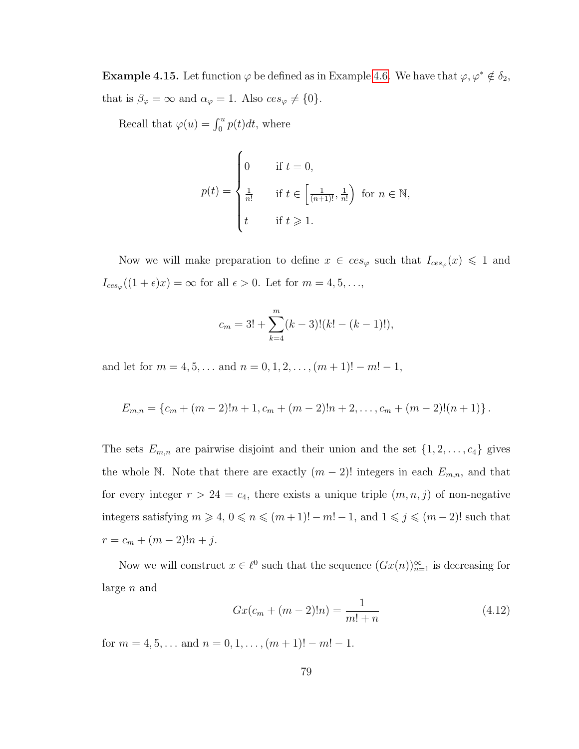**Example 4.15.** Let function  $\varphi$  be defined as in Example [4.6.](#page-73-0) We have that  $\varphi, \varphi^* \notin \delta_2$ , that is  $\beta_{\varphi} = \infty$  and  $\alpha_{\varphi} = 1$ . Also  $ces_{\varphi} \neq \{0\}.$ 

Recall that  $\varphi(u) = \int_0^u p(t)dt$ , where

$$
p(t) = \begin{cases} 0 & \text{if } t = 0, \\ \frac{1}{n!} & \text{if } t \in \left[\frac{1}{(n+1)!}, \frac{1}{n!}\right) \text{ for } n \in \mathbb{N}, \\ t & \text{if } t \ge 1. \end{cases}
$$

Now we will make preparation to define  $x \in ces_{\varphi}$  such that  $I_{ces_{\varphi}}(x) \leq 1$  and  $I_{ces_{\varphi}}((1+\epsilon)x) = \infty$  for all  $\epsilon > 0$ . Let for  $m = 4, 5, \ldots$ ,

$$
c_m = 3! + \sum_{k=4}^{m} (k-3)!(k! - (k-1)!),
$$

and let for  $m = 4, 5, \ldots$  and  $n = 0, 1, 2, \ldots, (m + 1)! - m! - 1$ ,

$$
E_{m,n} = \{c_m + (m-2)!n + 1, c_m + (m-2)!n + 2, \ldots, c_m + (m-2)!(n+1)\}.
$$

The sets  $E_{m,n}$  are pairwise disjoint and their union and the set  $\{1, 2, \ldots, c_4\}$  gives the whole N. Note that there are exactly  $(m-2)!$  integers in each  $E_{m,n}$ , and that for every integer  $r > 24 = c_4$ , there exists a unique triple  $(m, n, j)$  of non-negative integers satisfying  $m \ge 4$ ,  $0 \le n \le (m+1)! - m! - 1$ , and  $1 \le j \le (m-2)!$  such that  $r = c_m + (m-2)!n + j.$ 

Now we will construct  $x \in \ell^0$  such that the sequence  $(Gx(n))_{n=1}^{\infty}$  is decreasing for large n and

<span id="page-85-0"></span>
$$
Gx(c_m + (m-2)!n) = \frac{1}{m!+n}
$$
\n(4.12)

for  $m = 4, 5, \ldots$  and  $n = 0, 1, \ldots, (m + 1)! - m! - 1$ .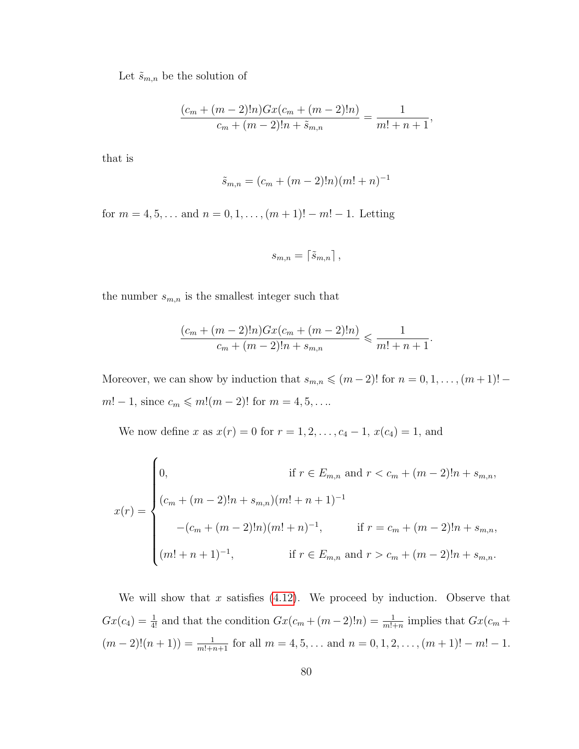Let  $\tilde{s}_{m,n}$  be the solution of

$$
\frac{(c_m + (m-2)!n)Gx(c_m + (m-2)!n)}{c_m + (m-2)!n + \tilde{s}_{m,n}} = \frac{1}{m! + n + 1},
$$

that is

$$
\tilde{s}_{m,n} = (c_m + (m-2)!n)(m! + n)^{-1}
$$

for  $m = 4, 5, \dots$  and  $n = 0, 1, \dots, (m + 1)! - m! - 1$ . Letting

$$
s_{m,n}=\left\lceil \tilde{s}_{m,n}\right\rceil ,
$$

the number  $s_{m,n}$  is the smallest integer such that

$$
\frac{(c_m + (m-2)!n)Gx(c_m + (m-2)!n)}{c_m + (m-2)!n + s_{m,n}} \leq \frac{1}{m! + n + 1}.
$$

Moreover, we can show by induction that  $s_{m,n} \leqslant (m-2)!$  for  $n = 0, 1, \ldots, (m+1)!$  $m! - 1$ , since  $c_m \le m!(m - 2)!$  for  $m = 4, 5, ...$ 

We now define x as  $x(r) = 0$  for  $r = 1, 2, ..., c_4 - 1$ ,  $x(c_4) = 1$ , and

$$
x(r) = \begin{cases} 0, & \text{if } r \in E_{m,n} \text{ and } r < c_m + (m-2)!n + s_{m,n}, \\ (c_m + (m-2)!n + s_{m,n})(m! + n + 1)^{-1} \\ -(c_m + (m-2)!n)(m! + n)^{-1}, & \text{if } r = c_m + (m-2)!n + s_{m,n}, \\ (m! + n + 1)^{-1}, & \text{if } r \in E_{m,n} \text{ and } r > c_m + (m-2)!n + s_{m,n}. \end{cases}
$$

We will show that x satisfies  $(4.12)$ . We proceed by induction. Observe that  $Gx(c_4) = \frac{1}{4!}$  and that the condition  $Gx(c_m + (m-2)!n) = \frac{1}{m!+n}$  implies that  $Gx(c_m +$  $(m-2)!(n+1)) = \frac{1}{m!+n+1}$  for all  $m = 4, 5, ...$  and  $n = 0, 1, 2, ..., (m+1)! - m! - 1$ .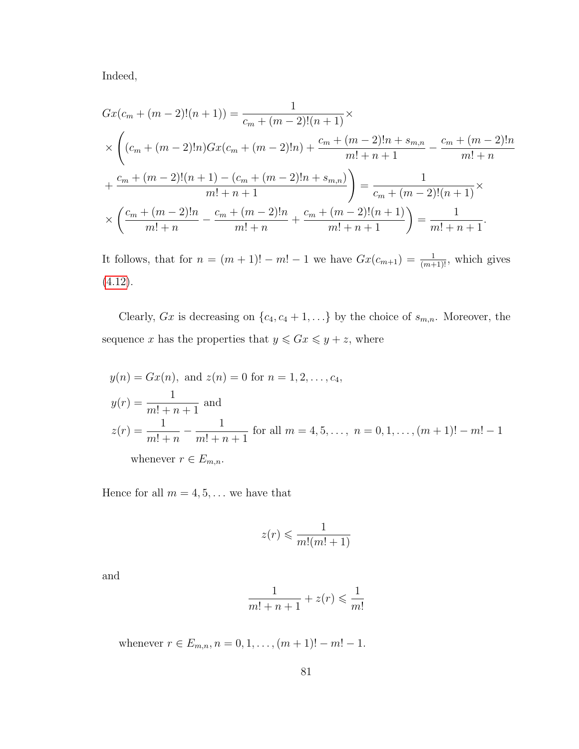Indeed,

$$
Gx(c_m + (m-2)!(n+1)) = \frac{1}{c_m + (m-2)!(n+1)} \times
$$
  
\n
$$
\times \left( (c_m + (m-2)!n)Gx(c_m + (m-2)!n) + \frac{c_m + (m-2)!n + s_{m,n}}{m! + n + 1} - \frac{c_m + (m-2)!n}{m! + n + 1} + \frac{c_m + (m-2)!(n+1) - (c_m + (m-2)!n + s_{m,n})}{m! + n + 1} \right) = \frac{1}{c_m + (m-2)!(n+1)} \times
$$
  
\n
$$
\times \left( \frac{c_m + (m-2)!n}{m! + n} - \frac{c_m + (m-2)!n}{m! + n} + \frac{c_m + (m-2)!(n+1)}{m! + n + 1} \right) = \frac{1}{m! + n + 1}.
$$

It follows, that for  $n = (m + 1)! - m! - 1$  we have  $Gx(c_{m+1}) = \frac{1}{(m+1)!}$ , which gives [\(4.12\)](#page-85-0).

Clearly,  $Gx$  is decreasing on  $\{c_4, c_4 + 1, \ldots\}$  by the choice of  $s_{m,n}$ . Moreover, the sequence x has the properties that  $y \le Gx \le y + z$ , where

$$
y(n) = Gx(n), \text{ and } z(n) = 0 \text{ for } n = 1, 2, ..., c_4,
$$
  
\n
$$
y(r) = \frac{1}{m! + n + 1} \text{ and}
$$
  
\n
$$
z(r) = \frac{1}{m! + n} - \frac{1}{m! + n + 1} \text{ for all } m = 4, 5, ..., n = 0, 1, ..., (m + 1)! - m! - 1
$$
  
\nwhenever  $r \in E_{m,n}$ .

Hence for all  $m=4,5,\ldots$  we have that

$$
z(r) \leqslant \frac{1}{m!(m!+1)}
$$

and

$$
\frac{1}{m!+n+1} + z(r) \leqslant \frac{1}{m!}
$$

whenever  $r \in E_{m,n}$ ,  $n = 0, 1, ..., (m + 1)! - m! - 1$ .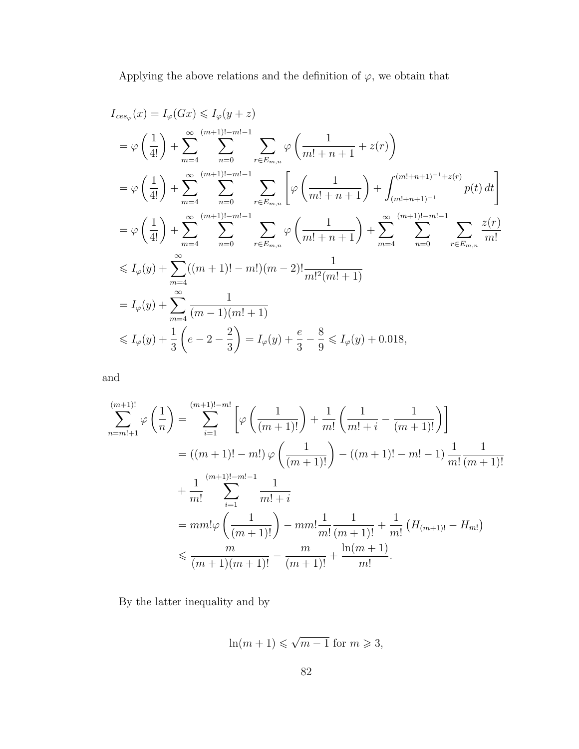Applying the above relations and the definition of  $\varphi,$  we obtain that

$$
I_{ces_{\varphi}}(x) = I_{\varphi}(Gx) \leq I_{\varphi}(y+z)
$$
  
\n
$$
= \varphi\left(\frac{1}{4!}\right) + \sum_{m=4}^{\infty} \sum_{n=0}^{(m+1)!-m!-1} \sum_{r \in E_{m,n}} \varphi\left(\frac{1}{m!+n+1} + z(r)\right)
$$
  
\n
$$
= \varphi\left(\frac{1}{4!}\right) + \sum_{m=4}^{\infty} \sum_{n=0}^{(m+1)!-m!-1} \sum_{r \in E_{m,n}} \left[\varphi\left(\frac{1}{m!+n+1}\right) + \int_{(m!+n+1)^{-1}}^{(m!+n+1)^{-1}+z(r)} p(t) dt\right]
$$
  
\n
$$
= \varphi\left(\frac{1}{4!}\right) + \sum_{m=4}^{\infty} \sum_{n=0}^{(m+1)!-m!-1} \sum_{r \in E_{m,n}} \varphi\left(\frac{1}{m!+n+1}\right) + \sum_{m=4}^{\infty} \sum_{n=0}^{(m+1)!-m!-1} \sum_{r \in E_{m,n}} \frac{z(r)}{m!}
$$
  
\n
$$
\leq I_{\varphi}(y) + \sum_{m=4}^{\infty} ((m+1)!-m!)(m-2)! \frac{1}{m!^{2}(m!+1)}
$$
  
\n
$$
= I_{\varphi}(y) + \sum_{m=4}^{\infty} \frac{1}{(m-1)(m!+1)}
$$
  
\n
$$
\leq I_{\varphi}(y) + \frac{1}{3} \left(e-2-\frac{2}{3}\right) = I_{\varphi}(y) + \frac{e}{3} - \frac{8}{9} \leq I_{\varphi}(y) + 0.018,
$$

and

$$
\sum_{n=m+1}^{(m+1)!} \varphi\left(\frac{1}{n}\right) = \sum_{i=1}^{(m+1)!-m!} \left[\varphi\left(\frac{1}{(m+1)!}\right) + \frac{1}{m!} \left(\frac{1}{m!+i} - \frac{1}{(m+1)!}\right)\right]
$$
  
=  $((m+1)! - m!) \varphi\left(\frac{1}{(m+1)!}\right) - ((m+1)! - m! - 1) \frac{1}{m!} \frac{1}{(m+1)!}$   
+  $\frac{1}{m!} \sum_{i=1}^{(m+1)!-m!-1} \frac{1}{m!+i}$   
=  $mm! \varphi\left(\frac{1}{(m+1)!}\right) - mm! \frac{1}{m!} \frac{1}{(m+1)!} + \frac{1}{m!} (H_{(m+1)!} - H_{m!})$   
 $\leq \frac{m}{(m+1)(m+1)!} - \frac{m}{(m+1)!} + \frac{\ln(m+1)}{m!}.$ 

By the latter inequality and by

$$
\ln(m+1) \leqslant \sqrt{m-1} \text{ for } m \geqslant 3,
$$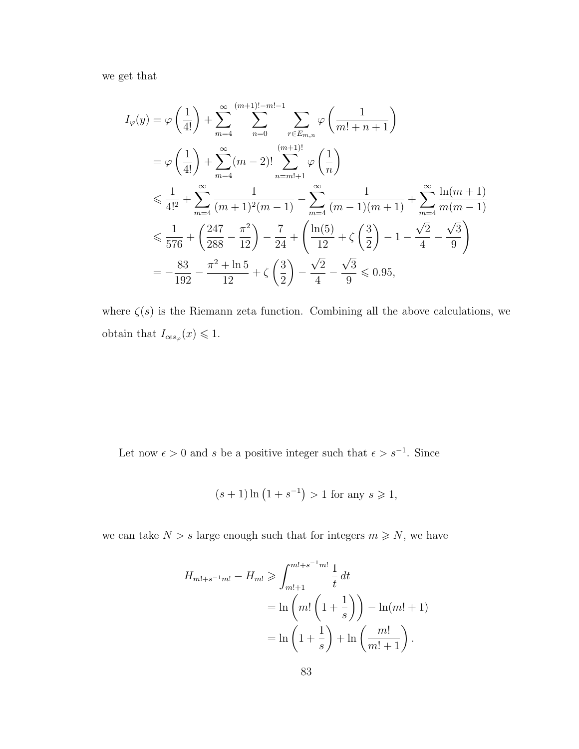we get that

$$
I_{\varphi}(y) = \varphi\left(\frac{1}{4!}\right) + \sum_{m=4}^{\infty} \sum_{n=0}^{(m+1)!-m!-1} \sum_{r \in E_{m,n}} \varphi\left(\frac{1}{m!+n+1}\right)
$$
  
\n
$$
= \varphi\left(\frac{1}{4!}\right) + \sum_{m=4}^{\infty} (m-2)! \sum_{n=m!+1}^{(m+1)!} \varphi\left(\frac{1}{n}\right)
$$
  
\n
$$
\leq \frac{1}{4!^{2}} + \sum_{m=4}^{\infty} \frac{1}{(m+1)^{2}(m-1)} - \sum_{m=4}^{\infty} \frac{1}{(m-1)(m+1)} + \sum_{m=4}^{\infty} \frac{\ln(m+1)}{m(m-1)}
$$
  
\n
$$
\leq \frac{1}{576} + \left(\frac{247}{288} - \frac{\pi^{2}}{12}\right) - \frac{7}{24} + \left(\frac{\ln(5)}{12} + \zeta\left(\frac{3}{2}\right) - 1 - \frac{\sqrt{2}}{4} - \frac{\sqrt{3}}{9}\right)
$$
  
\n
$$
= -\frac{83}{192} - \frac{\pi^{2} + \ln 5}{12} + \zeta\left(\frac{3}{2}\right) - \frac{\sqrt{2}}{4} - \frac{\sqrt{3}}{9} \leq 0.95,
$$

where  $\zeta(s)$  is the Riemann zeta function. Combining all the above calculations, we obtain that  $I_{ces_{\varphi}}(x) \leq 1$ .

Let now  $\epsilon > 0$  and s be a positive integer such that  $\epsilon > s^{-1}$ . Since

$$
(s+1)\ln(1+s^{-1}) > 1
$$
 for any  $s \ge 1$ ,

we can take  $N > s$  large enough such that for integers  $m \geq N$ , we have

$$
H_{m!+s^{-1}m!} - H_{m!} \ge \int_{m!+1}^{m!+s^{-1}m!} \frac{1}{t} dt
$$
  
=  $\ln \left( m! \left( 1 + \frac{1}{s} \right) \right) - \ln(m! + 1)$   
=  $\ln \left( 1 + \frac{1}{s} \right) + \ln \left( \frac{m!}{m!+1} \right).$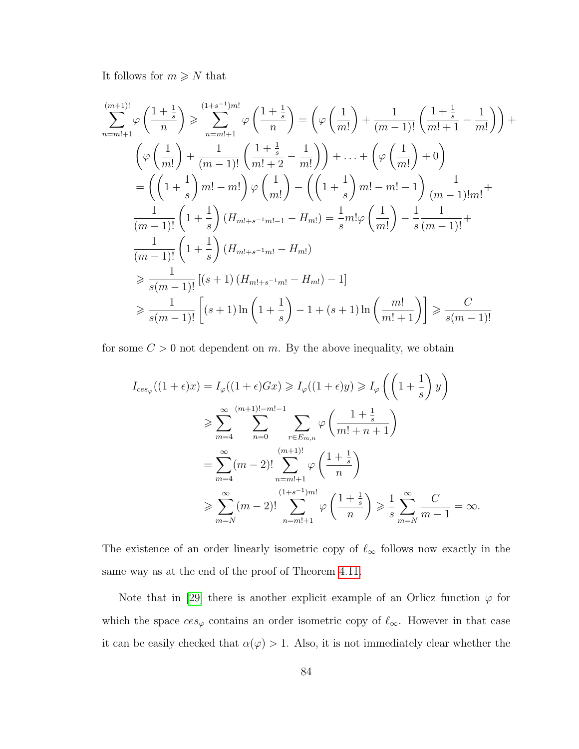It follows for  $m \geq N$  that

$$
\sum_{n=m!+1}^{(m+1)!} \varphi\left(\frac{1+\frac{1}{s}}{n}\right) \geq \sum_{n=m!+1}^{(1+s-1)m!} \varphi\left(\frac{1+\frac{1}{s}}{n}\right) = \left(\varphi\left(\frac{1}{m!}\right) + \frac{1}{(m-1)!} \left(\frac{1+\frac{1}{s}}{m!+1} - \frac{1}{m!}\right)\right) + \left(\varphi\left(\frac{1}{m!}\right) + \frac{1}{(m-1)!} \left(\frac{1+\frac{1}{s}}{m!+2} - \frac{1}{m!}\right)\right) + \dots + \left(\varphi\left(\frac{1}{m!}\right) + 0\right) = \left(\left(1+\frac{1}{s}\right)m! - m!\right)\varphi\left(\frac{1}{m!}\right) - \left(\left(1+\frac{1}{s}\right)m! - m! - 1\right)\frac{1}{(m-1)!m!} + \frac{1}{(m-1)!}\left(1+\frac{1}{s}\right)(H_{m!+s^{-1}m!-1} - H_{m!}) = \frac{1}{s}m!\varphi\left(\frac{1}{m!}\right) - \frac{1}{s}\frac{1}{(m-1)!} + \frac{1}{(m-1)!}\left(1+\frac{1}{s}\right)(H_{m!+s^{-1}m!} - H_{m!})
$$
  

$$
\geq \frac{1}{s(m-1)!} \left[ (s+1)(H_{m!+s^{-1}m!} - H_{m!}) - 1 \right]
$$
  

$$
\geq \frac{1}{s(m-1)!} \left[ (s+1)\ln\left(1+\frac{1}{s}\right) - 1 + (s+1)\ln\left(\frac{m!}{m!+1}\right) \right] \geq \frac{C}{s(m-1)!}
$$

for some  $C > 0$  not dependent on m. By the above inequality, we obtain

$$
I_{ces_{\varphi}}((1+\epsilon)x) = I_{\varphi}((1+\epsilon)Gx) \geq I_{\varphi}((1+\epsilon)y) \geq I_{\varphi}\left(\left(1+\frac{1}{s}\right)y\right)
$$
  
\n
$$
\geq \sum_{m=4}^{\infty} \sum_{n=0}^{(m+1)!-m!-1} \sum_{r \in E_{m,n}} \varphi\left(\frac{1+\frac{1}{s}}{m!+n+1}\right)
$$
  
\n
$$
= \sum_{m=4}^{\infty} (m-2)! \sum_{n=m!+1}^{(m+1)!} \varphi\left(\frac{1+\frac{1}{s}}{n}\right)
$$
  
\n
$$
\geq \sum_{m=N}^{\infty} (m-2)! \sum_{n=m!+1}^{(1+s-1)m!} \varphi\left(\frac{1+\frac{1}{s}}{n}\right) \geq \frac{1}{s} \sum_{m=N}^{\infty} \frac{C}{m-1} = \infty.
$$

The existence of an order linearly isometric copy of  $\ell_{\infty}$  follows now exactly in the same way as at the end of the proof of Theorem [4.11.](#page-78-1)

Note that in [\[29\]](#page-96-3) there is another explicit example of an Orlicz function  $\varphi$  for which the space  $ces_{\varphi}$  contains an order isometric copy of  $\ell_{\infty}$ . However in that case it can be easily checked that  $\alpha(\varphi) > 1$ . Also, it is not immediately clear whether the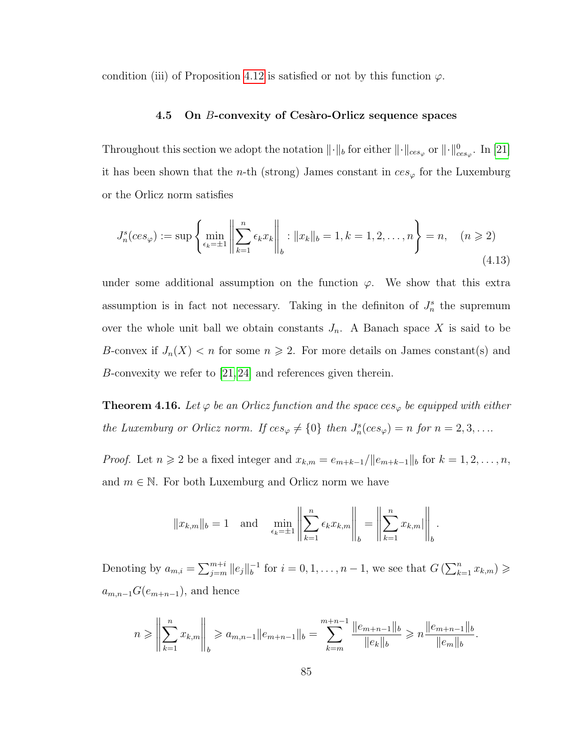condition (iii) of Proposition [4.12](#page-81-0) is satisfied or not by this function  $\varphi$ .

## **4.5** On *B*-convexity of Cesàro-Orlicz sequence spaces

Throughout this section we adopt the notation  $\|\cdot\|_b$  for either  $\|\cdot\|_{ces_{\varphi}}$  or  $\|\cdot\|_{ces_{\varphi}}^0$ . In [\[21\]](#page-95-0) it has been shown that the *n*-th (strong) James constant in  $ces_{\varphi}$  for the Luxemburg or the Orlicz norm satisfies

$$
J_n^s(ces_{\varphi}) := \sup \left\{ \min_{\epsilon_k = \pm 1} \left\| \sum_{k=1}^n \epsilon_k x_k \right\|_b : \|x_k\|_b = 1, k = 1, 2, \dots, n \right\} = n, \quad (n \ge 2)
$$
\n(4.13)

under some additional assumption on the function  $\varphi$ . We show that this extra assumption is in fact not necessary. Taking in the definiton of  $J_n^s$  the supremum over the whole unit ball we obtain constants  $J_n$ . A Banach space X is said to be B-convex if  $J_n(X) < n$  for some  $n \ge 2$ . For more details on James constant(s) and B-convexity we refer to  $[21, 24]$  $[21, 24]$  and references given therein.

**Theorem 4.16.** Let  $\varphi$  be an Orlicz function and the space  $ces_{\varphi}$  be equipped with either *the Luxemburg or Orlicz norm. If*  $ces_{\varphi} \neq \{0\}$  *then*  $J_n^s (ces_{\varphi}) = n$  *for*  $n = 2, 3, ...$ 

*Proof.* Let  $n \geq 2$  be a fixed integer and  $x_{k,m} = e_{m+k-1}/||e_{m+k-1}||_b$  for  $k = 1, 2, ..., n$ , and  $m \in \mathbb{N}$ . For both Luxemburg and Orlicz norm we have

$$
||x_{k,m}||_b = 1
$$
 and  $\min_{\epsilon_k = \pm 1} \left\| \sum_{k=1}^n \epsilon_k x_{k,m} \right\|_b = \left\| \sum_{k=1}^n x_{k,m} \right\|_b.$ 

Denoting by  $a_{m,i} = \sum_{j=m}^{m+i} ||e_j||_b^{-1}$  $b_0^{-1}$  for  $i = 0, 1, ..., n - 1$ , we see that  $G\left(\sum_{k=1}^n x_{k,m}\right) \geqslant$  $a_{m,n-1}G(e_{m+n-1}),$  and hence

$$
n \geqslant \left\| \sum_{k=1}^n x_{k,m} \right\|_b \geqslant a_{m,n-1} \|e_{m+n-1}\|_b = \sum_{k=m}^{m+n-1} \frac{\|e_{m+n-1}\|_b}{\|e_k\|_b} \geqslant n \frac{\|e_{m+n-1}\|_b}{\|e_m\|_b}.
$$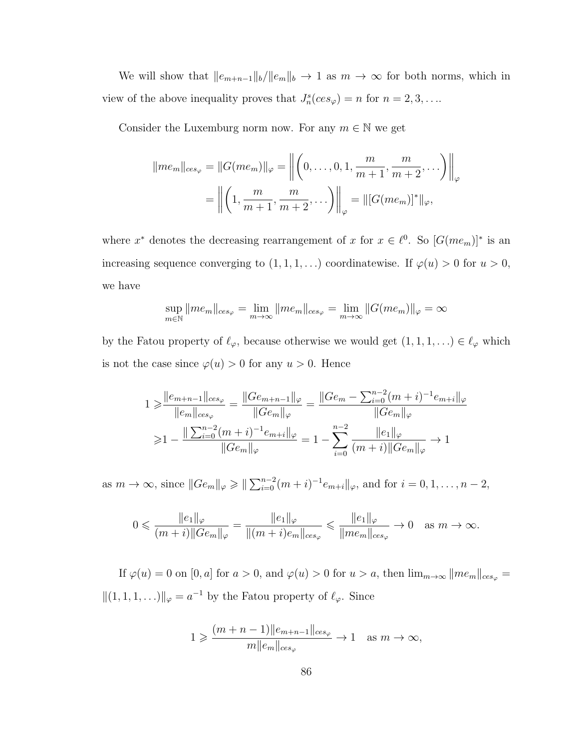We will show that  $||e_{m+n-1}||_b/||e_m||_b \to 1$  as  $m \to \infty$  for both norms, which in view of the above inequality proves that  $J_n^s(ces_\varphi) = n$  for  $n = 2, 3, \ldots$ 

Consider the Luxemburg norm now. For any  $m \in \mathbb{N}$  we get

$$
||me_m||_{ces_{\varphi}} = ||G(me_m)||_{\varphi} = \left\| \left(0, \dots, 0, 1, \frac{m}{m+1}, \frac{m}{m+2}, \dots\right) \right\|_{\varphi}
$$
  
=  $\left\| \left(1, \frac{m}{m+1}, \frac{m}{m+2}, \dots\right) \right\|_{\varphi} = ||[G(me_m)]^*||_{\varphi},$ 

where  $x^*$  denotes the decreasing rearrangement of x for  $x \in \ell^0$ . So  $[G(me_m)]^*$  is an increasing sequence converging to  $(1, 1, 1, ...)$  coordinatewise. If  $\varphi(u) > 0$  for  $u > 0$ , we have

$$
\sup_{m \in \mathbb{N}} ||me_m||_{ces_{\varphi}} = \lim_{m \to \infty} ||me_m||_{ces_{\varphi}} = \lim_{m \to \infty} ||G(me_m)||_{\varphi} = \infty
$$

by the Fatou property of  $\ell_{\varphi}$ , because otherwise we would get  $(1, 1, 1, ...) \in \ell_{\varphi}$  which is not the case since  $\varphi(u) > 0$  for any  $u > 0$ . Hence

$$
1 \geq \frac{||e_{m+n-1}||_{ces_{\varphi}}}{||e_m||_{ces_{\varphi}}} = \frac{||Ge_{m+n-1}||_{\varphi}}{||Ge_m||_{\varphi}} = \frac{||Ge_m - \sum_{i=0}^{n-2} (m+i)^{-1}e_{m+i}||_{\varphi}}{||Ge_m||_{\varphi}}
$$
  
\n
$$
\geq 1 - \frac{||\sum_{i=0}^{n-2} (m+i)^{-1}e_{m+i}||_{\varphi}}{||Ge_m||_{\varphi}} = 1 - \sum_{i=0}^{n-2} \frac{||e_1||_{\varphi}}{(m+i)||Ge_m||_{\varphi}} \to 1
$$

as  $m \to \infty$ , since  $||Ge_m||_{\varphi} \ge ||\sum_{i=0}^{n-2} (m+i)^{-1}e_{m+i}||_{\varphi}$ , and for  $i = 0, 1, ..., n-2$ ,

$$
0 \leqslant \frac{\|e_1\|_{\varphi}}{(m+i)\|Ge_m\|_{\varphi}} = \frac{\|e_1\|_{\varphi}}{\|(m+i)e_m\|_{ces_{\varphi}}} \leqslant \frac{\|e_1\|_{\varphi}}{\|me_m\|_{ces_{\varphi}}} \to 0 \quad \text{as } m \to \infty.
$$

If  $\varphi(u) = 0$  on  $[0, a]$  for  $a > 0$ , and  $\varphi(u) > 0$  for  $u > a$ , then  $\lim_{m \to \infty} ||me_m||_{ces_{\varphi}} =$  $||(1, 1, 1, ...)||_{\varphi} = a^{-1}$  by the Fatou property of  $\ell_{\varphi}$ . Since

$$
1 \geqslant \frac{(m+n-1)\|e_{m+n-1}\|_{ces_{\varphi}}}{m\|e_m\|_{ces_{\varphi}}}\to 1 \quad \text{as } m\to\infty,
$$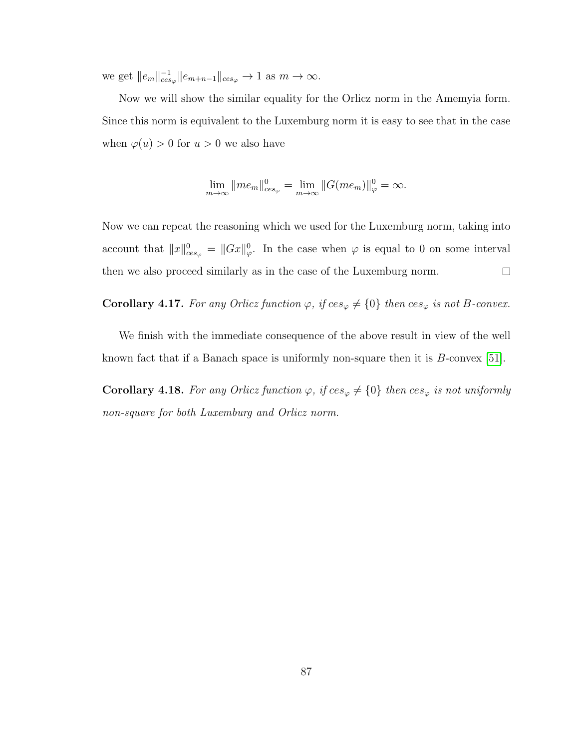we get  $||e_m||_{ces_\varphi}^{-1} ||e_{m+n-1}||_{ces_\varphi} \to 1$  as  $m \to \infty$ .

Now we will show the similar equality for the Orlicz norm in the Amemyia form. Since this norm is equivalent to the Luxemburg norm it is easy to see that in the case when  $\varphi(u) > 0$  for  $u > 0$  we also have

$$
\lim_{m \to \infty} ||me_m||_{ces_{\varphi}}^0 = \lim_{m \to \infty} ||G(me_m)||_{\varphi}^0 = \infty.
$$

Now we can repeat the reasoning which we used for the Luxemburg norm, taking into account that  $||x||_{ces_{\varphi}}^0 = ||Gx||_{\varphi}^0$ . In the case when  $\varphi$  is equal to 0 on some interval then we also proceed similarly as in the case of the Luxemburg norm.  $\Box$ 

**Corollary 4.17.** For any Orlicz function  $\varphi$ , if  $ces_{\varphi} \neq \{0\}$  then  $ces_{\varphi}$  is not B-convex.

We finish with the immediate consequence of the above result in view of the well known fact that if a Banach space is uniformly non-square then it is B-convex [\[51\]](#page-98-0).

**Corollary 4.18.** For any Orlicz function  $\varphi$ , if  $ces_{\varphi} \neq \{0\}$  then  $ces_{\varphi}$  is not uniformly *non-square for both Luxemburg and Orlicz norm.*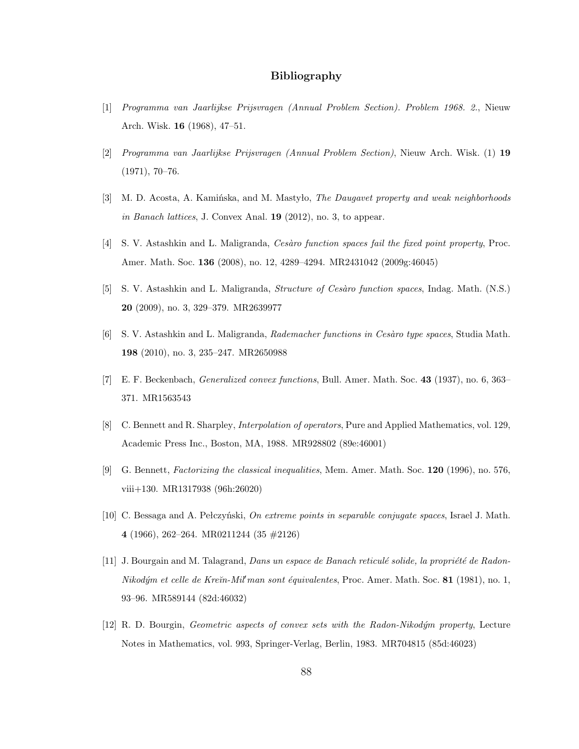## **Bibliography**

- [1] *Programma van Jaarlijkse Prijsvragen (Annual Problem Section). Problem 1968. 2.*, Nieuw Arch. Wisk. **16** (1968), 47–51.
- [2] *Programma van Jaarlijkse Prijsvragen (Annual Problem Section)*, Nieuw Arch. Wisk. (1) **19** (1971), 70–76.
- [3] M. D. Acosta, A. Kamińska, and M. Mastyło, *The Daugavet property and weak neighborhoods in Banach lattices*, J. Convex Anal. **19** (2012), no. 3, to appear.
- [4] S. V. Astashkin and L. Maligranda, *Cesàro function spaces fail the fixed point property*, Proc. Amer. Math. Soc. **136** (2008), no. 12, 4289–4294. MR2431042 (2009g:46045)
- [5] S. V. Astashkin and L. Maligranda, *Structure of Ces`aro function spaces*, Indag. Math. (N.S.) **20** (2009), no. 3, 329–379. MR2639977
- [6] S. V. Astashkin and L. Maligranda, *Rademacher functions in Ces`aro type spaces*, Studia Math. **198** (2010), no. 3, 235–247. MR2650988
- [7] E. F. Beckenbach, *Generalized convex functions*, Bull. Amer. Math. Soc. **43** (1937), no. 6, 363– 371. MR1563543
- <span id="page-94-0"></span>[8] C. Bennett and R. Sharpley, *Interpolation of operators*, Pure and Applied Mathematics, vol. 129, Academic Press Inc., Boston, MA, 1988. MR928802 (89e:46001)
- [9] G. Bennett, *Factorizing the classical inequalities*, Mem. Amer. Math. Soc. **120** (1996), no. 576, viii+130. MR1317938 (96h:26020)
- [10] C. Bessaga and A. Pełczyński, *On extreme points in separable conjugate spaces*, Israel J. Math. **4** (1966), 262–264. MR0211244 (35 #2126)
- [11] J. Bourgain and M. Talagrand, *Dans un espace de Banach reticulé solide, la propriété de Radon-Nikodým et celle de Kreĭn-Mil'man sont équivalentes*, Proc. Amer. Math. Soc. **81** (1981), no. 1, 93–96. MR589144 (82d:46032)
- [12] R. D. Bourgin, *Geometric aspects of convex sets with the Radon-Nikodym property*, Lecture Notes in Mathematics, vol. 993, Springer-Verlag, Berlin, 1983. MR704815 (85d:46023)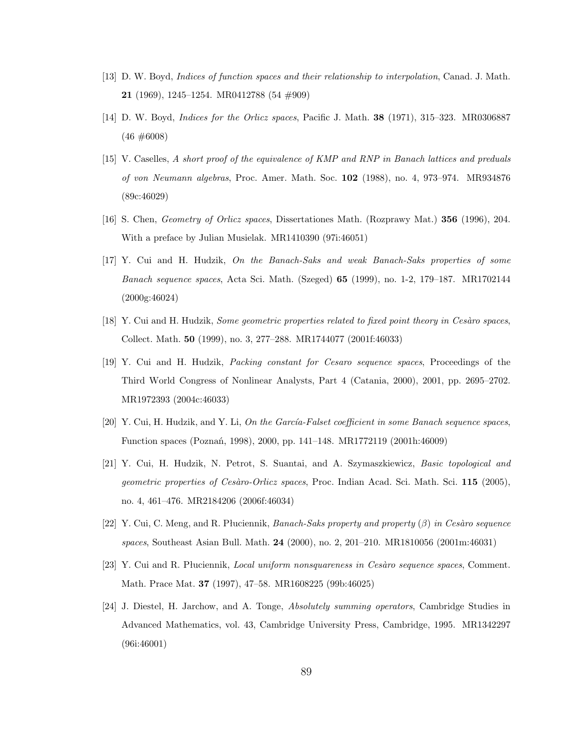- [13] D. W. Boyd, *Indices of function spaces and their relationship to interpolation*, Canad. J. Math. **21** (1969), 1245–1254. MR0412788 (54 #909)
- [14] D. W. Boyd, *Indices for the Orlicz spaces*, Pacific J. Math. **38** (1971), 315–323. MR0306887  $(46 \neq 6008)$
- [15] V. Caselles, *A short proof of the equivalence of KMP and RNP in Banach lattices and preduals of von Neumann algebras*, Proc. Amer. Math. Soc. **102** (1988), no. 4, 973–974. MR934876 (89c:46029)
- <span id="page-95-1"></span>[16] S. Chen, *Geometry of Orlicz spaces*, Dissertationes Math. (Rozprawy Mat.) **356** (1996), 204. With a preface by Julian Musielak. MR1410390 (97i:46051)
- [17] Y. Cui and H. Hudzik, *On the Banach-Saks and weak Banach-Saks properties of some Banach sequence spaces*, Acta Sci. Math. (Szeged) **65** (1999), no. 1-2, 179–187. MR1702144 (2000g:46024)
- [18] Y. Cui and H. Hudzik, *Some geometric properties related to fixed point theory in Cesàro spaces*, Collect. Math. **50** (1999), no. 3, 277–288. MR1744077 (2001f:46033)
- [19] Y. Cui and H. Hudzik, *Packing constant for Cesaro sequence spaces*, Proceedings of the Third World Congress of Nonlinear Analysts, Part 4 (Catania, 2000), 2001, pp. 2695–2702. MR1972393 (2004c:46033)
- [20] Y. Cui, H. Hudzik, and Y. Li, *On the García-Falset coefficient in some Banach sequence spaces*, Function spaces (Poznań, 1998), 2000, pp. 141–148. MR1772119 (2001h:46009)
- <span id="page-95-0"></span>[21] Y. Cui, H. Hudzik, N. Petrot, S. Suantai, and A. Szymaszkiewicz, *Basic topological and geometric properties of Ces`aro-Orlicz spaces*, Proc. Indian Acad. Sci. Math. Sci. **115** (2005), no. 4, 461–476. MR2184206 (2006f:46034)
- $[22]$  Y. Cui, C. Meng, and R. Płuciennik, *Banach-Saks property and property*  $(\beta)$  *in Cesàro sequence spaces*, Southeast Asian Bull. Math. **24** (2000), no. 2, 201–210. MR1810056 (2001m:46031)
- [23] Y. Cui and R. Płuciennik, *Local uniform nonsquareness in Cesàro sequence spaces*, Comment. Math. Prace Mat. **37** (1997), 47–58. MR1608225 (99b:46025)
- <span id="page-95-2"></span>[24] J. Diestel, H. Jarchow, and A. Tonge, *Absolutely summing operators*, Cambridge Studies in Advanced Mathematics, vol. 43, Cambridge University Press, Cambridge, 1995. MR1342297 (96i:46001)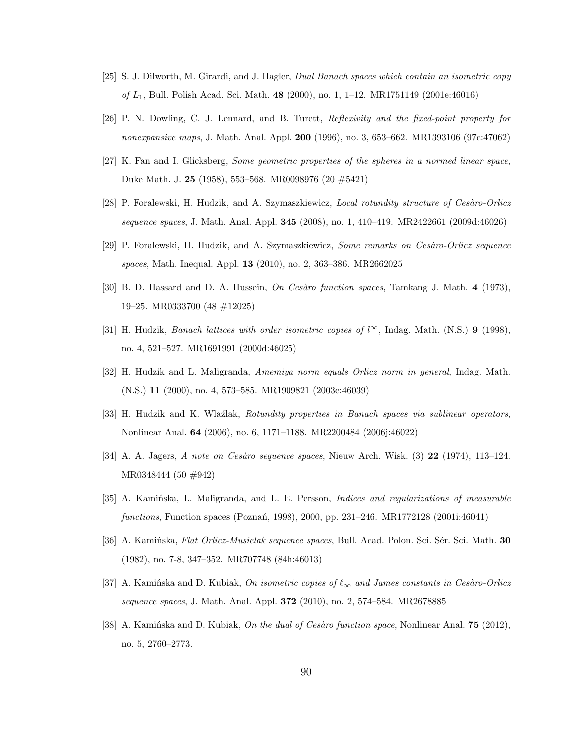- [25] S. J. Dilworth, M. Girardi, and J. Hagler, *Dual Banach spaces which contain an isometric copy of* L1, Bull. Polish Acad. Sci. Math. **48** (2000), no. 1, 1–12. MR1751149 (2001e:46016)
- [26] P. N. Dowling, C. J. Lennard, and B. Turett, *Reflexivity and the fixed-point property for nonexpansive maps*, J. Math. Anal. Appl. **200** (1996), no. 3, 653–662. MR1393106 (97c:47062)
- [27] K. Fan and I. Glicksberg, *Some geometric properties of the spheres in a normed linear space*, Duke Math. J. **25** (1958), 553–568. MR0098976 (20 #5421)
- [28] P. Foralewski, H. Hudzik, and A. Szymaszkiewicz, *Local rotundity structure of Cesàro-Orlicz sequence spaces*, J. Math. Anal. Appl. **345** (2008), no. 1, 410–419. MR2422661 (2009d:46026)
- <span id="page-96-3"></span>[29] P. Foralewski, H. Hudzik, and A. Szymaszkiewicz, *Some remarks on Cesàro-Orlicz sequence spaces*, Math. Inequal. Appl. **13** (2010), no. 2, 363–386. MR2662025
- [30] B. D. Hassard and D. A. Hussein, *On Cesàro function spaces*, Tamkang J. Math. 4 (1973), 19–25. MR0333700 (48 #12025)
- <span id="page-96-1"></span>[31] H. Hudzik, *Banach lattices with order isometric copies of*  $l^{\infty}$ , Indag. Math. (N.S.) **9** (1998), no. 4, 521–527. MR1691991 (2000d:46025)
- [32] H. Hudzik and L. Maligranda, *Amemiya norm equals Orlicz norm in general*, Indag. Math. (N.S.) **11** (2000), no. 4, 573–585. MR1909821 (2003e:46039)
- [33] H. Hudzik and K. Wlaźlak, *Rotundity properties in Banach spaces via sublinear operators*, Nonlinear Anal. **64** (2006), no. 6, 1171–1188. MR2200484 (2006j:46022)
- [34] A. A. Jagers, *A note on Ces`aro sequence spaces*, Nieuw Arch. Wisk. (3) **22** (1974), 113–124. MR0348444 (50 #942)
- <span id="page-96-2"></span>[35] A. Kamińska, L. Maligranda, and L. E. Persson, *Indices and regularizations of measurable functions*, Function spaces (Poznań, 1998), 2000, pp. 231–246. MR1772128 (2001i:46041)
- <span id="page-96-0"></span>[36] A. Kamińska, *Flat Orlicz-Musielak sequence spaces*, Bull. Acad. Polon. Sci. S´er. Sci. Math. **30** (1982), no. 7-8, 347–352. MR707748 (84h:46013)
- [37] A. Kaminska and D. Kubiak, *On isometric copies of*  $\ell_{\infty}$  *and James constants in Cesaro-Orlicz sequence spaces*, J. Math. Anal. Appl. **372** (2010), no. 2, 574–584. MR2678885
- [38] A. Kamińska and D. Kubiak, *On the dual of Cesàro function space*, Nonlinear Anal. **75** (2012), no. 5, 2760–2773.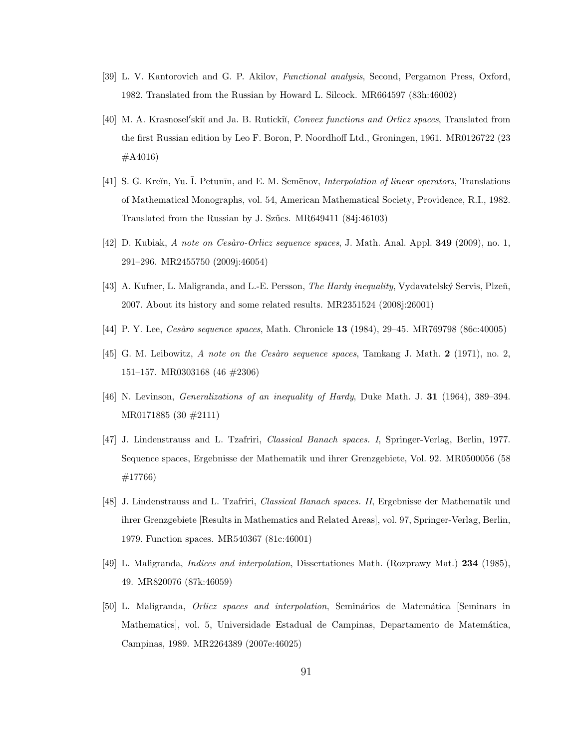- <span id="page-97-0"></span>[39] L. V. Kantorovich and G. P. Akilov, *Functional analysis*, Second, Pergamon Press, Oxford, 1982. Translated from the Russian by Howard L. Silcock. MR664597 (83h:46002)
- [40] M. A. Krasnosel'skiĭ and Ja. B. Rutickiĭ, *Convex functions and Orlicz spaces*, Translated from the first Russian edition by Leo F. Boron, P. Noordhoff Ltd., Groningen, 1961. MR0126722 (23 #A4016)
- [41] S. G. Kreĭn, Yu. Ī. Petunīn, and E. M. Semënov, *Interpolation of linear operators*, Translations of Mathematical Monographs, vol. 54, American Mathematical Society, Providence, R.I., 1982. Translated from the Russian by J. Szűcs. MR649411 (84j:46103)
- [42] D. Kubiak, *A note on Ces`aro-Orlicz sequence spaces*, J. Math. Anal. Appl. **349** (2009), no. 1, 291–296. MR2455750 (2009j:46054)
- <span id="page-97-1"></span>[43] A. Kufner, L. Maligranda, and L.-E. Persson, *The Hardy inequality*, Vydavatelský Servis, Plzeň, 2007. About its history and some related results. MR2351524 (2008j:26001)
- [44] P. Y. Lee, *Ces`aro sequence spaces*, Math. Chronicle **13** (1984), 29–45. MR769798 (86c:40005)
- [45] G. M. Leibowitz, *A note on the Cesàro sequence spaces*, Tamkang J. Math. **2** (1971), no. 2, 151–157. MR0303168 (46 #2306)
- <span id="page-97-2"></span>[46] N. Levinson, *Generalizations of an inequality of Hardy*, Duke Math. J. **31** (1964), 389–394. MR0171885 (30 #2111)
- [47] J. Lindenstrauss and L. Tzafriri, *Classical Banach spaces. I*, Springer-Verlag, Berlin, 1977. Sequence spaces, Ergebnisse der Mathematik und ihrer Grenzgebiete, Vol. 92. MR0500056 (58 #17766)
- [48] J. Lindenstrauss and L. Tzafriri, *Classical Banach spaces. II*, Ergebnisse der Mathematik und ihrer Grenzgebiete [Results in Mathematics and Related Areas], vol. 97, Springer-Verlag, Berlin, 1979. Function spaces. MR540367 (81c:46001)
- [49] L. Maligranda, *Indices and interpolation*, Dissertationes Math. (Rozprawy Mat.) **234** (1985), 49. MR820076 (87k:46059)
- [50] L. Maligranda, *Orlicz spaces and interpolation*, Semin´arios de Matem´atica [Seminars in Mathematics, vol. 5, Universidade Estadual de Campinas, Departamento de Matemática, Campinas, 1989. MR2264389 (2007e:46025)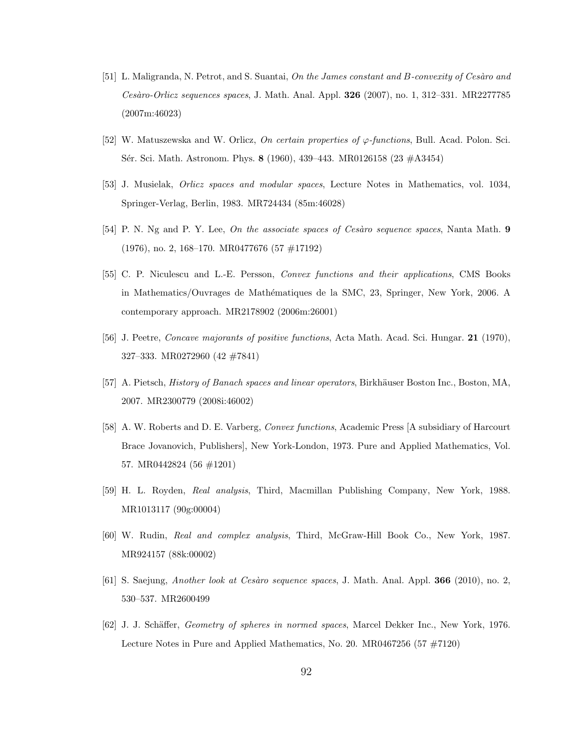- <span id="page-98-0"></span>[51] L. Maligranda, N. Petrot, and S. Suantai, *On the James constant and B-convexity of Cesàro and Ces`aro-Orlicz sequences spaces*, J. Math. Anal. Appl. **326** (2007), no. 1, 312–331. MR2277785 (2007m:46023)
- [52] W. Matuszewska and W. Orlicz, *On certain properties of* ϕ*-functions*, Bull. Acad. Polon. Sci. Sér. Sci. Math. Astronom. Phys. **8** (1960), 439-443. MR0126158 (23 #A3454)
- [53] J. Musielak, *Orlicz spaces and modular spaces*, Lecture Notes in Mathematics, vol. 1034, Springer-Verlag, Berlin, 1983. MR724434 (85m:46028)
- [54] P. N. Ng and P. Y. Lee, *On the associate spaces of Cesàro sequence spaces*, Nanta Math. **9** (1976), no. 2, 168–170. MR0477676 (57 #17192)
- [55] C. P. Niculescu and L.-E. Persson, *Convex functions and their applications*, CMS Books in Mathematics/Ouvrages de Mathématiques de la SMC, 23, Springer, New York, 2006. A contemporary approach. MR2178902 (2006m:26001)
- [56] J. Peetre, *Concave majorants of positive functions*, Acta Math. Acad. Sci. Hungar. **21** (1970), 327–333. MR0272960 (42 #7841)
- [57] A. Pietsch, *History of Banach spaces and linear operators*, Birkhäuser Boston Inc., Boston, MA, 2007. MR2300779 (2008i:46002)
- [58] A. W. Roberts and D. E. Varberg, *Convex functions*, Academic Press [A subsidiary of Harcourt Brace Jovanovich, Publishers], New York-London, 1973. Pure and Applied Mathematics, Vol. 57. MR0442824 (56 #1201)
- [59] H. L. Royden, *Real analysis*, Third, Macmillan Publishing Company, New York, 1988. MR1013117 (90g:00004)
- [60] W. Rudin, *Real and complex analysis*, Third, McGraw-Hill Book Co., New York, 1987. MR924157 (88k:00002)
- [61] S. Saejung, *Another look at Ces`aro sequence spaces*, J. Math. Anal. Appl. **366** (2010), no. 2, 530–537. MR2600499
- [62] J. J. Sch¨affer, *Geometry of spheres in normed spaces*, Marcel Dekker Inc., New York, 1976. Lecture Notes in Pure and Applied Mathematics, No. 20. MR0467256 (57 #7120)